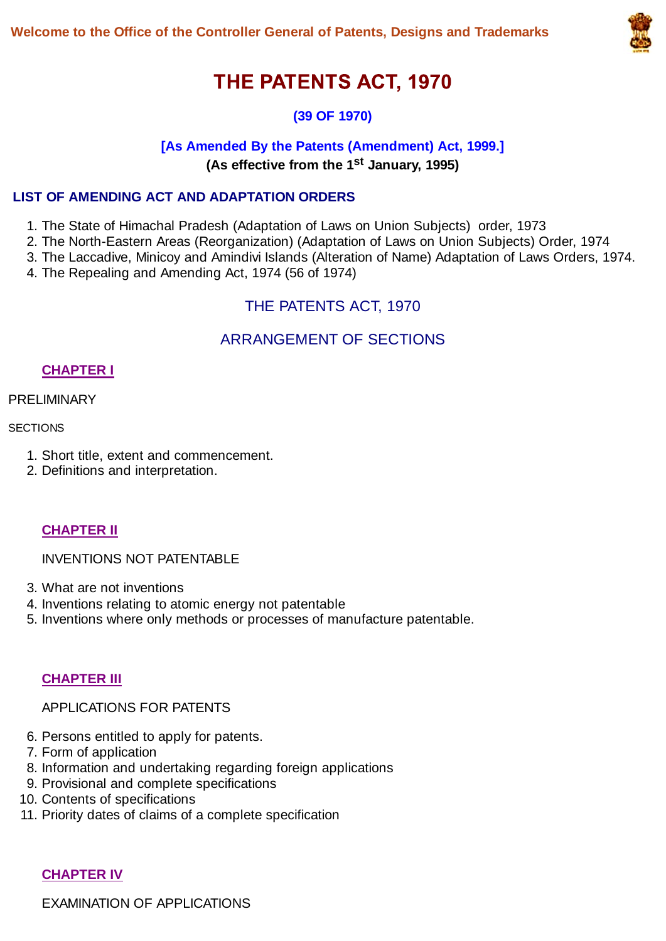

# THE PATENTS ACT, 1970

## **(39 OF 1970)**

## **[As Amended By the Patents (Amendment) Act, 1999.] (As effective from the 1st January, 1995)**

## **LIST OF AMENDING ACT AND ADAPTATION ORDERS**

- 1. The State of Himachal Pradesh (Adaptation of Laws on Union Subjects) order, 1973
- 2. The North-Eastern Areas (Reorganization) (Adaptation of Laws on Union Subjects) Order, 1974
- 3. The Laccadive, Minicoy and Amindivi Islands (Alteration of Name) Adaptation of Laws Orders, 1974.
- 4. The Repealing and Amending Act, 1974 (56 of 1974)

## THE PATENTS ACT, 1970

## ARRANGEMENT OF SECTIONS

## **CHAPTER I**

#### PRELIMINARY

#### **SECTIONS**

- 1. Short title, extent and commencement.
- 2. Definitions and interpretation.

#### **CHAPTER II**

#### INVENTIONS NOT PATENTABLE

- 3. What are not inventions
- 4. Inventions relating to atomic energy not patentable
- 5. Inventions where only methods or processes of manufacture patentable.

## **CHAPTER III**

#### APPLICATIONS FOR PATENTS

- 6. Persons entitled to apply for patents.
- 7. Form of application
- 8. Information and undertaking regarding foreign applications
- 9. Provisional and complete specifications
- 10. Contents of specifications
- 11. Priority dates of claims of a complete specification

## **CHAPTER IV**

EXAMINATION OF APPLICATIONS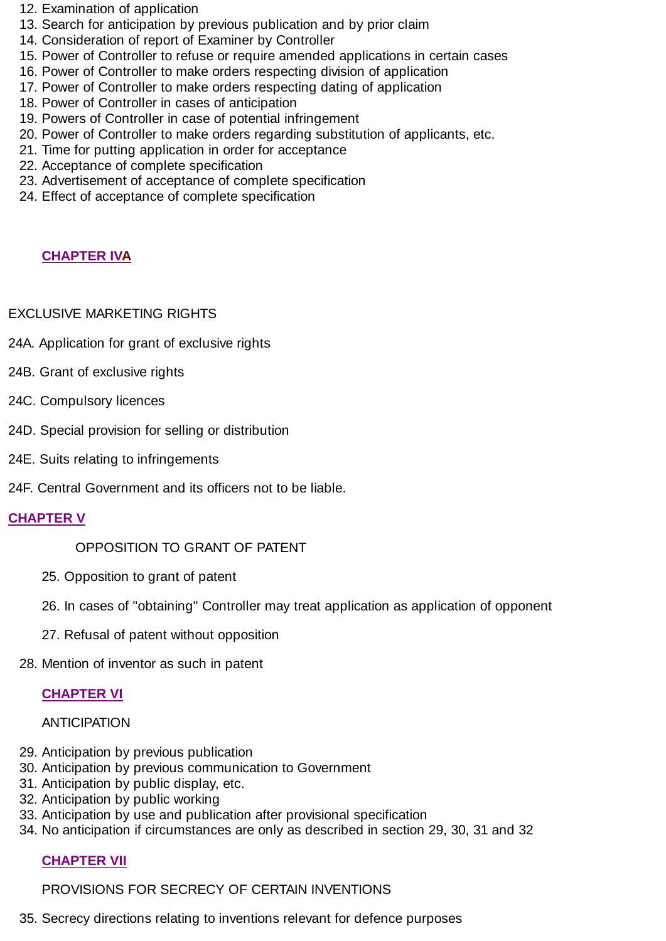- 12. Examination of application
- 13. Search for anticipation by previous publication and by prior claim
- 14. Consideration of report of Examiner by Controller
- 15. Power of Controller to refuse or require amended applications in certain cases
- 16. Power of Controller to make orders respecting division of application
- 17. Power of Controller to make orders respecting dating of application
- 18. Power of Controller in cases of anticipation
- 19. Powers of Controller in case of potential infringement
- 20. Power of Controller to make orders regarding substitution of applicants, etc.
- 21. Time for putting application in order for acceptance
- 22. Acceptance of complete specification
- 23. Advertisement of acceptance of complete specification
- 24. Effect of acceptance of complete specification

### **CHAPTER IVA**

- **EXCLUSIVE MARKETING RIGHTS**
- 24A. Application for grant of exclusive rights
- 24B. Grant of exclusive rights
- 24C. Compulsory licences
- 24D. Special provision for selling or distribution
- 24E. Suits relating to infringements
- 24F. Central Government and its officers not to be liable.

#### **CHAPTER V**

#### OPPOSITION TO GRANT OF PATENT

- 25. Opposition to grant of patent
- 26. In cases of "obtaining" Controller may treat application as application of opponent
- 27. Refusal of patent without opposition
- 28. Mention of inventor as such in patent

#### **CHAPTER VI**

#### **ANTICIPATION**

- 29. Anticipation by previous publication
- 30. Anticipation by previous communication to Government
- 31. Anticipation by public display, etc.
- 32. Anticipation by public working
- 33. Anticipation by use and publication after provisional specification
- 34. No anticipation if circumstances are only as described in section 29, 30, 31 and 32

#### **CHAPTER VII**

#### PROVISIONS FOR SECRECY OF CERTAIN INVENTIONS

35. Secrecy directions relating to inventions relevant for defence purposes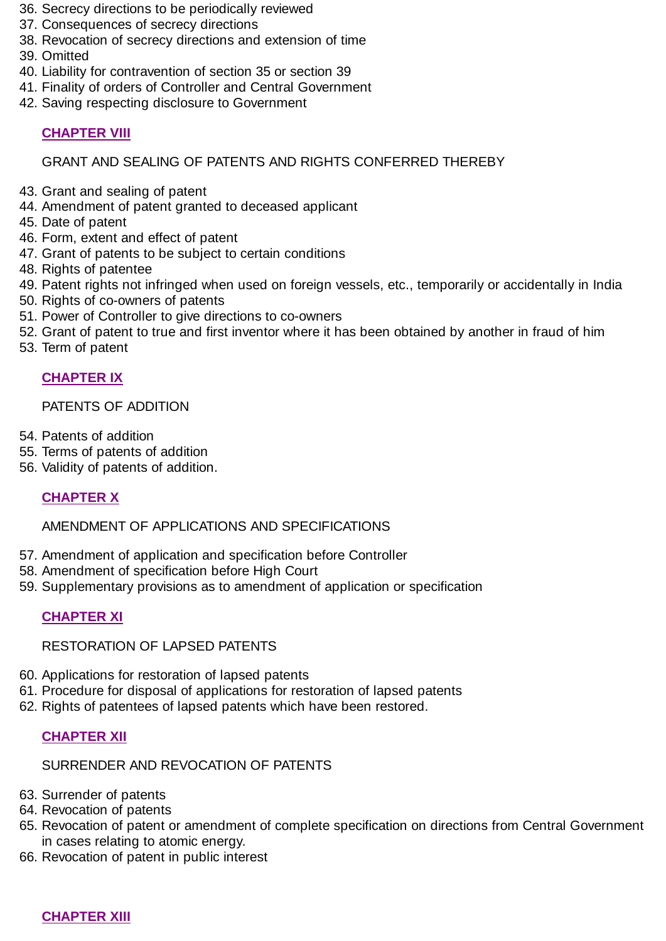- 36. Secrecy directions to be periodically reviewed
- 37. Consequences of secrecy directions
- 38. Revocation of secrecy directions and extension of time
- 39. Omitted
- 40. Liability for contravention of section 35 or section 39
- 41. Finality of orders of Controller and Central Government
- 42. Saving respecting disclosure to Government

### **CHAPTER VIII**

### GRANT AND SEALING OF PATENTS AND RIGHTS CONFERRED THEREBY

- 43. Grant and sealing of patent
- 44. Amendment of patent granted to deceased applicant
- 45. Date of patent
- 46. Form, extent and effect of patent
- 47. Grant of patents to be subject to certain conditions
- 48. Rights of patentee
- 49. Patent rights not infringed when used on foreign vessels, etc., temporarily or accidentally in India
- 50. Rights of co-owners of patents
- 51. Power of Controller to give directions to co-owners
- 52. Grant of patent to true and first inventor where it has been obtained by another in fraud of him
- 53. Term of patent

## **CHAPTER IX**

#### PATENTS OF ADDITION

- 54. Patents of addition
- 55. Terms of patents of addition
- 56. Validity of patents of addition.

## **CHAPTER X**

#### AMENDMENT OF APPLICATIONS AND SPECIFICATIONS

- 57. Amendment of application and specification before Controller
- 58. Amendment of specification before High Court
- 59. Supplementary provisions as to amendment of application or specification

## **CHAPTER XI**

## RESTORATION OF LAPSED PATENTS

- 60. Applications for restoration of lapsed patents
- 61. Procedure for disposal of applications for restoration of lapsed patents
- 62. Rights of patentees of lapsed patents which have been restored.

## **CHAPTER XII**

#### SURRENDER AND REVOCATION OF PATENTS

- 63. Surrender of patents
- 64. Revocation of patents
- 65. Revocation of patent or amendment of complete specification on directions from Central Government in cases relating to atomic energy.
- 66. Revocation of patent in public interest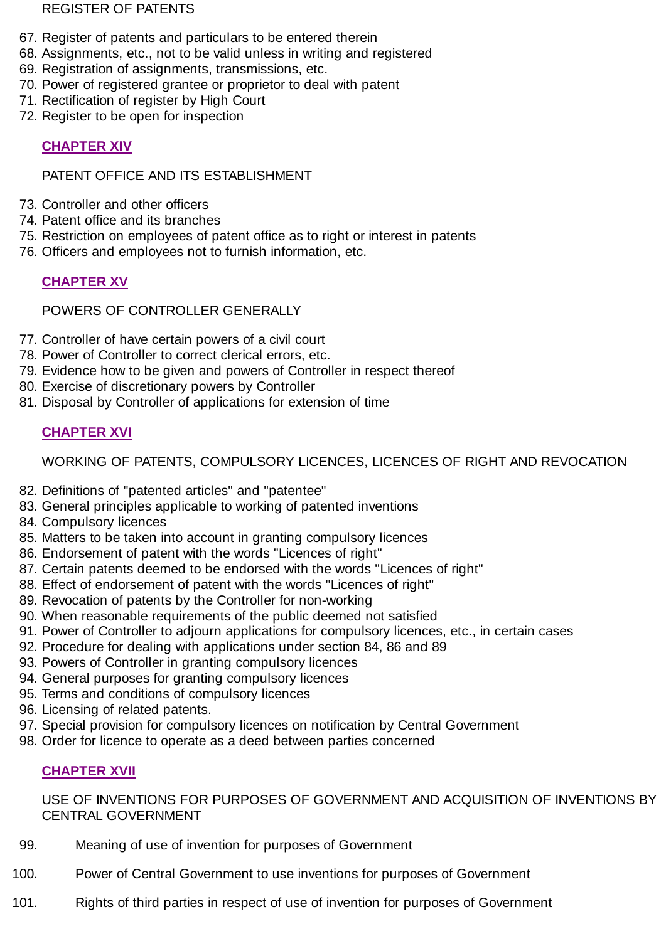#### REGISTER OF PATENTS

- 67. Register of patents and particulars to be entered therein
- 68. Assignments, etc., not to be valid unless in writing and registered
- 69. Registration of assignments, transmissions, etc.
- 70. Power of registered grantee or proprietor to deal with patent
- 71. Rectification of register by High Court
- 72. Register to be open for inspection

## **CHAPTER XIV**

### PATENT OFFICE AND ITS ESTABLISHMENT

- 73. Controller and other officers
- 74. Patent office and its branches
- 75. Restriction on employees of patent office as to right or interest in patents
- 76. Officers and employees not to furnish information, etc.

## **CHAPTER XV**

### POWERS OF CONTROLLER GENERALLY

- 77. Controller of have certain powers of a civil court
- 78. Power of Controller to correct clerical errors, etc.
- 79. Evidence how to be given and powers of Controller in respect thereof
- 80. Exercise of discretionary powers by Controller
- 81. Disposal by Controller of applications for extension of time

## **CHAPTER XVI**

## WORKING OF PATENTS, COMPULSORY LICENCES, LICENCES OF RIGHT AND REVOCATION

- 82. Definitions of "patented articles" and "patentee"
- 83. General principles applicable to working of patented inventions
- 84. Compulsory licences
- 85. Matters to be taken into account in granting compulsory licences
- 86. Endorsement of patent with the words "Licences of right"
- 87. Certain patents deemed to be endorsed with the words "Licences of right"
- 88. Effect of endorsement of patent with the words "Licences of right"
- 89. Revocation of patents by the Controller for non-working
- 90. When reasonable requirements of the public deemed not satisfied
- 91. Power of Controller to adjourn applications for compulsory licences, etc., in certain cases
- 92. Procedure for dealing with applications under section 84, 86 and 89
- 93. Powers of Controller in granting compulsory licences
- 94. General purposes for granting compulsory licences
- 95. Terms and conditions of compulsory licences
- 96. Licensing of related patents.
- 97. Special provision for compulsory licences on notification by Central Government
- 98. Order for licence to operate as a deed between parties concerned

## **CHAPTER XVII**

### USE OF INVENTIONS FOR PURPOSES OF GOVERNMENT AND ACQUISITION OF INVENTIONS BY CENTRAL GOVERNMENT

- 99. Meaning of use of invention for purposes of Government
- 100. Power of Central Government to use inventions for purposes of Government
- 101. Rights of third parties in respect of use of invention for purposes of Government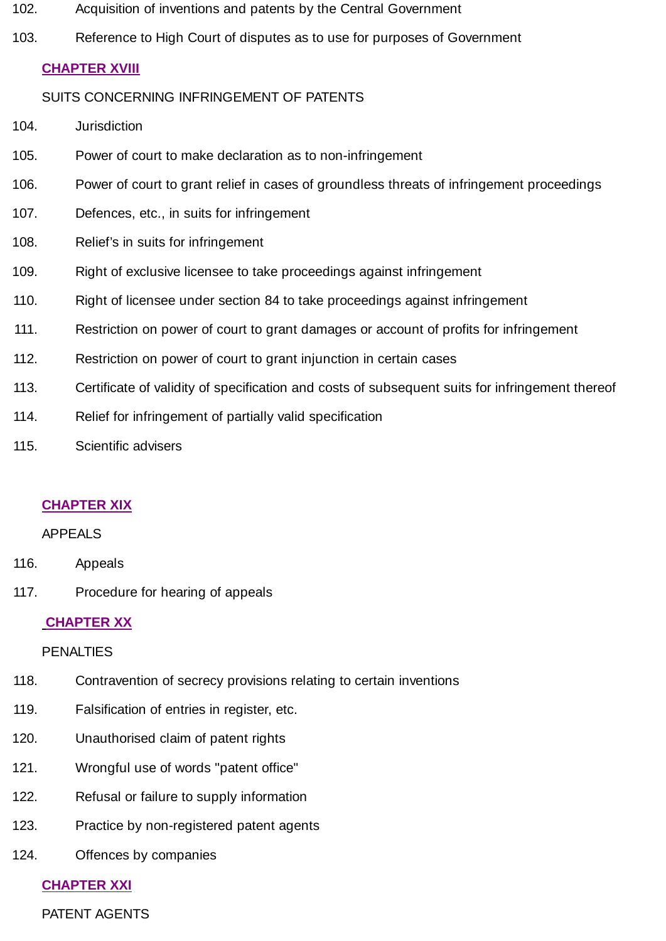- 102. Acquisition of inventions and patents by the Central Government
- 103. Reference to High Court of disputes as to use for purposes of Government

#### **CHAPTER XVIII**

#### SUITS CONCERNING INFRINGEMENT OF PATENTS

- 104. Jurisdiction
- 105. Power of court to make declaration as to non-infringement
- 106. Power of court to grant relief in cases of groundless threats of infringement proceedings
- 107. Defences, etc., in suits for infringement
- 108. Relief's in suits for infringement
- 109. Right of exclusive licensee to take proceedings against infringement
- 110. Right of licensee under section 84 to take proceedings against infringement
- 111. Restriction on power of court to grant damages or account of profits for infringement
- 112. Restriction on power of court to grant injunction in certain cases
- 113. Certificate of validity of specification and costs of subsequent suits for infringement thereof
- 114. Relief for infringement of partially valid specification
- 115. Scientific advisers

#### **CHAPTER XIX**

#### APPEALS

- 116. Appeals
- 117. Procedure for hearing of appeals

#### **CHAPTER XX**

#### **PENALTIES**

- 118. Contravention of secrecy provisions relating to certain inventions
- 119. Falsification of entries in register, etc.
- 120. Unauthorised claim of patent rights
- 121. Wrongful use of words "patent office"
- 122. Refusal or failure to supply information
- 123. Practice by non-registered patent agents
- 124. Offences by companies

#### **CHAPTER XXI**

#### PATENT AGENTS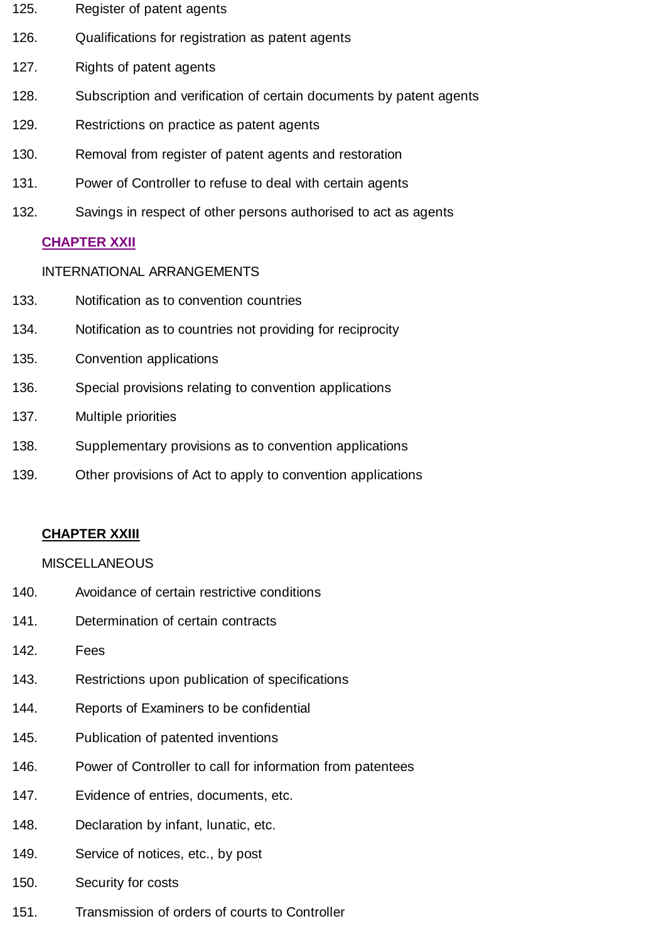- 125. Register of patent agents
- 126. Qualifications for registration as patent agents
- 127. Rights of patent agents
- 128. Subscription and verification of certain documents by patent agents
- 129. Restrictions on practice as patent agents
- 130. Removal from register of patent agents and restoration
- 131. Power of Controller to refuse to deal with certain agents
- 132. Savings in respect of other persons authorised to act as agents

## **CHAPTER XXII**

#### INTERNATIONAL ARRANGEMENTS

- 133. Notification as to convention countries
- 134. Notification as to countries not providing for reciprocity
- 135. Convention applications
- 136. Special provisions relating to convention applications
- 137. Multiple priorities
- 138. Supplementary provisions as to convention applications
- 139. Other provisions of Act to apply to convention applications

## **CHAPTER XXIII**

#### **MISCELLANEOUS**

- 140. Avoidance of certain restrictive conditions
- 141. Determination of certain contracts
- 142. Fees
- 143. Restrictions upon publication of specifications
- 144. Reports of Examiners to be confidential
- 145. Publication of patented inventions
- 146. Power of Controller to call for information from patentees
- 147. Evidence of entries, documents, etc.
- 148. Declaration by infant, lunatic, etc.
- 149. Service of notices, etc., by post
- 150. Security for costs
- 151. Transmission of orders of courts to Controller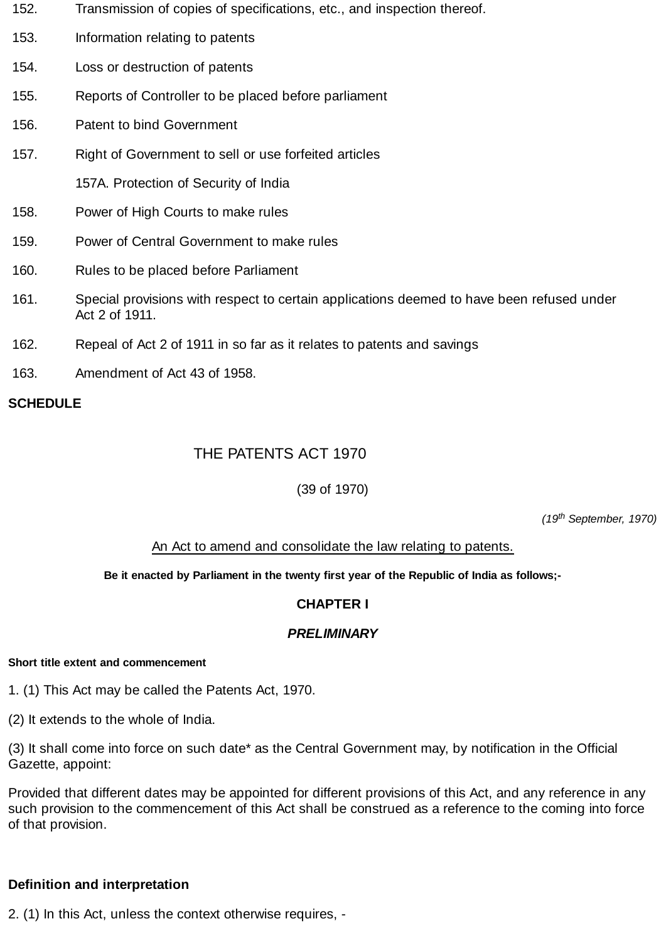- 152. Transmission of copies of specifications, etc., and inspection thereof.
- 153. Information relating to patents
- 154. Loss or destruction of patents
- 155. Reports of Controller to be placed before parliament
- 156. Patent to bind Government
- Right of Government to sell or use forfeited articles 157A. Protection of Security of India 157.
- 158. Power of High Courts to make rules
- 159. Power of Central Government to make rules
- 160. Rules to be placed before Parliament
- Special provisions with respect to certain applications deemed to have been refused under Act 2 of 1911. 161.
- 162. Repeal of Act 2 of 1911 in so far as it relates to patents and savings
- 163. Amendment of Act 43 of 1958.

**SCHEDULE**

## THE PATENTS ACT 1970

## (39 of 1970)

*(19th September, 1970)*

## An Act to amend and consolidate the law relating to patents.

**Be it enacted by Parliament in the twenty first year of the Republic of India as follows;-**

## **CHAPTER I**

## *PRELIMINARY*

## **Short title extent and commencement**

1. (1) This Act may be called the Patents Act, 1970.

(2) It extends to the whole of India.

(3) It shall come into force on such date\* as the Central Government may, by notification in the Official Gazette, appoint:

Provided that different dates may be appointed for different provisions of this Act, and any reference in any such provision to the commencement of this Act shall be construed as a reference to the coming into force of that provision.

## **Definition and interpretation**

2. (1) In this Act, unless the context otherwise requires, -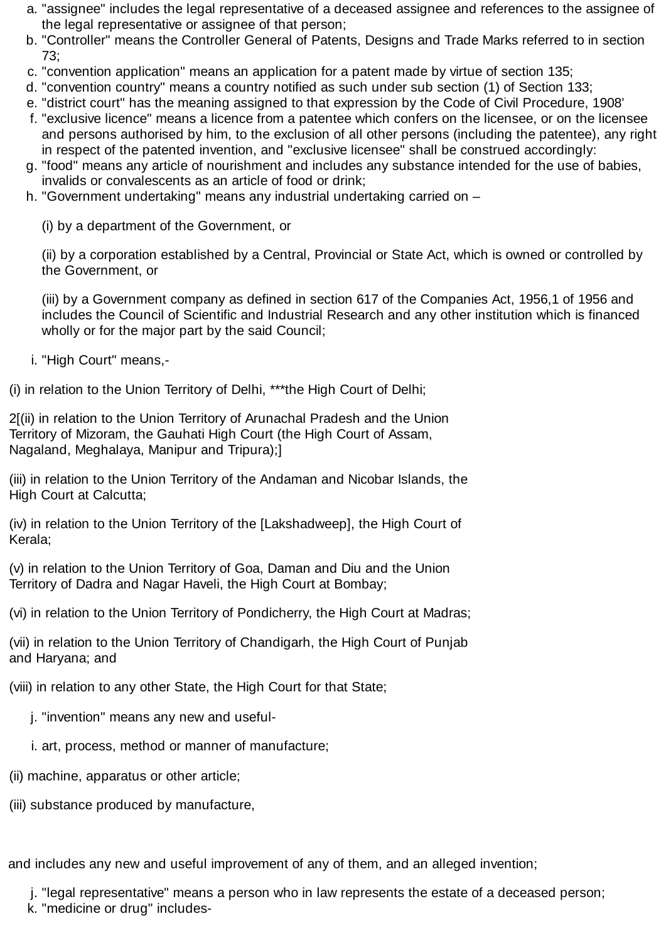- a. "assignee" includes the legal representative of a deceased assignee and references to the assignee of the legal representative or assignee of that person;
- b. "Controller" means the Controller General of Patents, Designs and Trade Marks referred to in section 73;
- c. "convention application" means an application for a patent made by virtue of section 135;
- d. "convention country" means a country notified as such under sub section (1) of Section 133;
- e. "district court" has the meaning assigned to that expression by the Code of Civil Procedure, 1908'
- f. "exclusive licence" means a licence from a patentee which confers on the licensee, or on the licensee and persons authorised by him, to the exclusion of all other persons (including the patentee), any right in respect of the patented invention, and "exclusive licensee" shall be construed accordingly:
- g. "food" means any article of nourishment and includes any substance intended for the use of babies, invalids or convalescents as an article of food or drink;
- h. "Government undertaking" means any industrial undertaking carried on –

(i) by a department of the Government, or

(ii) by a corporation established by a Central, Provincial or State Act, which is owned or controlled by the Government, or

(iii) by a Government company as defined in section 617 of the Companies Act, 1956,1 of 1956 and includes the Council of Scientific and Industrial Research and any other institution which is financed wholly or for the major part by the said Council;

i. "High Court" means,-

(i) in relation to the Union Territory of Delhi, \*\*\*the High Court of Delhi;

2[(ii) in relation to the Union Territory of Arunachal Pradesh and the Union Territory of Mizoram, the Gauhati High Court (the High Court of Assam, Nagaland, Meghalaya, Manipur and Tripura);]

(iii) in relation to the Union Territory of the Andaman and Nicobar Islands, the High Court at Calcutta;

(iv) in relation to the Union Territory of the [Lakshadweep], the High Court of Kerala;

(v) in relation to the Union Territory of Goa, Daman and Diu and the Union Territory of Dadra and Nagar Haveli, the High Court at Bombay;

(vi) in relation to the Union Territory of Pondicherry, the High Court at Madras;

(vii) in relation to the Union Territory of Chandigarh, the High Court of Punjab and Haryana; and

(viii) in relation to any other State, the High Court for that State;

- j. "invention" means any new and useful-
- i. art, process, method or manner of manufacture;
- (ii) machine, apparatus or other article;
- (iii) substance produced by manufacture,

and includes any new and useful improvement of any of them, and an alleged invention;

j. "legal representative" means a person who in law represents the estate of a deceased person;

k. "medicine or drug" includes-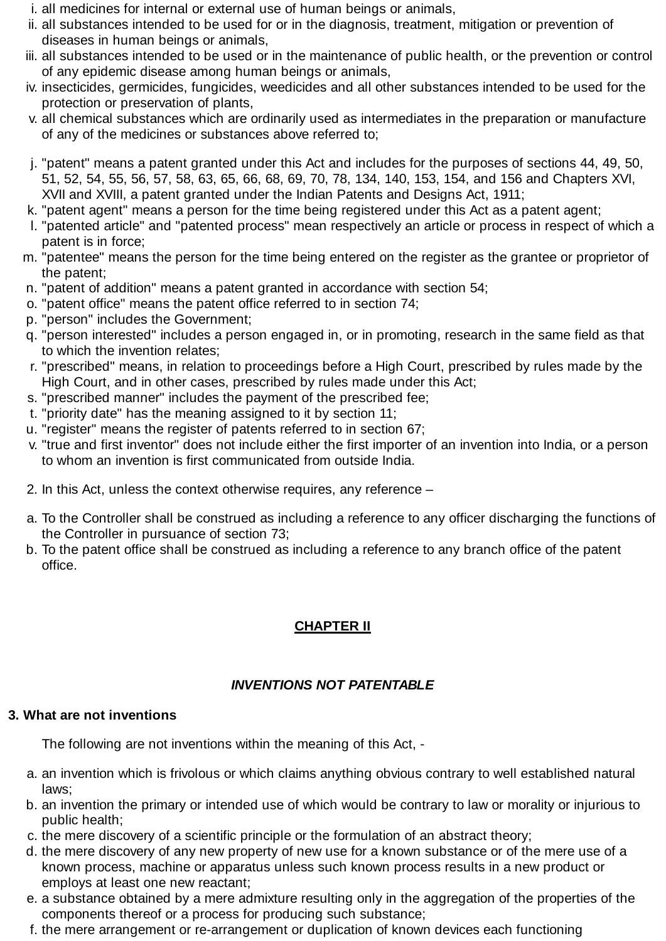- i. all medicines for internal or external use of human beings or animals,
- ii. all substances intended to be used for or in the diagnosis, treatment, mitigation or prevention of diseases in human beings or animals,
- iii. all substances intended to be used or in the maintenance of public health, or the prevention or control of any epidemic disease among human beings or animals,
- iv. insecticides, germicides, fungicides, weedicides and all other substances intended to be used for the protection or preservation of plants,
- v. all chemical substances which are ordinarily used as intermediates in the preparation or manufacture of any of the medicines or substances above referred to;
- j. "patent" means a patent granted under this Act and includes for the purposes of sections 44, 49, 50, 51, 52, 54, 55, 56, 57, 58, 63, 65, 66, 68, 69, 70, 78, 134, 140, 153, 154, and 156 and Chapters XVI, XVII and XVIII, a patent granted under the Indian Patents and Designs Act, 1911;
- k. "patent agent" means a person for the time being registered under this Act as a patent agent;
- I. "patented article" and "patented process" mean respectively an article or process in respect of which a patent is in force;
- m. "patentee" means the person for the time being entered on the register as the grantee or proprietor of the patent;
- n. "patent of addition" means a patent granted in accordance with section 54;
- o. "patent office" means the patent office referred to in section 74;
- p. "person" includes the Government;
- q. "person interested" includes a person engaged in, or in promoting, research in the same field as that to which the invention relates;
- r. "prescribed" means, in relation to proceedings before a High Court, prescribed by rules made by the High Court, and in other cases, prescribed by rules made under this Act;
- s. "prescribed manner" includes the payment of the prescribed fee;
- t. "priority date" has the meaning assigned to it by section 11;
- u. "register" means the register of patents referred to in section 67;
- "true and first inventor" does not include either the first importer of an invention into India, or a person v. to whom an invention is first communicated from outside India.
- 2. In this Act, unless the context otherwise requires, any reference –
- To the Controller shall be construed as including a reference to any officer discharging the functions of a. the Controller in pursuance of section 73;
- b. To the patent office shall be construed as including a reference to any branch office of the patent office.

## **CHAPTER II**

## *INVENTIONS NOT PATENTABLE*

## **3. What are not inventions**

The following are not inventions within the meaning of this Act, -

- a. an invention which is frivolous or which claims anything obvious contrary to well established natural laws;
- b. an invention the primary or intended use of which would be contrary to law or morality or injurious to public health;
- c. the mere discovery of a scientific principle or the formulation of an abstract theory;
- d. the mere discovery of any new property of new use for a known substance or of the mere use of a known process, machine or apparatus unless such known process results in a new product or employs at least one new reactant;
- e. a substance obtained by a mere admixture resulting only in the aggregation of the properties of the components thereof or a process for producing such substance;
- f. the mere arrangement or re-arrangement or duplication of known devices each functioning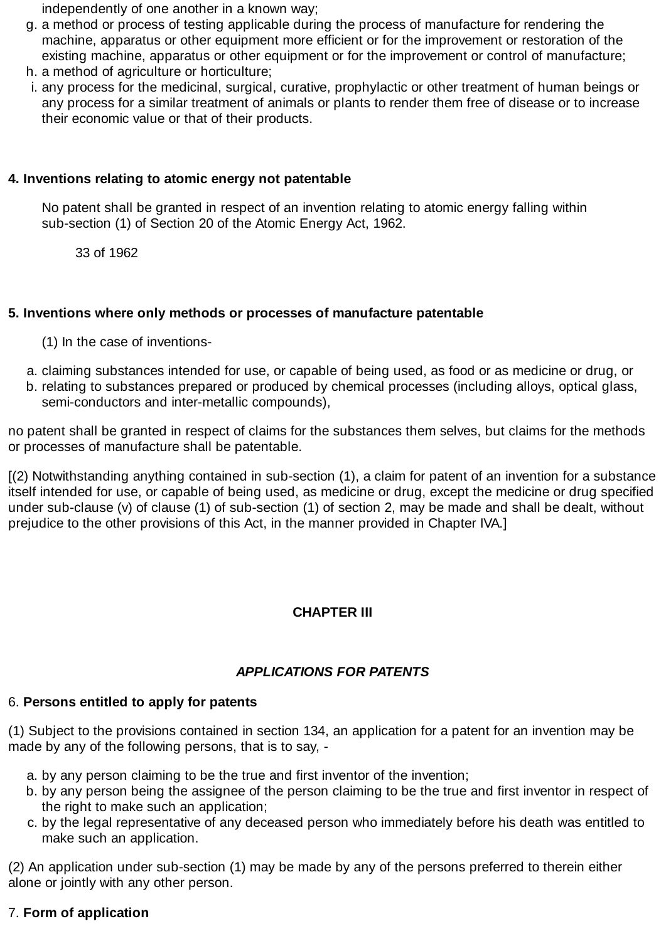independently of one another in a known way;

- g. a method or process of testing applicable during the process of manufacture for rendering the machine, apparatus or other equipment more efficient or for the improvement or restoration of the existing machine, apparatus or other equipment or for the improvement or control of manufacture;
- h. a method of agriculture or horticulture;
- i. any process for the medicinal, surgical, curative, prophylactic or other treatment of human beings or any process for a similar treatment of animals or plants to render them free of disease or to increase their economic value or that of their products.

### **4. Inventions relating to atomic energy not patentable**

No patent shall be granted in respect of an invention relating to atomic energy falling within sub-section (1) of Section 20 of the Atomic Energy Act, 1962.

33 of 1962

### **5. Inventions where only methods or processes of manufacture patentable**

- (1) In the case of inventions-
- a. claiming substances intended for use, or capable of being used, as food or as medicine or drug, or
- b. relating to substances prepared or produced by chemical processes (including alloys, optical glass, semi-conductors and inter-metallic compounds),

no patent shall be granted in respect of claims for the substances them selves, but claims for the methods or processes of manufacture shall be patentable.

[(2) Notwithstanding anything contained in sub-section (1), a claim for patent of an invention for a substance itself intended for use, or capable of being used, as medicine or drug, except the medicine or drug specified under sub-clause (v) of clause (1) of sub-section (1) of section 2, may be made and shall be dealt, without prejudice to the other provisions of this Act, in the manner provided in Chapter IVA.]

## **CHAPTER III**

## *APPLICATIONS FOR PATENTS*

#### 6. **Persons entitled to apply for patents**

(1) Subject to the provisions contained in section 134, an application for a patent for an invention may be made by any of the following persons, that is to say, -

- a. by any person claiming to be the true and first inventor of the invention;
- b. by any person being the assignee of the person claiming to be the true and first inventor in respect of the right to make such an application;
- c. by the legal representative of any deceased person who immediately before his death was entitled to make such an application.

(2) An application under sub-section (1) may be made by any of the persons preferred to therein either alone or jointly with any other person.

## 7. **Form of application**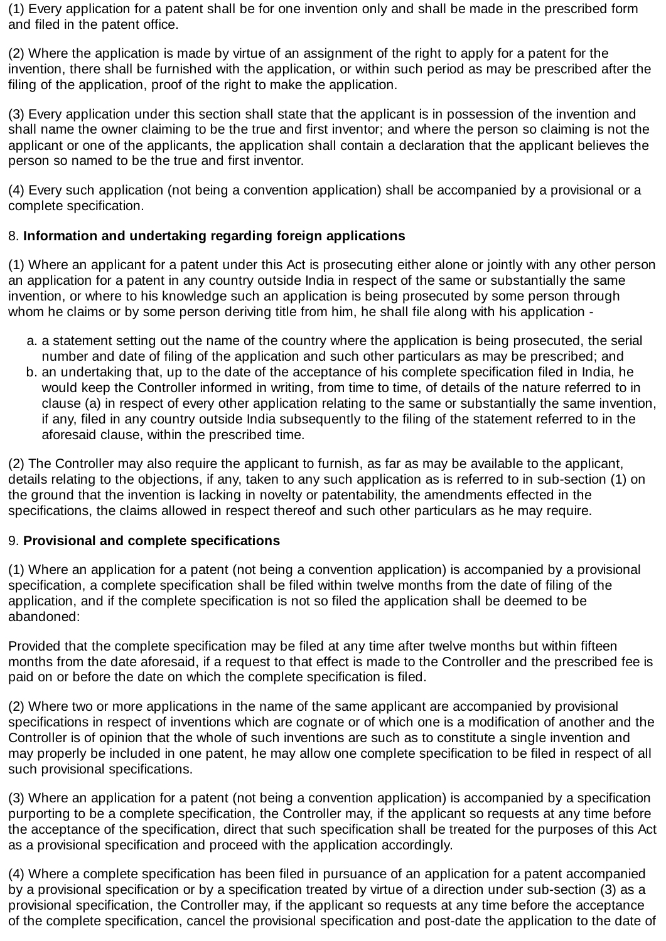(1) Every application for a patent shall be for one invention only and shall be made in the prescribed form and filed in the patent office.

(2) Where the application is made by virtue of an assignment of the right to apply for a patent for the invention, there shall be furnished with the application, or within such period as may be prescribed after the filing of the application, proof of the right to make the application.

(3) Every application under this section shall state that the applicant is in possession of the invention and shall name the owner claiming to be the true and first inventor; and where the person so claiming is not the applicant or one of the applicants, the application shall contain a declaration that the applicant believes the person so named to be the true and first inventor.

(4) Every such application (not being a convention application) shall be accompanied by a provisional or a complete specification.

## 8. **Information and undertaking regarding foreign applications**

(1) Where an applicant for a patent under this Act is prosecuting either alone or jointly with any other person an application for a patent in any country outside India in respect of the same or substantially the same invention, or where to his knowledge such an application is being prosecuted by some person through whom he claims or by some person deriving title from him, he shall file along with his application -

- a. a statement setting out the name of the country where the application is being prosecuted, the serial number and date of filing of the application and such other particulars as may be prescribed; and
- b. an undertaking that, up to the date of the acceptance of his complete specification filed in India, he would keep the Controller informed in writing, from time to time, of details of the nature referred to in clause (a) in respect of every other application relating to the same or substantially the same invention, if any, filed in any country outside India subsequently to the filing of the statement referred to in the aforesaid clause, within the prescribed time.

(2) The Controller may also require the applicant to furnish, as far as may be available to the applicant, details relating to the objections, if any, taken to any such application as is referred to in sub-section (1) on the ground that the invention is lacking in novelty or patentability, the amendments effected in the specifications, the claims allowed in respect thereof and such other particulars as he may require.

## 9. **Provisional and complete specifications**

(1) Where an application for a patent (not being a convention application) is accompanied by a provisional specification, a complete specification shall be filed within twelve months from the date of filing of the application, and if the complete specification is not so filed the application shall be deemed to be abandoned:

Provided that the complete specification may be filed at any time after twelve months but within fifteen months from the date aforesaid, if a request to that effect is made to the Controller and the prescribed fee is paid on or before the date on which the complete specification is filed.

(2) Where two or more applications in the name of the same applicant are accompanied by provisional specifications in respect of inventions which are cognate or of which one is a modification of another and the Controller is of opinion that the whole of such inventions are such as to constitute a single invention and may properly be included in one patent, he may allow one complete specification to be filed in respect of all such provisional specifications.

(3) Where an application for a patent (not being a convention application) is accompanied by a specification purporting to be a complete specification, the Controller may, if the applicant so requests at any time before the acceptance of the specification, direct that such specification shall be treated for the purposes of this Act as a provisional specification and proceed with the application accordingly.

(4) Where a complete specification has been filed in pursuance of an application for a patent accompanied by a provisional specification or by a specification treated by virtue of a direction under sub-section (3) as a provisional specification, the Controller may, if the applicant so requests at any time before the acceptance of the complete specification, cancel the provisional specification and post-date the application to the date of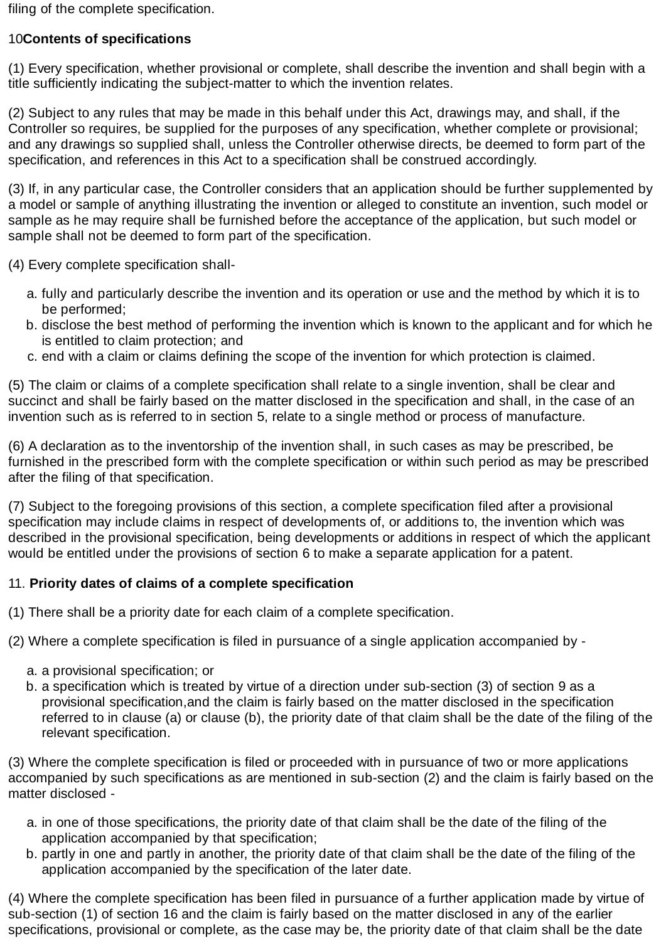filing of the complete specification.

## 10**Contents of specifications**

(1) Every specification, whether provisional or complete, shall describe the invention and shall begin with a title sufficiently indicating the subject-matter to which the invention relates.

(2) Subject to any rules that may be made in this behalf under this Act, drawings may, and shall, if the Controller so requires, be supplied for the purposes of any specification, whether complete or provisional; and any drawings so supplied shall, unless the Controller otherwise directs, be deemed to form part of the specification, and references in this Act to a specification shall be construed accordingly.

(3) If, in any particular case, the Controller considers that an application should be further supplemented by a model or sample of anything illustrating the invention or alleged to constitute an invention, such model or sample as he may require shall be furnished before the acceptance of the application, but such model or sample shall not be deemed to form part of the specification.

(4) Every complete specification shall-

- a. fully and particularly describe the invention and its operation or use and the method by which it is to be performed;
- b. disclose the best method of performing the invention which is known to the applicant and for which he is entitled to claim protection; and
- c. end with a claim or claims defining the scope of the invention for which protection is claimed.

(5) The claim or claims of a complete specification shall relate to a single invention, shall be clear and succinct and shall be fairly based on the matter disclosed in the specification and shall, in the case of an invention such as is referred to in section 5, relate to a single method or process of manufacture.

(6) A declaration as to the inventorship of the invention shall, in such cases as may be prescribed, be furnished in the prescribed form with the complete specification or within such period as may be prescribed after the filing of that specification.

(7) Subject to the foregoing provisions of this section, a complete specification filed after a provisional specification may include claims in respect of developments of, or additions to, the invention which was described in the provisional specification, being developments or additions in respect of which the applicant would be entitled under the provisions of section 6 to make a separate application for a patent.

## 11. **Priority dates of claims of a complete specification**

- (1) There shall be a priority date for each claim of a complete specification.
- (2) Where a complete specification is filed in pursuance of a single application accompanied by
	- a. a provisional specification; or
	- b. a specification which is treated by virtue of a direction under sub-section (3) of section 9 as a provisional specification,and the claim is fairly based on the matter disclosed in the specification referred to in clause (a) or clause (b), the priority date of that claim shall be the date of the filing of the relevant specification.

(3) Where the complete specification is filed or proceeded with in pursuance of two or more applications accompanied by such specifications as are mentioned in sub-section (2) and the claim is fairly based on the matter disclosed -

- a. in one of those specifications, the priority date of that claim shall be the date of the filing of the application accompanied by that specification;
- b. partly in one and partly in another, the priority date of that claim shall be the date of the filing of the application accompanied by the specification of the later date.

(4) Where the complete specification has been filed in pursuance of a further application made by virtue of sub-section (1) of section 16 and the claim is fairly based on the matter disclosed in any of the earlier specifications, provisional or complete, as the case may be, the priority date of that claim shall be the date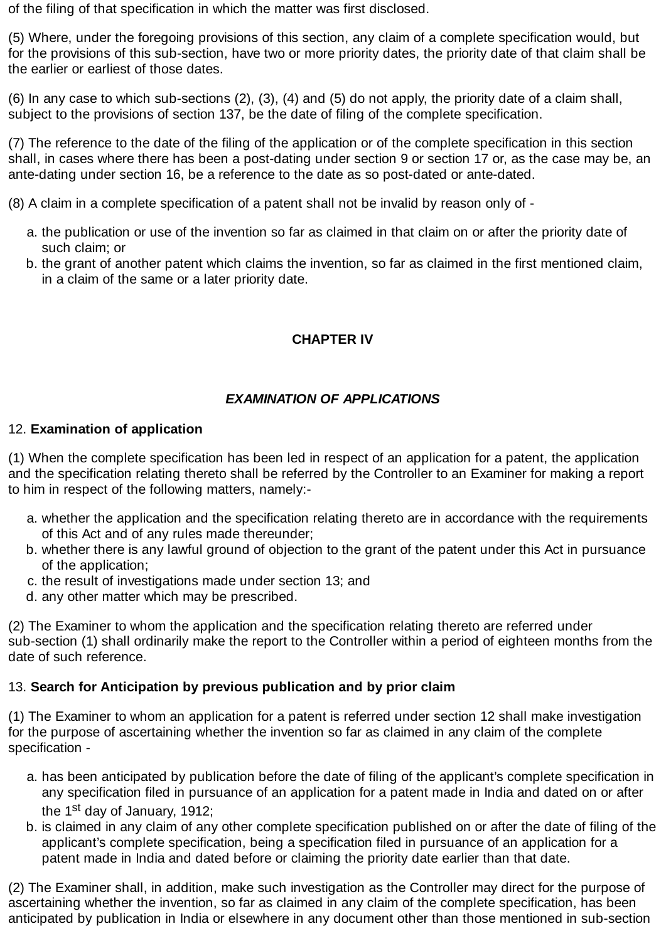of the filing of that specification in which the matter was first disclosed.

(5) Where, under the foregoing provisions of this section, any claim of a complete specification would, but for the provisions of this sub-section, have two or more priority dates, the priority date of that claim shall be the earlier or earliest of those dates.

(6) In any case to which sub-sections (2), (3), (4) and (5) do not apply, the priority date of a claim shall, subject to the provisions of section 137, be the date of filing of the complete specification.

(7) The reference to the date of the filing of the application or of the complete specification in this section shall, in cases where there has been a post-dating under section 9 or section 17 or, as the case may be, an ante-dating under section 16, be a reference to the date as so post-dated or ante-dated.

(8) A claim in a complete specification of a patent shall not be invalid by reason only of -

- a. the publication or use of the invention so far as claimed in that claim on or after the priority date of such claim; or
- b. the grant of another patent which claims the invention, so far as claimed in the first mentioned claim, in a claim of the same or a later priority date.

## **CHAPTER IV**

## *EXAMINATION OF APPLICATIONS*

### 12. **Examination of application**

(1) When the complete specification has been led in respect of an application for a patent, the application and the specification relating thereto shall be referred by the Controller to an Examiner for making a report to him in respect of the following matters, namely:-

- a. whether the application and the specification relating thereto are in accordance with the requirements of this Act and of any rules made thereunder;
- b. whether there is any lawful ground of objection to the grant of the patent under this Act in pursuance of the application;
- c. the result of investigations made under section 13; and
- d. any other matter which may be prescribed.

(2) The Examiner to whom the application and the specification relating thereto are referred under sub-section (1) shall ordinarily make the report to the Controller within a period of eighteen months from the date of such reference.

## 13. **Search for Anticipation by previous publication and by prior claim**

(1) The Examiner to whom an application for a patent is referred under section 12 shall make investigation for the purpose of ascertaining whether the invention so far as claimed in any claim of the complete specification -

- a. has been anticipated by publication before the date of filing of the applicant's complete specification in any specification filed in pursuance of an application for a patent made in India and dated on or after the 1<sup>st</sup> day of January, 1912;
- b. is claimed in any claim of any other complete specification published on or after the date of filing of the applicant's complete specification, being a specification filed in pursuance of an application for a patent made in India and dated before or claiming the priority date earlier than that date.

(2) The Examiner shall, in addition, make such investigation as the Controller may direct for the purpose of ascertaining whether the invention, so far as claimed in any claim of the complete specification, has been anticipated by publication in India or elsewhere in any document other than those mentioned in sub-section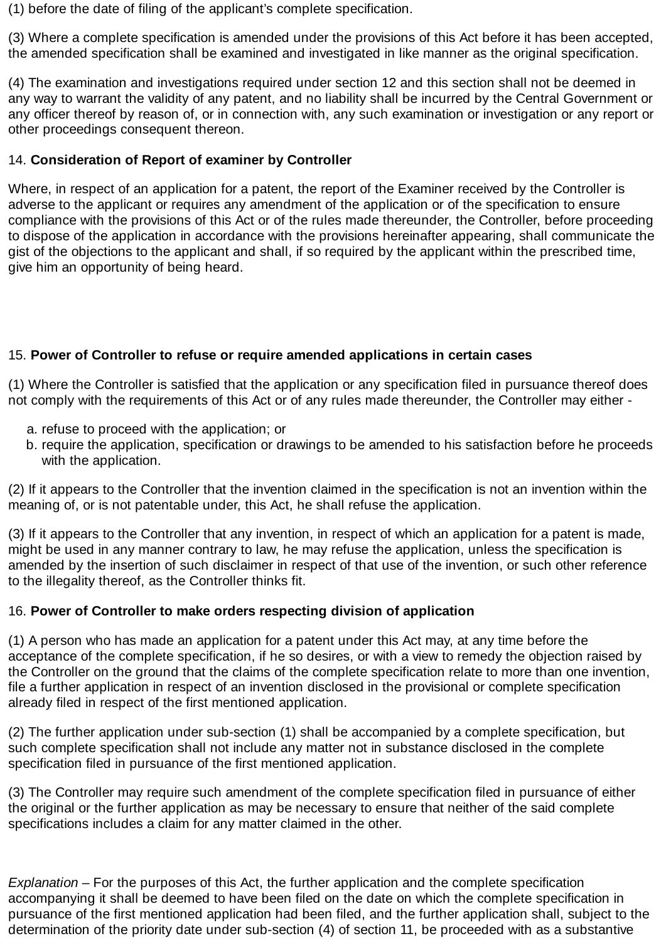(1) before the date of filing of the applicant's complete specification.

(3) Where a complete specification is amended under the provisions of this Act before it has been accepted, the amended specification shall be examined and investigated in like manner as the original specification.

(4) The examination and investigations required under section 12 and this section shall not be deemed in any way to warrant the validity of any patent, and no liability shall be incurred by the Central Government or any officer thereof by reason of, or in connection with, any such examination or investigation or any report or other proceedings consequent thereon.

### 14. **Consideration of Report of examiner by Controller**

Where, in respect of an application for a patent, the report of the Examiner received by the Controller is adverse to the applicant or requires any amendment of the application or of the specification to ensure compliance with the provisions of this Act or of the rules made thereunder, the Controller, before proceeding to dispose of the application in accordance with the provisions hereinafter appearing, shall communicate the gist of the objections to the applicant and shall, if so required by the applicant within the prescribed time, give him an opportunity of being heard.

### 15. **Power of Controller to refuse or require amended applications in certain cases**

(1) Where the Controller is satisfied that the application or any specification filed in pursuance thereof does not comply with the requirements of this Act or of any rules made thereunder, the Controller may either -

- a. refuse to proceed with the application; or
- b. require the application, specification or drawings to be amended to his satisfaction before he proceeds with the application.

(2) If it appears to the Controller that the invention claimed in the specification is not an invention within the meaning of, or is not patentable under, this Act, he shall refuse the application.

(3) If it appears to the Controller that any invention, in respect of which an application for a patent is made, might be used in any manner contrary to law, he may refuse the application, unless the specification is amended by the insertion of such disclaimer in respect of that use of the invention, or such other reference to the illegality thereof, as the Controller thinks fit.

## 16. **Power of Controller to make orders respecting division of application**

(1) A person who has made an application for a patent under this Act may, at any time before the acceptance of the complete specification, if he so desires, or with a view to remedy the objection raised by the Controller on the ground that the claims of the complete specification relate to more than one invention, file a further application in respect of an invention disclosed in the provisional or complete specification already filed in respect of the first mentioned application.

(2) The further application under sub-section (1) shall be accompanied by a complete specification, but such complete specification shall not include any matter not in substance disclosed in the complete specification filed in pursuance of the first mentioned application.

(3) The Controller may require such amendment of the complete specification filed in pursuance of either the original or the further application as may be necessary to ensure that neither of the said complete specifications includes a claim for any matter claimed in the other.

*Explanation* – For the purposes of this Act, the further application and the complete specification accompanying it shall be deemed to have been filed on the date on which the complete specification in pursuance of the first mentioned application had been filed, and the further application shall, subject to the determination of the priority date under sub-section (4) of section 11, be proceeded with as a substantive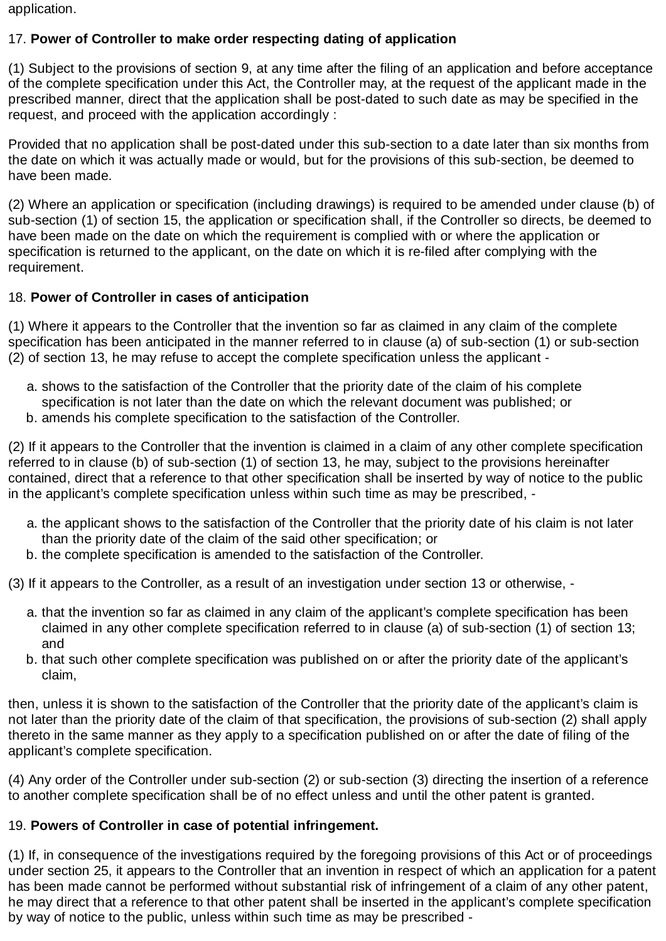application.

## 17. **Power of Controller to make order respecting dating of application**

(1) Subject to the provisions of section 9, at any time after the filing of an application and before acceptance of the complete specification under this Act, the Controller may, at the request of the applicant made in the prescribed manner, direct that the application shall be post-dated to such date as may be specified in the request, and proceed with the application accordingly :

Provided that no application shall be post-dated under this sub-section to a date later than six months from the date on which it was actually made or would, but for the provisions of this sub-section, be deemed to have been made.

(2) Where an application or specification (including drawings) is required to be amended under clause (b) of sub-section (1) of section 15, the application or specification shall, if the Controller so directs, be deemed to have been made on the date on which the requirement is complied with or where the application or specification is returned to the applicant, on the date on which it is re-filed after complying with the requirement.

## 18. **Power of Controller in cases of anticipation**

(1) Where it appears to the Controller that the invention so far as claimed in any claim of the complete specification has been anticipated in the manner referred to in clause (a) of sub-section (1) or sub-section (2) of section 13, he may refuse to accept the complete specification unless the applicant -

- a. shows to the satisfaction of the Controller that the priority date of the claim of his complete specification is not later than the date on which the relevant document was published; or
- b. amends his complete specification to the satisfaction of the Controller.

(2) If it appears to the Controller that the invention is claimed in a claim of any other complete specification referred to in clause (b) of sub-section (1) of section 13, he may, subject to the provisions hereinafter contained, direct that a reference to that other specification shall be inserted by way of notice to the public in the applicant's complete specification unless within such time as may be prescribed, -

- a. the applicant shows to the satisfaction of the Controller that the priority date of his claim is not later than the priority date of the claim of the said other specification; or
- b. the complete specification is amended to the satisfaction of the Controller.

(3) If it appears to the Controller, as a result of an investigation under section 13 or otherwise, -

- a. that the invention so far as claimed in any claim of the applicant's complete specification has been claimed in any other complete specification referred to in clause (a) of sub-section (1) of section 13; and
- b. that such other complete specification was published on or after the priority date of the applicant's claim,

then, unless it is shown to the satisfaction of the Controller that the priority date of the applicant's claim is not later than the priority date of the claim of that specification, the provisions of sub-section (2) shall apply thereto in the same manner as they apply to a specification published on or after the date of filing of the applicant's complete specification.

(4) Any order of the Controller under sub-section (2) or sub-section (3) directing the insertion of a reference to another complete specification shall be of no effect unless and until the other patent is granted.

## 19. **Powers of Controller in case of potential infringement.**

(1) If, in consequence of the investigations required by the foregoing provisions of this Act or of proceedings under section 25, it appears to the Controller that an invention in respect of which an application for a patent has been made cannot be performed without substantial risk of infringement of a claim of any other patent, he may direct that a reference to that other patent shall be inserted in the applicant's complete specification by way of notice to the public, unless within such time as may be prescribed -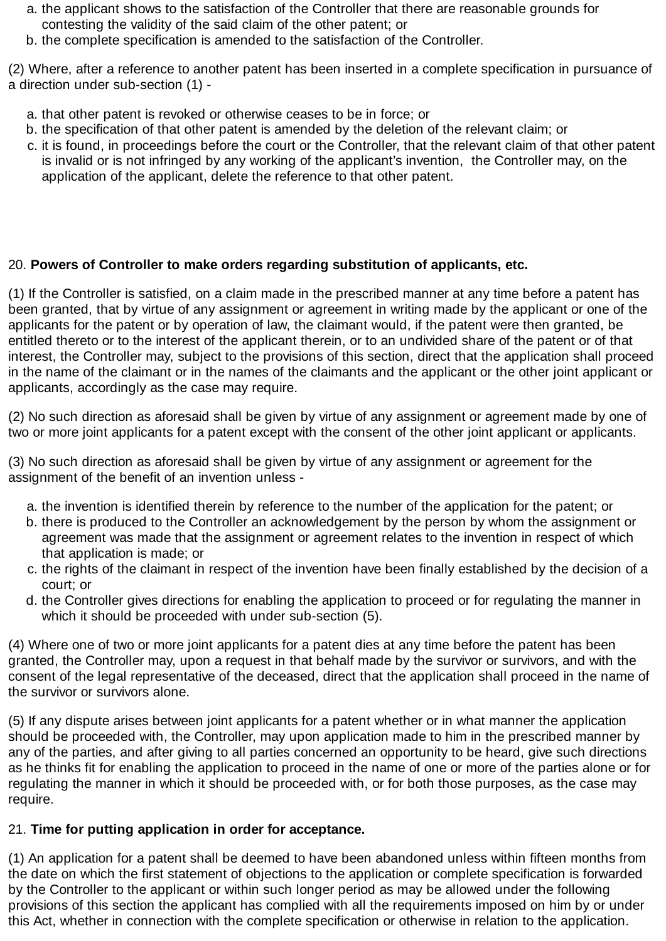- a. the applicant shows to the satisfaction of the Controller that there are reasonable grounds for contesting the validity of the said claim of the other patent; or
- b. the complete specification is amended to the satisfaction of the Controller.

(2) Where, after a reference to another patent has been inserted in a complete specification in pursuance of a direction under sub-section (1) -

- a. that other patent is revoked or otherwise ceases to be in force; or
- b. the specification of that other patent is amended by the deletion of the relevant claim; or
- c. it is found, in proceedings before the court or the Controller, that the relevant claim of that other patent is invalid or is not infringed by any working of the applicant's invention, the Controller may, on the application of the applicant, delete the reference to that other patent.

### 20. **Powers of Controller to make orders regarding substitution of applicants, etc.**

(1) If the Controller is satisfied, on a claim made in the prescribed manner at any time before a patent has been granted, that by virtue of any assignment or agreement in writing made by the applicant or one of the applicants for the patent or by operation of law, the claimant would, if the patent were then granted, be entitled thereto or to the interest of the applicant therein, or to an undivided share of the patent or of that interest, the Controller may, subject to the provisions of this section, direct that the application shall proceed in the name of the claimant or in the names of the claimants and the applicant or the other joint applicant or applicants, accordingly as the case may require.

(2) No such direction as aforesaid shall be given by virtue of any assignment or agreement made by one of two or more joint applicants for a patent except with the consent of the other joint applicant or applicants.

(3) No such direction as aforesaid shall be given by virtue of any assignment or agreement for the assignment of the benefit of an invention unless -

- a. the invention is identified therein by reference to the number of the application for the patent; or
- b. there is produced to the Controller an acknowledgement by the person by whom the assignment or agreement was made that the assignment or agreement relates to the invention in respect of which that application is made; or
- c. the rights of the claimant in respect of the invention have been finally established by the decision of a court; or
- d. the Controller gives directions for enabling the application to proceed or for regulating the manner in which it should be proceeded with under sub-section (5).

(4) Where one of two or more joint applicants for a patent dies at any time before the patent has been granted, the Controller may, upon a request in that behalf made by the survivor or survivors, and with the consent of the legal representative of the deceased, direct that the application shall proceed in the name of the survivor or survivors alone.

(5) If any dispute arises between joint applicants for a patent whether or in what manner the application should be proceeded with, the Controller, may upon application made to him in the prescribed manner by any of the parties, and after giving to all parties concerned an opportunity to be heard, give such directions as he thinks fit for enabling the application to proceed in the name of one or more of the parties alone or for regulating the manner in which it should be proceeded with, or for both those purposes, as the case may require.

#### 21. **Time for putting application in order for acceptance.**

(1) An application for a patent shall be deemed to have been abandoned unless within fifteen months from the date on which the first statement of objections to the application or complete specification is forwarded by the Controller to the applicant or within such longer period as may be allowed under the following provisions of this section the applicant has complied with all the requirements imposed on him by or under this Act, whether in connection with the complete specification or otherwise in relation to the application.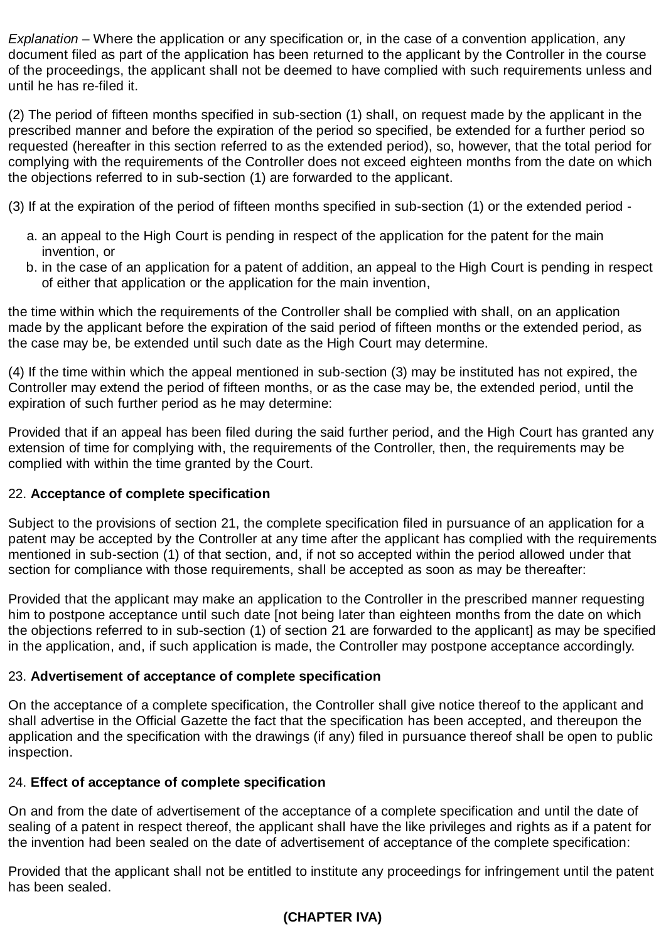*Explanation* – Where the application or any specification or, in the case of a convention application, any document filed as part of the application has been returned to the applicant by the Controller in the course of the proceedings, the applicant shall not be deemed to have complied with such requirements unless and until he has re-filed it.

(2) The period of fifteen months specified in sub-section (1) shall, on request made by the applicant in the prescribed manner and before the expiration of the period so specified, be extended for a further period so requested (hereafter in this section referred to as the extended period), so, however, that the total period for complying with the requirements of the Controller does not exceed eighteen months from the date on which the objections referred to in sub-section (1) are forwarded to the applicant.

(3) If at the expiration of the period of fifteen months specified in sub-section (1) or the extended period -

- a. an appeal to the High Court is pending in respect of the application for the patent for the main invention, or
- b. in the case of an application for a patent of addition, an appeal to the High Court is pending in respect of either that application or the application for the main invention,

the time within which the requirements of the Controller shall be complied with shall, on an application made by the applicant before the expiration of the said period of fifteen months or the extended period, as the case may be, be extended until such date as the High Court may determine.

(4) If the time within which the appeal mentioned in sub-section (3) may be instituted has not expired, the Controller may extend the period of fifteen months, or as the case may be, the extended period, until the expiration of such further period as he may determine:

Provided that if an appeal has been filed during the said further period, and the High Court has granted any extension of time for complying with, the requirements of the Controller, then, the requirements may be complied with within the time granted by the Court.

## 22. **Acceptance of complete specification**

Subject to the provisions of section 21, the complete specification filed in pursuance of an application for a patent may be accepted by the Controller at any time after the applicant has complied with the requirements mentioned in sub-section (1) of that section, and, if not so accepted within the period allowed under that section for compliance with those requirements, shall be accepted as soon as may be thereafter:

Provided that the applicant may make an application to the Controller in the prescribed manner requesting him to postpone acceptance until such date [not being later than eighteen months from the date on which the objections referred to in sub-section (1) of section 21 are forwarded to the applicant] as may be specified in the application, and, if such application is made, the Controller may postpone acceptance accordingly.

#### 23. **Advertisement of acceptance of complete specification**

On the acceptance of a complete specification, the Controller shall give notice thereof to the applicant and shall advertise in the Official Gazette the fact that the specification has been accepted, and thereupon the application and the specification with the drawings (if any) filed in pursuance thereof shall be open to public inspection.

## 24. **Effect of acceptance of complete specification**

On and from the date of advertisement of the acceptance of a complete specification and until the date of sealing of a patent in respect thereof, the applicant shall have the like privileges and rights as if a patent for the invention had been sealed on the date of advertisement of acceptance of the complete specification:

Provided that the applicant shall not be entitled to institute any proceedings for infringement until the patent has been sealed.

## **(CHAPTER IVA)**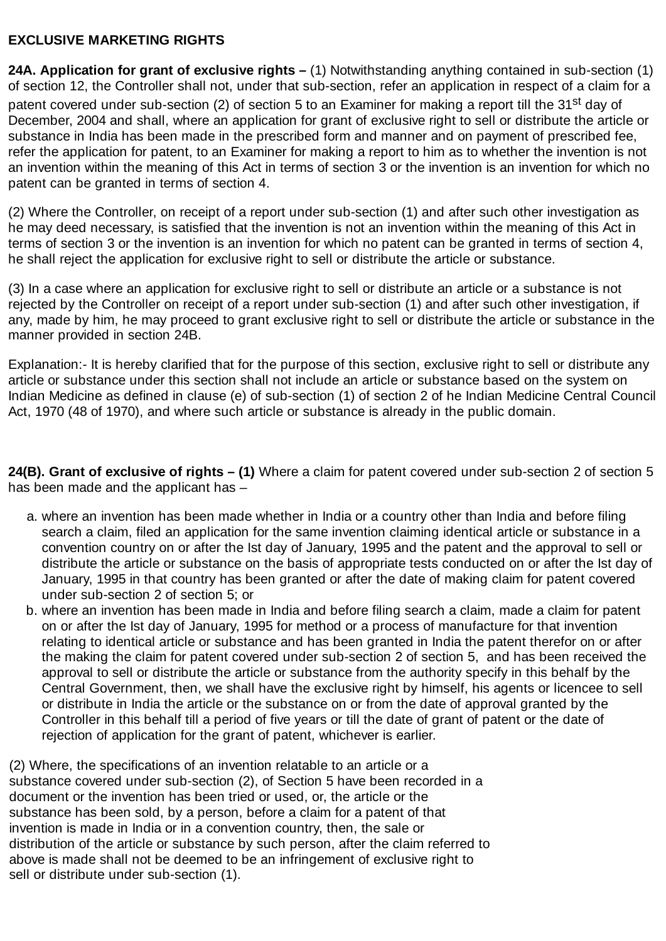#### **EXCLUSIVE MARKETING RIGHTS**

**24A. Application for grant of exclusive rights –** (1) Notwithstanding anything contained in sub-section (1) of section 12, the Controller shall not, under that sub-section, refer an application in respect of a claim for a

patent covered under sub-section (2) of section 5 to an Examiner for making a report till the 31<sup>st</sup> day of December, 2004 and shall, where an application for grant of exclusive right to sell or distribute the article or substance in India has been made in the prescribed form and manner and on payment of prescribed fee, refer the application for patent, to an Examiner for making a report to him as to whether the invention is not an invention within the meaning of this Act in terms of section 3 or the invention is an invention for which no patent can be granted in terms of section 4.

(2) Where the Controller, on receipt of a report under sub-section (1) and after such other investigation as he may deed necessary, is satisfied that the invention is not an invention within the meaning of this Act in terms of section 3 or the invention is an invention for which no patent can be granted in terms of section 4, he shall reject the application for exclusive right to sell or distribute the article or substance.

(3) In a case where an application for exclusive right to sell or distribute an article or a substance is not rejected by the Controller on receipt of a report under sub-section (1) and after such other investigation, if any, made by him, he may proceed to grant exclusive right to sell or distribute the article or substance in the manner provided in section 24B.

Explanation:- It is hereby clarified that for the purpose of this section, exclusive right to sell or distribute any article or substance under this section shall not include an article or substance based on the system on Indian Medicine as defined in clause (e) of sub-section (1) of section 2 of he Indian Medicine Central Council Act, 1970 (48 of 1970), and where such article or substance is already in the public domain.

**24(B). Grant of exclusive of rights – (1)** Where a claim for patent covered under sub-section 2 of section 5 has been made and the applicant has –

- where an invention has been made whether in India or a country other than India and before filing a. search a claim, filed an application for the same invention claiming identical article or substance in a convention country on or after the Ist day of January, 1995 and the patent and the approval to sell or distribute the article or substance on the basis of appropriate tests conducted on or after the Ist day of January, 1995 in that country has been granted or after the date of making claim for patent covered under sub-section 2 of section 5; or
- b. where an invention has been made in India and before filing search a claim, made a claim for patent on or after the Ist day of January, 1995 for method or a process of manufacture for that invention relating to identical article or substance and has been granted in India the patent therefor on or after the making the claim for patent covered under sub-section 2 of section 5, and has been received the approval to sell or distribute the article or substance from the authority specify in this behalf by the Central Government, then, we shall have the exclusive right by himself, his agents or licencee to sell or distribute in India the article or the substance on or from the date of approval granted by the Controller in this behalf till a period of five years or till the date of grant of patent or the date of rejection of application for the grant of patent, whichever is earlier.

(2) Where, the specifications of an invention relatable to an article or a substance covered under sub-section (2), of Section 5 have been recorded in a document or the invention has been tried or used, or, the article or the substance has been sold, by a person, before a claim for a patent of that invention is made in India or in a convention country, then, the sale or distribution of the article or substance by such person, after the claim referred to above is made shall not be deemed to be an infringement of exclusive right to sell or distribute under sub-section (1).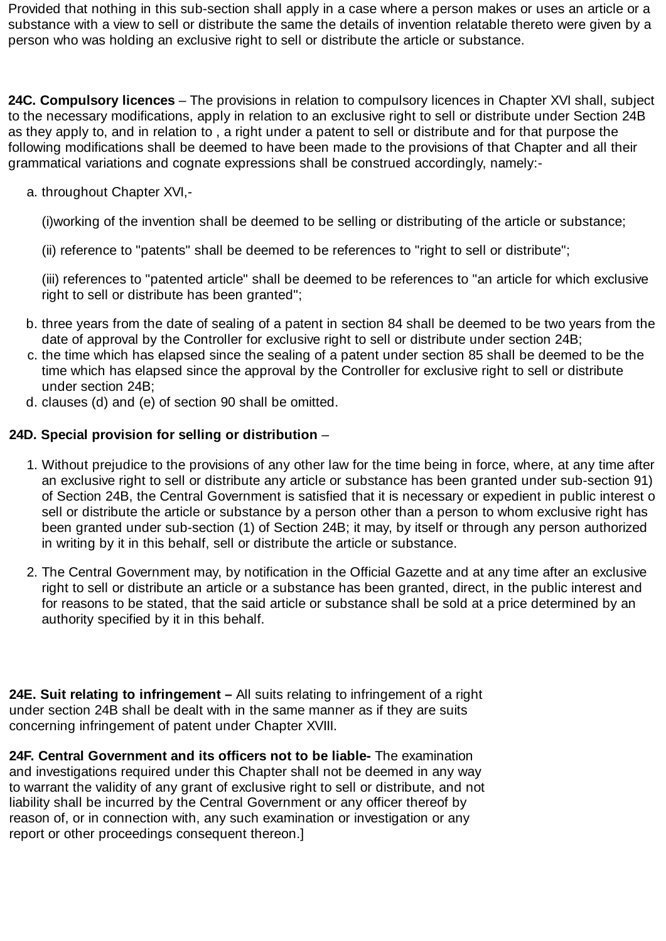Provided that nothing in this sub-section shall apply in a case where a person makes or uses an article or a substance with a view to sell or distribute the same the details of invention relatable thereto were given by a person who was holding an exclusive right to sell or distribute the article or substance.

**24C. Compulsory licences** – The provisions in relation to compulsory licences in Chapter XVI shall, subject to the necessary modifications, apply in relation to an exclusive right to sell or distribute under Section 24B as they apply to, and in relation to , a right under a patent to sell or distribute and for that purpose the following modifications shall be deemed to have been made to the provisions of that Chapter and all their grammatical variations and cognate expressions shall be construed accordingly, namely:-

a. throughout Chapter XVI,-

(i)working of the invention shall be deemed to be selling or distributing of the article or substance;

(ii) reference to "patents" shall be deemed to be references to "right to sell or distribute";

(iii) references to "patented article" shall be deemed to be references to "an article for which exclusive right to sell or distribute has been granted";

- b. three years from the date of sealing of a patent in section 84 shall be deemed to be two years from the date of approval by the Controller for exclusive right to sell or distribute under section 24B;
- c. the time which has elapsed since the sealing of a patent under section 85 shall be deemed to be the time which has elapsed since the approval by the Controller for exclusive right to sell or distribute under section 24B;
- d. clauses (d) and (e) of section 90 shall be omitted.

## **24D. Special provision for selling or distribution** –

- Without prejudice to the provisions of any other law for the time being in force, where, at any time after 1. an exclusive right to sell or distribute any article or substance has been granted under sub-section 91) of Section 24B, the Central Government is satisfied that it is necessary or expedient in public interest o sell or distribute the article or substance by a person other than a person to whom exclusive right has been granted under sub-section (1) of Section 24B; it may, by itself or through any person authorized in writing by it in this behalf, sell or distribute the article or substance.
- 2. The Central Government may, by notification in the Official Gazette and at any time after an exclusive right to sell or distribute an article or a substance has been granted, direct, in the public interest and for reasons to be stated, that the said article or substance shall be sold at a price determined by an authority specified by it in this behalf.

**24E. Suit relating to infringement –** All suits relating to infringement of a right under section 24B shall be dealt with in the same manner as if they are suits concerning infringement of patent under Chapter XVIII.

**24F. Central Government and its officers not to be liable-** The examination and investigations required under this Chapter shall not be deemed in any way to warrant the validity of any grant of exclusive right to sell or distribute, and not liability shall be incurred by the Central Government or any officer thereof by reason of, or in connection with, any such examination or investigation or any report or other proceedings consequent thereon.]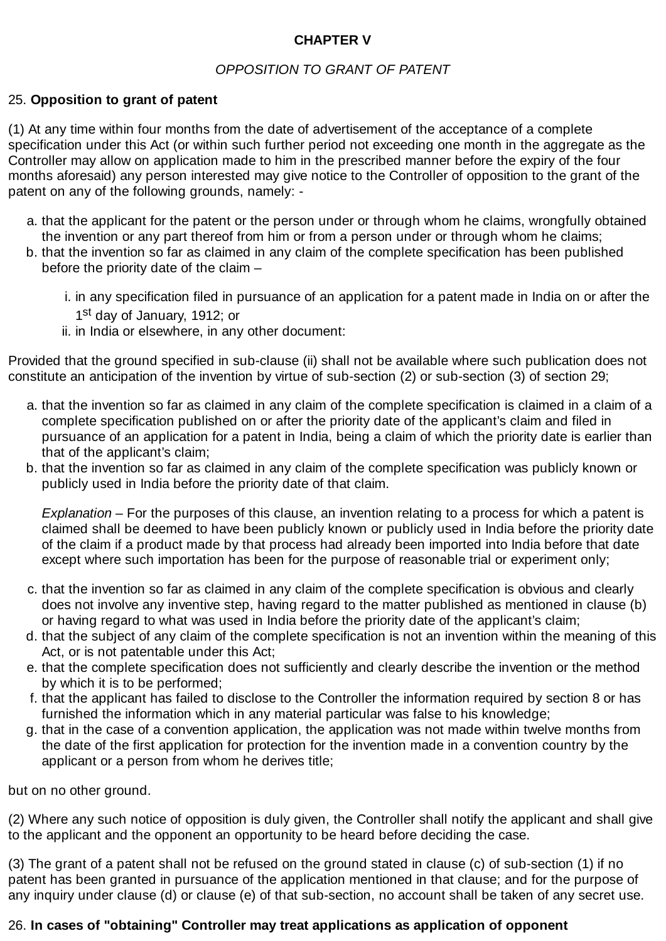## **CHAPTER V**

## *OPPOSITION TO GRANT OF PATENT*

## 25. **Opposition to grant of patent**

(1) At any time within four months from the date of advertisement of the acceptance of a complete specification under this Act (or within such further period not exceeding one month in the aggregate as the Controller may allow on application made to him in the prescribed manner before the expiry of the four months aforesaid) any person interested may give notice to the Controller of opposition to the grant of the patent on any of the following grounds, namely: -

- a. that the applicant for the patent or the person under or through whom he claims, wrongfully obtained the invention or any part thereof from him or from a person under or through whom he claims;
- b. that the invention so far as claimed in any claim of the complete specification has been published before the priority date of the claim –
	- i. in any specification filed in pursuance of an application for a patent made in India on or after the 1st day of January, 1912; or
	- ii. in India or elsewhere, in any other document:

Provided that the ground specified in sub-clause (ii) shall not be available where such publication does not constitute an anticipation of the invention by virtue of sub-section (2) or sub-section (3) of section 29;

- a. that the invention so far as claimed in any claim of the complete specification is claimed in a claim of a complete specification published on or after the priority date of the applicant's claim and filed in pursuance of an application for a patent in India, being a claim of which the priority date is earlier than that of the applicant's claim;
- b. that the invention so far as claimed in any claim of the complete specification was publicly known or publicly used in India before the priority date of that claim.

*Explanation* – For the purposes of this clause, an invention relating to a process for which a patent is claimed shall be deemed to have been publicly known or publicly used in India before the priority date of the claim if a product made by that process had already been imported into India before that date except where such importation has been for the purpose of reasonable trial or experiment only;

- c. that the invention so far as claimed in any claim of the complete specification is obvious and clearly does not involve any inventive step, having regard to the matter published as mentioned in clause (b) or having regard to what was used in India before the priority date of the applicant's claim;
- d. that the subject of any claim of the complete specification is not an invention within the meaning of this Act, or is not patentable under this Act;
- e. that the complete specification does not sufficiently and clearly describe the invention or the method by which it is to be performed;
- f. that the applicant has failed to disclose to the Controller the information required by section 8 or has furnished the information which in any material particular was false to his knowledge;
- g. that in the case of a convention application, the application was not made within twelve months from the date of the first application for protection for the invention made in a convention country by the applicant or a person from whom he derives title;

but on no other ground.

(2) Where any such notice of opposition is duly given, the Controller shall notify the applicant and shall give to the applicant and the opponent an opportunity to be heard before deciding the case.

(3) The grant of a patent shall not be refused on the ground stated in clause (c) of sub-section (1) if no patent has been granted in pursuance of the application mentioned in that clause; and for the purpose of any inquiry under clause (d) or clause (e) of that sub-section, no account shall be taken of any secret use.

## 26. **In cases of "obtaining" Controller may treat applications as application of opponent**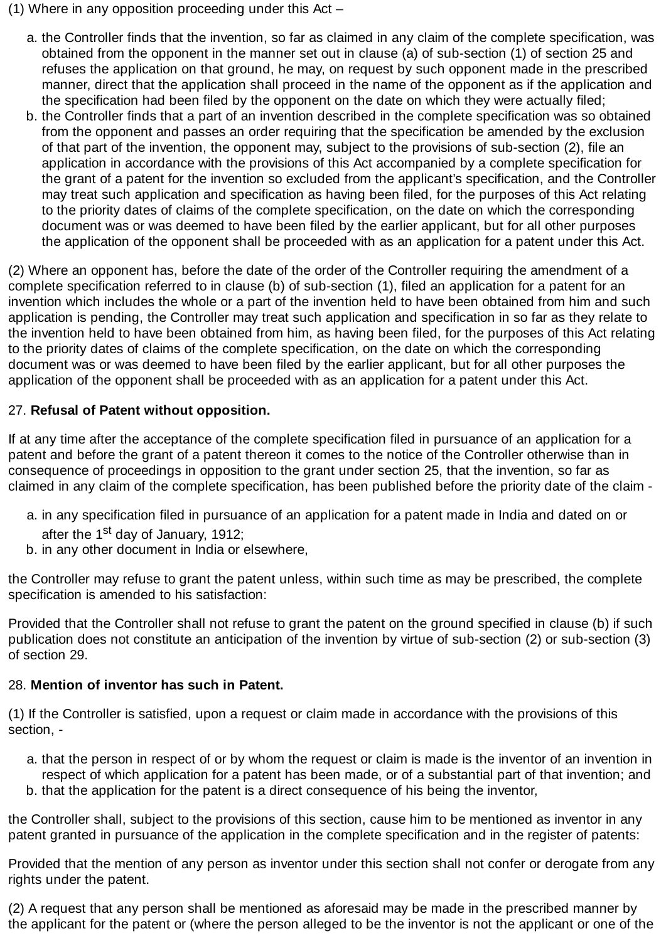- (1) Where in any opposition proceeding under this Act
	- a. the Controller finds that the invention, so far as claimed in any claim of the complete specification, was obtained from the opponent in the manner set out in clause (a) of sub-section (1) of section 25 and refuses the application on that ground, he may, on request by such opponent made in the prescribed manner, direct that the application shall proceed in the name of the opponent as if the application and the specification had been filed by the opponent on the date on which they were actually filed;
	- b. the Controller finds that a part of an invention described in the complete specification was so obtained from the opponent and passes an order requiring that the specification be amended by the exclusion of that part of the invention, the opponent may, subject to the provisions of sub-section (2), file an application in accordance with the provisions of this Act accompanied by a complete specification for the grant of a patent for the invention so excluded from the applicant's specification, and the Controller may treat such application and specification as having been filed, for the purposes of this Act relating to the priority dates of claims of the complete specification, on the date on which the corresponding document was or was deemed to have been filed by the earlier applicant, but for all other purposes the application of the opponent shall be proceeded with as an application for a patent under this Act.

(2) Where an opponent has, before the date of the order of the Controller requiring the amendment of a complete specification referred to in clause (b) of sub-section (1), filed an application for a patent for an invention which includes the whole or a part of the invention held to have been obtained from him and such application is pending, the Controller may treat such application and specification in so far as they relate to the invention held to have been obtained from him, as having been filed, for the purposes of this Act relating to the priority dates of claims of the complete specification, on the date on which the corresponding document was or was deemed to have been filed by the earlier applicant, but for all other purposes the application of the opponent shall be proceeded with as an application for a patent under this Act.

## 27. **Refusal of Patent without opposition.**

If at any time after the acceptance of the complete specification filed in pursuance of an application for a patent and before the grant of a patent thereon it comes to the notice of the Controller otherwise than in consequence of proceedings in opposition to the grant under section 25, that the invention, so far as claimed in any claim of the complete specification, has been published before the priority date of the claim -

- a. in any specification filed in pursuance of an application for a patent made in India and dated on or after the 1<sup>st</sup> day of January, 1912;
- b. in any other document in India or elsewhere,

the Controller may refuse to grant the patent unless, within such time as may be prescribed, the complete specification is amended to his satisfaction:

Provided that the Controller shall not refuse to grant the patent on the ground specified in clause (b) if such publication does not constitute an anticipation of the invention by virtue of sub-section (2) or sub-section (3) of section 29.

## 28. **Mention of inventor has such in Patent.**

(1) If the Controller is satisfied, upon a request or claim made in accordance with the provisions of this section, -

- a. that the person in respect of or by whom the request or claim is made is the inventor of an invention in respect of which application for a patent has been made, or of a substantial part of that invention; and
- b. that the application for the patent is a direct consequence of his being the inventor,

the Controller shall, subject to the provisions of this section, cause him to be mentioned as inventor in any patent granted in pursuance of the application in the complete specification and in the register of patents:

Provided that the mention of any person as inventor under this section shall not confer or derogate from any rights under the patent.

(2) A request that any person shall be mentioned as aforesaid may be made in the prescribed manner by the applicant for the patent or (where the person alleged to be the inventor is not the applicant or one of the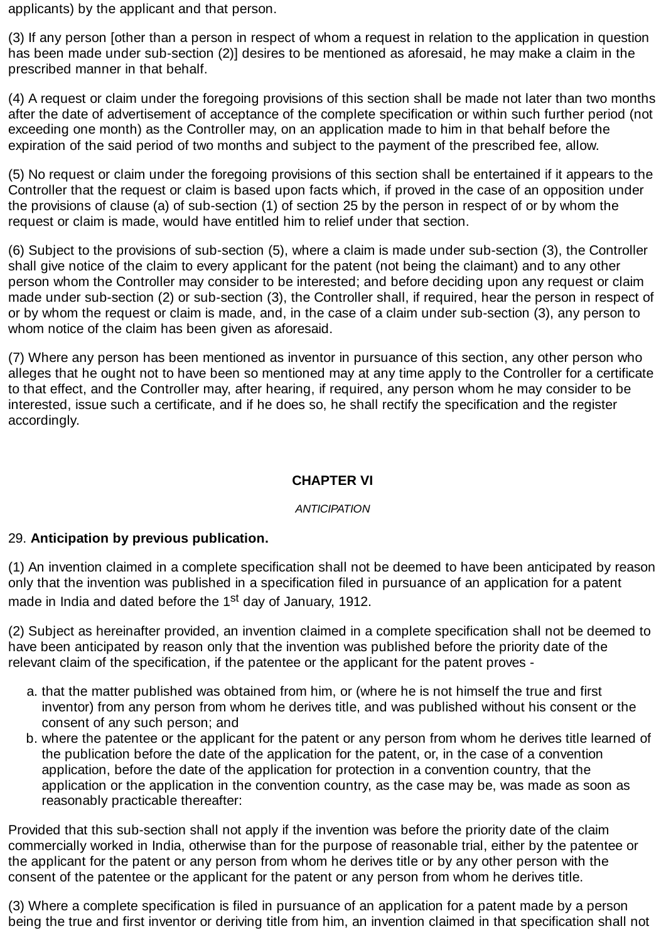applicants) by the applicant and that person.

(3) If any person [other than a person in respect of whom a request in relation to the application in question has been made under sub-section (2)] desires to be mentioned as aforesaid, he may make a claim in the prescribed manner in that behalf.

(4) A request or claim under the foregoing provisions of this section shall be made not later than two months after the date of advertisement of acceptance of the complete specification or within such further period (not exceeding one month) as the Controller may, on an application made to him in that behalf before the expiration of the said period of two months and subject to the payment of the prescribed fee, allow.

(5) No request or claim under the foregoing provisions of this section shall be entertained if it appears to the Controller that the request or claim is based upon facts which, if proved in the case of an opposition under the provisions of clause (a) of sub-section (1) of section 25 by the person in respect of or by whom the request or claim is made, would have entitled him to relief under that section.

(6) Subject to the provisions of sub-section (5), where a claim is made under sub-section (3), the Controller shall give notice of the claim to every applicant for the patent (not being the claimant) and to any other person whom the Controller may consider to be interested; and before deciding upon any request or claim made under sub-section (2) or sub-section (3), the Controller shall, if required, hear the person in respect of or by whom the request or claim is made, and, in the case of a claim under sub-section (3), any person to whom notice of the claim has been given as aforesaid.

(7) Where any person has been mentioned as inventor in pursuance of this section, any other person who alleges that he ought not to have been so mentioned may at any time apply to the Controller for a certificate to that effect, and the Controller may, after hearing, if required, any person whom he may consider to be interested, issue such a certificate, and if he does so, he shall rectify the specification and the register accordingly.

#### **CHAPTER VI**

#### *ANTICIPATION*

## 29. **Anticipation by previous publication.**

(1) An invention claimed in a complete specification shall not be deemed to have been anticipated by reason only that the invention was published in a specification filed in pursuance of an application for a patent made in India and dated before the 1<sup>st</sup> day of January, 1912.

(2) Subject as hereinafter provided, an invention claimed in a complete specification shall not be deemed to have been anticipated by reason only that the invention was published before the priority date of the relevant claim of the specification, if the patentee or the applicant for the patent proves -

- a. that the matter published was obtained from him, or (where he is not himself the true and first inventor) from any person from whom he derives title, and was published without his consent or the consent of any such person; and
- b. where the patentee or the applicant for the patent or any person from whom he derives title learned of the publication before the date of the application for the patent, or, in the case of a convention application, before the date of the application for protection in a convention country, that the application or the application in the convention country, as the case may be, was made as soon as reasonably practicable thereafter:

Provided that this sub-section shall not apply if the invention was before the priority date of the claim commercially worked in India, otherwise than for the purpose of reasonable trial, either by the patentee or the applicant for the patent or any person from whom he derives title or by any other person with the consent of the patentee or the applicant for the patent or any person from whom he derives title.

(3) Where a complete specification is filed in pursuance of an application for a patent made by a person being the true and first inventor or deriving title from him, an invention claimed in that specification shall not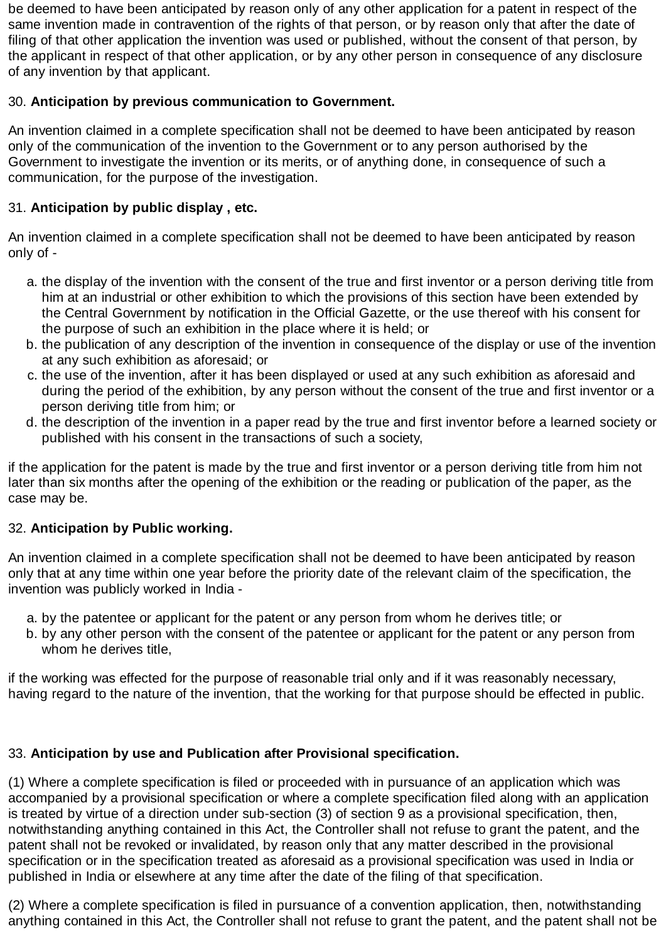be deemed to have been anticipated by reason only of any other application for a patent in respect of the same invention made in contravention of the rights of that person, or by reason only that after the date of filing of that other application the invention was used or published, without the consent of that person, by the applicant in respect of that other application, or by any other person in consequence of any disclosure of any invention by that applicant.

## 30. **Anticipation by previous communication to Government.**

An invention claimed in a complete specification shall not be deemed to have been anticipated by reason only of the communication of the invention to the Government or to any person authorised by the Government to investigate the invention or its merits, or of anything done, in consequence of such a communication, for the purpose of the investigation.

## 31. **Anticipation by public display , etc.**

An invention claimed in a complete specification shall not be deemed to have been anticipated by reason only of -

- a. the display of the invention with the consent of the true and first inventor or a person deriving title from him at an industrial or other exhibition to which the provisions of this section have been extended by the Central Government by notification in the Official Gazette, or the use thereof with his consent for the purpose of such an exhibition in the place where it is held; or
- b. the publication of any description of the invention in consequence of the display or use of the invention at any such exhibition as aforesaid; or
- c. the use of the invention, after it has been displayed or used at any such exhibition as aforesaid and during the period of the exhibition, by any person without the consent of the true and first inventor or a person deriving title from him; or
- d. the description of the invention in a paper read by the true and first inventor before a learned society or published with his consent in the transactions of such a society,

if the application for the patent is made by the true and first inventor or a person deriving title from him not later than six months after the opening of the exhibition or the reading or publication of the paper, as the case may be.

## 32. **Anticipation by Public working.**

An invention claimed in a complete specification shall not be deemed to have been anticipated by reason only that at any time within one year before the priority date of the relevant claim of the specification, the invention was publicly worked in India -

- a. by the patentee or applicant for the patent or any person from whom he derives title; or
- b. by any other person with the consent of the patentee or applicant for the patent or any person from whom he derives title,

if the working was effected for the purpose of reasonable trial only and if it was reasonably necessary, having regard to the nature of the invention, that the working for that purpose should be effected in public.

## 33. **Anticipation by use and Publication after Provisional specification.**

(1) Where a complete specification is filed or proceeded with in pursuance of an application which was accompanied by a provisional specification or where a complete specification filed along with an application is treated by virtue of a direction under sub-section (3) of section 9 as a provisional specification, then, notwithstanding anything contained in this Act, the Controller shall not refuse to grant the patent, and the patent shall not be revoked or invalidated, by reason only that any matter described in the provisional specification or in the specification treated as aforesaid as a provisional specification was used in India or published in India or elsewhere at any time after the date of the filing of that specification.

(2) Where a complete specification is filed in pursuance of a convention application, then, notwithstanding anything contained in this Act, the Controller shall not refuse to grant the patent, and the patent shall not be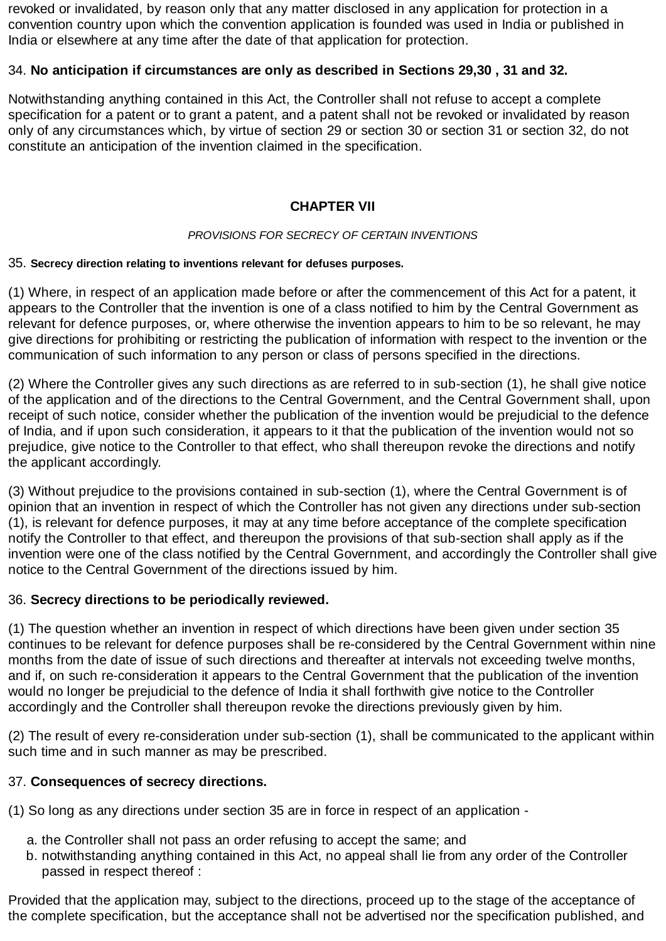revoked or invalidated, by reason only that any matter disclosed in any application for protection in a convention country upon which the convention application is founded was used in India or published in India or elsewhere at any time after the date of that application for protection.

### 34. **No anticipation if circumstances are only as described in Sections 29,30 , 31 and 32.**

Notwithstanding anything contained in this Act, the Controller shall not refuse to accept a complete specification for a patent or to grant a patent, and a patent shall not be revoked or invalidated by reason only of any circumstances which, by virtue of section 29 or section 30 or section 31 or section 32, do not constitute an anticipation of the invention claimed in the specification.

#### **CHAPTER VII**

#### *PROVISIONS FOR SECRECY OF CERTAIN INVENTIONS*

#### 35. **Secrecy direction relating to inventions relevant for defuses purposes.**

(1) Where, in respect of an application made before or after the commencement of this Act for a patent, it appears to the Controller that the invention is one of a class notified to him by the Central Government as relevant for defence purposes, or, where otherwise the invention appears to him to be so relevant, he may give directions for prohibiting or restricting the publication of information with respect to the invention or the communication of such information to any person or class of persons specified in the directions.

(2) Where the Controller gives any such directions as are referred to in sub-section (1), he shall give notice of the application and of the directions to the Central Government, and the Central Government shall, upon receipt of such notice, consider whether the publication of the invention would be prejudicial to the defence of India, and if upon such consideration, it appears to it that the publication of the invention would not so prejudice, give notice to the Controller to that effect, who shall thereupon revoke the directions and notify the applicant accordingly.

(3) Without prejudice to the provisions contained in sub-section (1), where the Central Government is of opinion that an invention in respect of which the Controller has not given any directions under sub-section (1), is relevant for defence purposes, it may at any time before acceptance of the complete specification notify the Controller to that effect, and thereupon the provisions of that sub-section shall apply as if the invention were one of the class notified by the Central Government, and accordingly the Controller shall give notice to the Central Government of the directions issued by him.

#### 36. **Secrecy directions to be periodically reviewed.**

(1) The question whether an invention in respect of which directions have been given under section 35 continues to be relevant for defence purposes shall be re-considered by the Central Government within nine months from the date of issue of such directions and thereafter at intervals not exceeding twelve months, and if, on such re-consideration it appears to the Central Government that the publication of the invention would no longer be prejudicial to the defence of India it shall forthwith give notice to the Controller accordingly and the Controller shall thereupon revoke the directions previously given by him.

(2) The result of every re-consideration under sub-section (1), shall be communicated to the applicant within such time and in such manner as may be prescribed.

#### 37. **Consequences of secrecy directions.**

(1) So long as any directions under section 35 are in force in respect of an application -

- a. the Controller shall not pass an order refusing to accept the same; and
- b. notwithstanding anything contained in this Act, no appeal shall lie from any order of the Controller passed in respect thereof :

Provided that the application may, subject to the directions, proceed up to the stage of the acceptance of the complete specification, but the acceptance shall not be advertised nor the specification published, and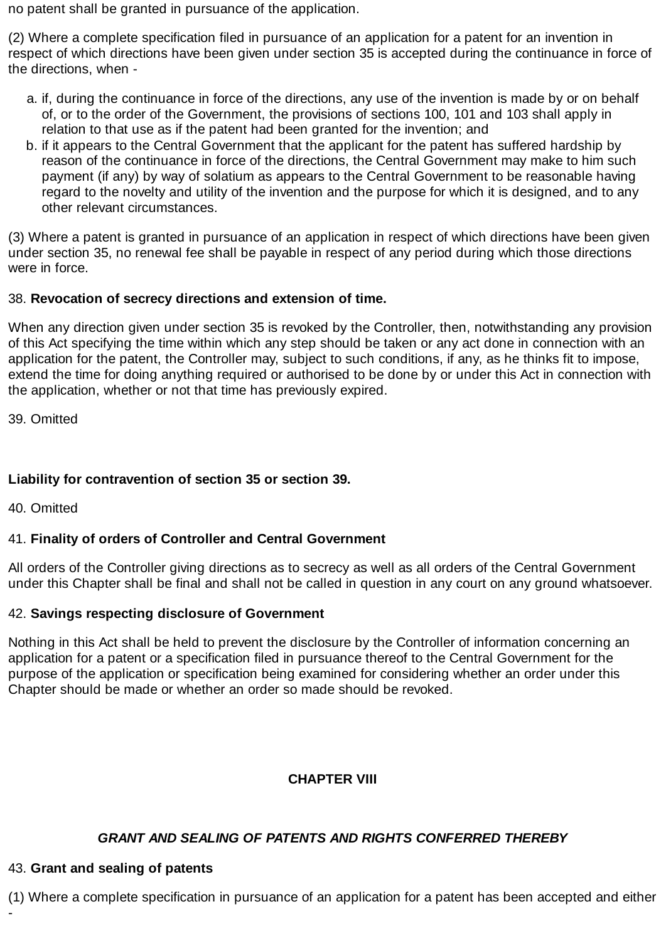no patent shall be granted in pursuance of the application.

(2) Where a complete specification filed in pursuance of an application for a patent for an invention in respect of which directions have been given under section 35 is accepted during the continuance in force of the directions, when -

- a. if, during the continuance in force of the directions, any use of the invention is made by or on behalf of, or to the order of the Government, the provisions of sections 100, 101 and 103 shall apply in relation to that use as if the patent had been granted for the invention; and
- b. if it appears to the Central Government that the applicant for the patent has suffered hardship by reason of the continuance in force of the directions, the Central Government may make to him such payment (if any) by way of solatium as appears to the Central Government to be reasonable having regard to the novelty and utility of the invention and the purpose for which it is designed, and to any other relevant circumstances.

(3) Where a patent is granted in pursuance of an application in respect of which directions have been given under section 35, no renewal fee shall be payable in respect of any period during which those directions were in force.

## 38. **Revocation of secrecy directions and extension of time.**

When any direction given under section 35 is revoked by the Controller, then, notwithstanding any provision of this Act specifying the time within which any step should be taken or any act done in connection with an application for the patent, the Controller may, subject to such conditions, if any, as he thinks fit to impose, extend the time for doing anything required or authorised to be done by or under this Act in connection with the application, whether or not that time has previously expired.

39. Omitted

## **Liability for contravention of section 35 or section 39.**

40. Omitted

## 41. **Finality of orders of Controller and Central Government**

All orders of the Controller giving directions as to secrecy as well as all orders of the Central Government under this Chapter shall be final and shall not be called in question in any court on any ground whatsoever.

## 42. **Savings respecting disclosure of Government**

Nothing in this Act shall be held to prevent the disclosure by the Controller of information concerning an application for a patent or a specification filed in pursuance thereof to the Central Government for the purpose of the application or specification being examined for considering whether an order under this Chapter should be made or whether an order so made should be revoked.

## **CHAPTER VIII**

## *GRANT AND SEALING OF PATENTS AND RIGHTS CONFERRED THEREBY*

## 43. **Grant and sealing of patents**

(1) Where a complete specification in pursuance of an application for a patent has been accepted and either -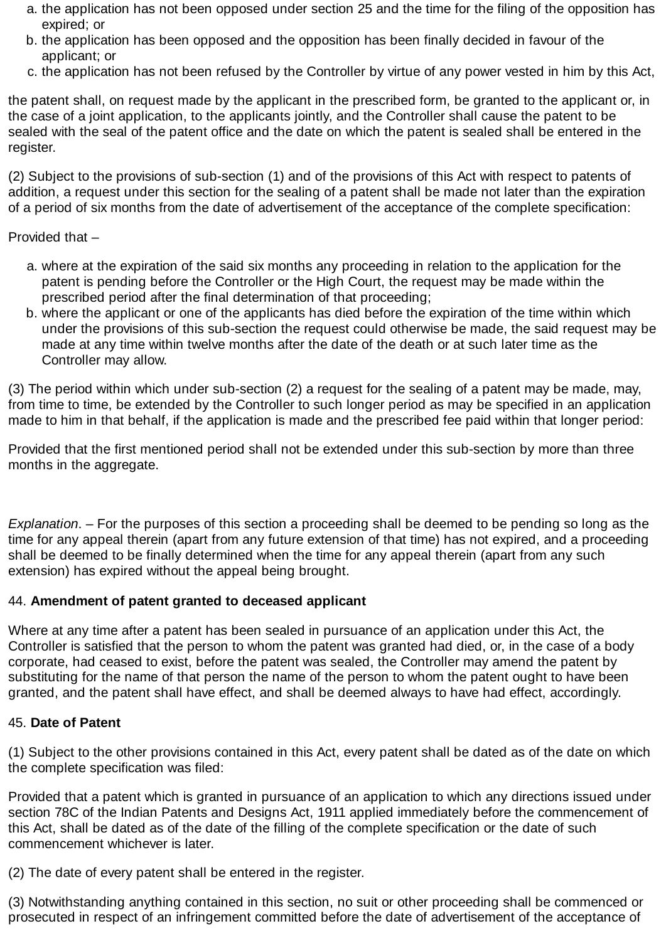- a. the application has not been opposed under section 25 and the time for the filing of the opposition has expired; or
- b. the application has been opposed and the opposition has been finally decided in favour of the applicant; or
- c. the application has not been refused by the Controller by virtue of any power vested in him by this Act,

the patent shall, on request made by the applicant in the prescribed form, be granted to the applicant or, in the case of a joint application, to the applicants jointly, and the Controller shall cause the patent to be sealed with the seal of the patent office and the date on which the patent is sealed shall be entered in the register.

(2) Subject to the provisions of sub-section (1) and of the provisions of this Act with respect to patents of addition, a request under this section for the sealing of a patent shall be made not later than the expiration of a period of six months from the date of advertisement of the acceptance of the complete specification:

#### Provided that –

- a. where at the expiration of the said six months any proceeding in relation to the application for the patent is pending before the Controller or the High Court, the request may be made within the prescribed period after the final determination of that proceeding;
- b. where the applicant or one of the applicants has died before the expiration of the time within which under the provisions of this sub-section the request could otherwise be made, the said request may be made at any time within twelve months after the date of the death or at such later time as the Controller may allow.

(3) The period within which under sub-section (2) a request for the sealing of a patent may be made, may, from time to time, be extended by the Controller to such longer period as may be specified in an application made to him in that behalf, if the application is made and the prescribed fee paid within that longer period:

Provided that the first mentioned period shall not be extended under this sub-section by more than three months in the aggregate.

*Explanation*. – For the purposes of this section a proceeding shall be deemed to be pending so long as the time for any appeal therein (apart from any future extension of that time) has not expired, and a proceeding shall be deemed to be finally determined when the time for any appeal therein (apart from any such extension) has expired without the appeal being brought.

#### 44. **Amendment of patent granted to deceased applicant**

Where at any time after a patent has been sealed in pursuance of an application under this Act, the Controller is satisfied that the person to whom the patent was granted had died, or, in the case of a body corporate, had ceased to exist, before the patent was sealed, the Controller may amend the patent by substituting for the name of that person the name of the person to whom the patent ought to have been granted, and the patent shall have effect, and shall be deemed always to have had effect, accordingly.

#### 45. **Date of Patent**

(1) Subject to the other provisions contained in this Act, every patent shall be dated as of the date on which the complete specification was filed:

Provided that a patent which is granted in pursuance of an application to which any directions issued under section 78C of the Indian Patents and Designs Act, 1911 applied immediately before the commencement of this Act, shall be dated as of the date of the filling of the complete specification or the date of such commencement whichever is later.

(2) The date of every patent shall be entered in the register.

(3) Notwithstanding anything contained in this section, no suit or other proceeding shall be commenced or prosecuted in respect of an infringement committed before the date of advertisement of the acceptance of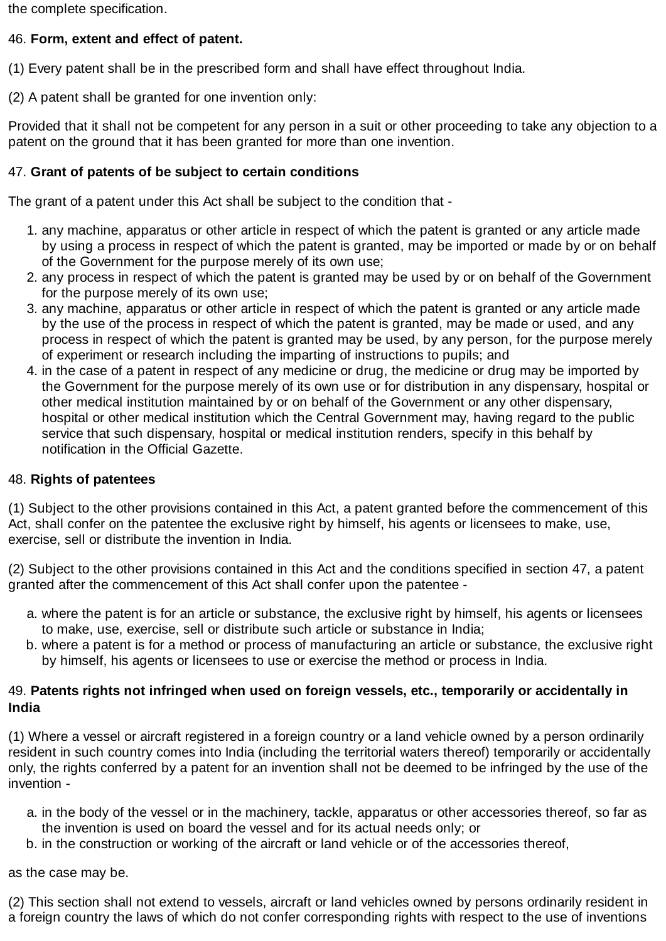the complete specification.

## 46. **Form, extent and effect of patent.**

(1) Every patent shall be in the prescribed form and shall have effect throughout India.

(2) A patent shall be granted for one invention only:

Provided that it shall not be competent for any person in a suit or other proceeding to take any objection to a patent on the ground that it has been granted for more than one invention.

## 47. **Grant of patents of be subject to certain conditions**

The grant of a patent under this Act shall be subject to the condition that -

- 1. any machine, apparatus or other article in respect of which the patent is granted or any article made by using a process in respect of which the patent is granted, may be imported or made by or on behalf of the Government for the purpose merely of its own use;
- 2. any process in respect of which the patent is granted may be used by or on behalf of the Government for the purpose merely of its own use;
- 3. any machine, apparatus or other article in respect of which the patent is granted or any article made by the use of the process in respect of which the patent is granted, may be made or used, and any process in respect of which the patent is granted may be used, by any person, for the purpose merely of experiment or research including the imparting of instructions to pupils; and
- 4. in the case of a patent in respect of any medicine or drug, the medicine or drug may be imported by the Government for the purpose merely of its own use or for distribution in any dispensary, hospital or other medical institution maintained by or on behalf of the Government or any other dispensary, hospital or other medical institution which the Central Government may, having regard to the public service that such dispensary, hospital or medical institution renders, specify in this behalf by notification in the Official Gazette.

## 48. **Rights of patentees**

(1) Subject to the other provisions contained in this Act, a patent granted before the commencement of this Act, shall confer on the patentee the exclusive right by himself, his agents or licensees to make, use, exercise, sell or distribute the invention in India.

(2) Subject to the other provisions contained in this Act and the conditions specified in section 47, a patent granted after the commencement of this Act shall confer upon the patentee -

- a. where the patent is for an article or substance, the exclusive right by himself, his agents or licensees to make, use, exercise, sell or distribute such article or substance in India;
- b. where a patent is for a method or process of manufacturing an article or substance, the exclusive right by himself, his agents or licensees to use or exercise the method or process in India.

## 49. **Patents rights not infringed when used on foreign vessels, etc., temporarily or accidentally in India**

(1) Where a vessel or aircraft registered in a foreign country or a land vehicle owned by a person ordinarily resident in such country comes into India (including the territorial waters thereof) temporarily or accidentally only, the rights conferred by a patent for an invention shall not be deemed to be infringed by the use of the invention -

- a. in the body of the vessel or in the machinery, tackle, apparatus or other accessories thereof, so far as the invention is used on board the vessel and for its actual needs only; or
- b. in the construction or working of the aircraft or land vehicle or of the accessories thereof,

as the case may be.

(2) This section shall not extend to vessels, aircraft or land vehicles owned by persons ordinarily resident in a foreign country the laws of which do not confer corresponding rights with respect to the use of inventions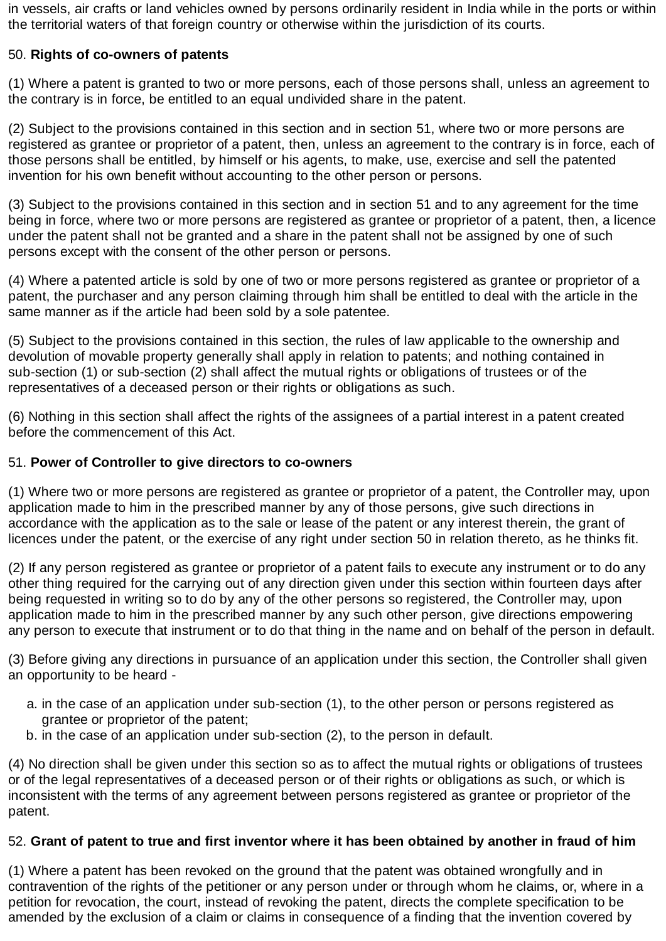in vessels, air crafts or land vehicles owned by persons ordinarily resident in India while in the ports or within the territorial waters of that foreign country or otherwise within the jurisdiction of its courts.

#### 50. **Rights of co-owners of patents**

(1) Where a patent is granted to two or more persons, each of those persons shall, unless an agreement to the contrary is in force, be entitled to an equal undivided share in the patent.

(2) Subject to the provisions contained in this section and in section 51, where two or more persons are registered as grantee or proprietor of a patent, then, unless an agreement to the contrary is in force, each of those persons shall be entitled, by himself or his agents, to make, use, exercise and sell the patented invention for his own benefit without accounting to the other person or persons.

(3) Subject to the provisions contained in this section and in section 51 and to any agreement for the time being in force, where two or more persons are registered as grantee or proprietor of a patent, then, a licence under the patent shall not be granted and a share in the patent shall not be assigned by one of such persons except with the consent of the other person or persons.

(4) Where a patented article is sold by one of two or more persons registered as grantee or proprietor of a patent, the purchaser and any person claiming through him shall be entitled to deal with the article in the same manner as if the article had been sold by a sole patentee.

(5) Subject to the provisions contained in this section, the rules of law applicable to the ownership and devolution of movable property generally shall apply in relation to patents; and nothing contained in sub-section (1) or sub-section (2) shall affect the mutual rights or obligations of trustees or of the representatives of a deceased person or their rights or obligations as such.

(6) Nothing in this section shall affect the rights of the assignees of a partial interest in a patent created before the commencement of this Act.

#### 51. **Power of Controller to give directors to co-owners**

(1) Where two or more persons are registered as grantee or proprietor of a patent, the Controller may, upon application made to him in the prescribed manner by any of those persons, give such directions in accordance with the application as to the sale or lease of the patent or any interest therein, the grant of licences under the patent, or the exercise of any right under section 50 in relation thereto, as he thinks fit.

(2) If any person registered as grantee or proprietor of a patent fails to execute any instrument or to do any other thing required for the carrying out of any direction given under this section within fourteen days after being requested in writing so to do by any of the other persons so registered, the Controller may, upon application made to him in the prescribed manner by any such other person, give directions empowering any person to execute that instrument or to do that thing in the name and on behalf of the person in default.

(3) Before giving any directions in pursuance of an application under this section, the Controller shall given an opportunity to be heard -

- a. in the case of an application under sub-section (1), to the other person or persons registered as grantee or proprietor of the patent;
- b. in the case of an application under sub-section (2), to the person in default.

(4) No direction shall be given under this section so as to affect the mutual rights or obligations of trustees or of the legal representatives of a deceased person or of their rights or obligations as such, or which is inconsistent with the terms of any agreement between persons registered as grantee or proprietor of the patent.

#### 52. **Grant of patent to true and first inventor where it has been obtained by another in fraud of him**

(1) Where a patent has been revoked on the ground that the patent was obtained wrongfully and in contravention of the rights of the petitioner or any person under or through whom he claims, or, where in a petition for revocation, the court, instead of revoking the patent, directs the complete specification to be amended by the exclusion of a claim or claims in consequence of a finding that the invention covered by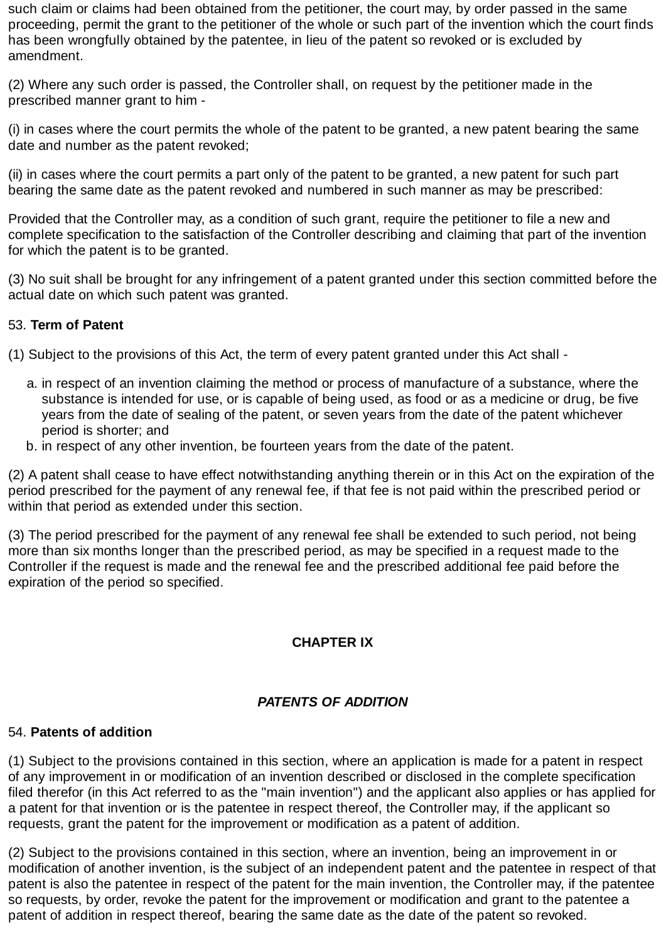such claim or claims had been obtained from the petitioner, the court may, by order passed in the same proceeding, permit the grant to the petitioner of the whole or such part of the invention which the court finds has been wrongfully obtained by the patentee, in lieu of the patent so revoked or is excluded by amendment.

(2) Where any such order is passed, the Controller shall, on request by the petitioner made in the prescribed manner grant to him -

(i) in cases where the court permits the whole of the patent to be granted, a new patent bearing the same date and number as the patent revoked;

(ii) in cases where the court permits a part only of the patent to be granted, a new patent for such part bearing the same date as the patent revoked and numbered in such manner as may be prescribed:

Provided that the Controller may, as a condition of such grant, require the petitioner to file a new and complete specification to the satisfaction of the Controller describing and claiming that part of the invention for which the patent is to be granted.

(3) No suit shall be brought for any infringement of a patent granted under this section committed before the actual date on which such patent was granted.

### 53. **Term of Patent**

(1) Subject to the provisions of this Act, the term of every patent granted under this Act shall -

- a. in respect of an invention claiming the method or process of manufacture of a substance, where the substance is intended for use, or is capable of being used, as food or as a medicine or drug, be five years from the date of sealing of the patent, or seven years from the date of the patent whichever period is shorter; and
- b. in respect of any other invention, be fourteen years from the date of the patent.

(2) A patent shall cease to have effect notwithstanding anything therein or in this Act on the expiration of the period prescribed for the payment of any renewal fee, if that fee is not paid within the prescribed period or within that period as extended under this section.

(3) The period prescribed for the payment of any renewal fee shall be extended to such period, not being more than six months longer than the prescribed period, as may be specified in a request made to the Controller if the request is made and the renewal fee and the prescribed additional fee paid before the expiration of the period so specified.

## **CHAPTER IX**

## *PATENTS OF ADDITION*

## 54. **Patents of addition**

(1) Subject to the provisions contained in this section, where an application is made for a patent in respect of any improvement in or modification of an invention described or disclosed in the complete specification filed therefor (in this Act referred to as the "main invention") and the applicant also applies or has applied for a patent for that invention or is the patentee in respect thereof, the Controller may, if the applicant so requests, grant the patent for the improvement or modification as a patent of addition.

(2) Subject to the provisions contained in this section, where an invention, being an improvement in or modification of another invention, is the subject of an independent patent and the patentee in respect of that patent is also the patentee in respect of the patent for the main invention, the Controller may, if the patentee so requests, by order, revoke the patent for the improvement or modification and grant to the patentee a patent of addition in respect thereof, bearing the same date as the date of the patent so revoked.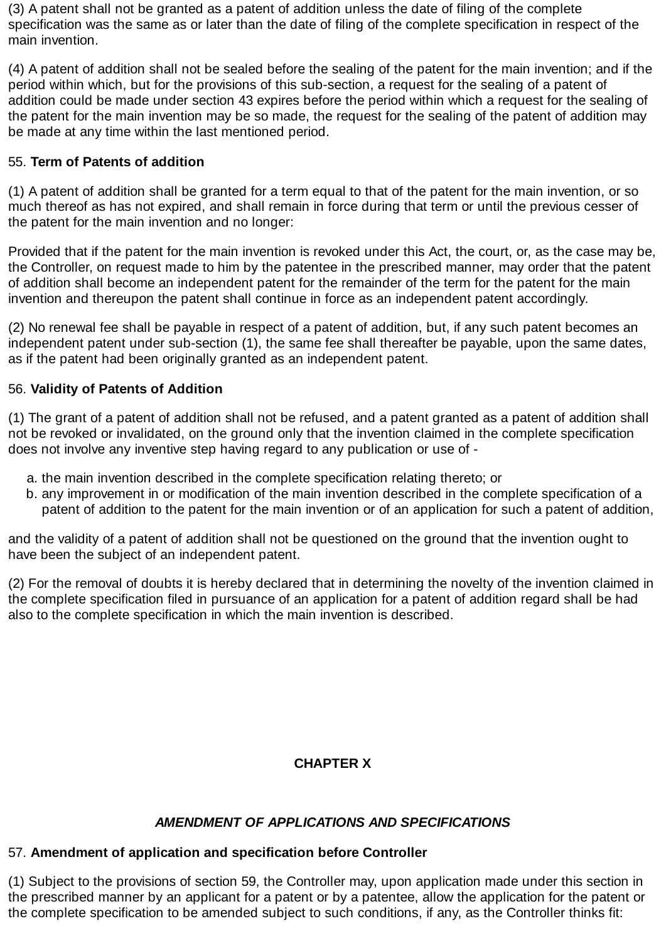(3) A patent shall not be granted as a patent of addition unless the date of filing of the complete specification was the same as or later than the date of filing of the complete specification in respect of the main invention.

(4) A patent of addition shall not be sealed before the sealing of the patent for the main invention; and if the period within which, but for the provisions of this sub-section, a request for the sealing of a patent of addition could be made under section 43 expires before the period within which a request for the sealing of the patent for the main invention may be so made, the request for the sealing of the patent of addition may be made at any time within the last mentioned period.

### 55. **Term of Patents of addition**

(1) A patent of addition shall be granted for a term equal to that of the patent for the main invention, or so much thereof as has not expired, and shall remain in force during that term or until the previous cesser of the patent for the main invention and no longer:

Provided that if the patent for the main invention is revoked under this Act, the court, or, as the case may be, the Controller, on request made to him by the patentee in the prescribed manner, may order that the patent of addition shall become an independent patent for the remainder of the term for the patent for the main invention and thereupon the patent shall continue in force as an independent patent accordingly.

(2) No renewal fee shall be payable in respect of a patent of addition, but, if any such patent becomes an independent patent under sub-section (1), the same fee shall thereafter be payable, upon the same dates, as if the patent had been originally granted as an independent patent.

## 56. **Validity of Patents of Addition**

(1) The grant of a patent of addition shall not be refused, and a patent granted as a patent of addition shall not be revoked or invalidated, on the ground only that the invention claimed in the complete specification does not involve any inventive step having regard to any publication or use of -

- a. the main invention described in the complete specification relating thereto; or
- b. any improvement in or modification of the main invention described in the complete specification of a patent of addition to the patent for the main invention or of an application for such a patent of addition,

and the validity of a patent of addition shall not be questioned on the ground that the invention ought to have been the subject of an independent patent.

(2) For the removal of doubts it is hereby declared that in determining the novelty of the invention claimed in the complete specification filed in pursuance of an application for a patent of addition regard shall be had also to the complete specification in which the main invention is described.

## **CHAPTER X**

#### *AMENDMENT OF APPLICATIONS AND SPECIFICATIONS*

## 57. **Amendment of application and specification before Controller**

(1) Subject to the provisions of section 59, the Controller may, upon application made under this section in the prescribed manner by an applicant for a patent or by a patentee, allow the application for the patent or the complete specification to be amended subject to such conditions, if any, as the Controller thinks fit: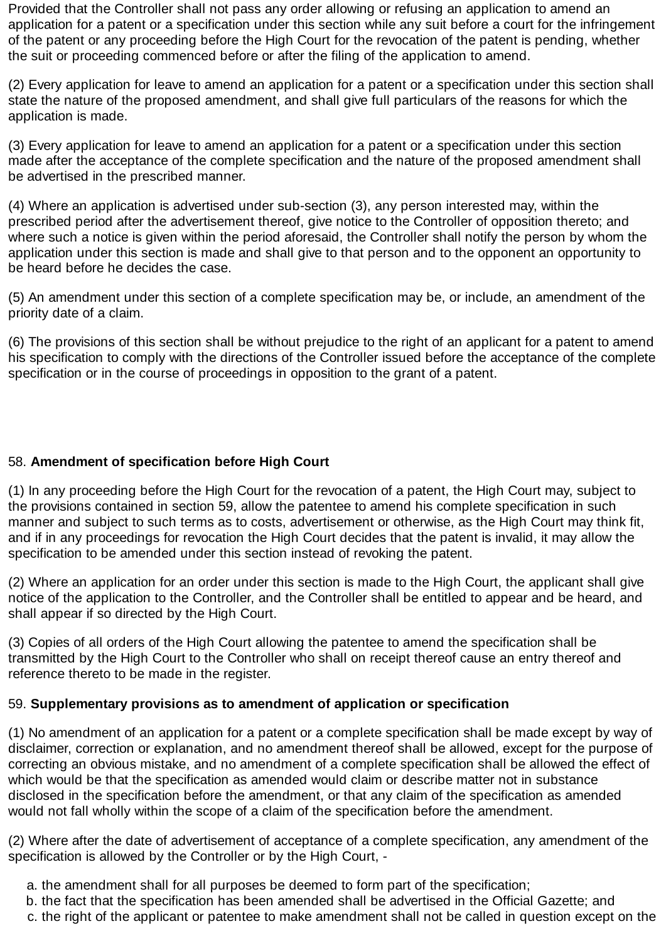Provided that the Controller shall not pass any order allowing or refusing an application to amend an application for a patent or a specification under this section while any suit before a court for the infringement of the patent or any proceeding before the High Court for the revocation of the patent is pending, whether the suit or proceeding commenced before or after the filing of the application to amend.

(2) Every application for leave to amend an application for a patent or a specification under this section shall state the nature of the proposed amendment, and shall give full particulars of the reasons for which the application is made.

(3) Every application for leave to amend an application for a patent or a specification under this section made after the acceptance of the complete specification and the nature of the proposed amendment shall be advertised in the prescribed manner.

(4) Where an application is advertised under sub-section (3), any person interested may, within the prescribed period after the advertisement thereof, give notice to the Controller of opposition thereto; and where such a notice is given within the period aforesaid, the Controller shall notify the person by whom the application under this section is made and shall give to that person and to the opponent an opportunity to be heard before he decides the case.

(5) An amendment under this section of a complete specification may be, or include, an amendment of the priority date of a claim.

(6) The provisions of this section shall be without prejudice to the right of an applicant for a patent to amend his specification to comply with the directions of the Controller issued before the acceptance of the complete specification or in the course of proceedings in opposition to the grant of a patent.

## 58. **Amendment of specification before High Court**

(1) In any proceeding before the High Court for the revocation of a patent, the High Court may, subject to the provisions contained in section 59, allow the patentee to amend his complete specification in such manner and subject to such terms as to costs, advertisement or otherwise, as the High Court may think fit, and if in any proceedings for revocation the High Court decides that the patent is invalid, it may allow the specification to be amended under this section instead of revoking the patent.

(2) Where an application for an order under this section is made to the High Court, the applicant shall give notice of the application to the Controller, and the Controller shall be entitled to appear and be heard, and shall appear if so directed by the High Court.

(3) Copies of all orders of the High Court allowing the patentee to amend the specification shall be transmitted by the High Court to the Controller who shall on receipt thereof cause an entry thereof and reference thereto to be made in the register.

#### 59. **Supplementary provisions as to amendment of application or specification**

(1) No amendment of an application for a patent or a complete specification shall be made except by way of disclaimer, correction or explanation, and no amendment thereof shall be allowed, except for the purpose of correcting an obvious mistake, and no amendment of a complete specification shall be allowed the effect of which would be that the specification as amended would claim or describe matter not in substance disclosed in the specification before the amendment, or that any claim of the specification as amended would not fall wholly within the scope of a claim of the specification before the amendment.

(2) Where after the date of advertisement of acceptance of a complete specification, any amendment of the specification is allowed by the Controller or by the High Court, -

- a. the amendment shall for all purposes be deemed to form part of the specification;
- b. the fact that the specification has been amended shall be advertised in the Official Gazette; and
- c. the right of the applicant or patentee to make amendment shall not be called in question except on the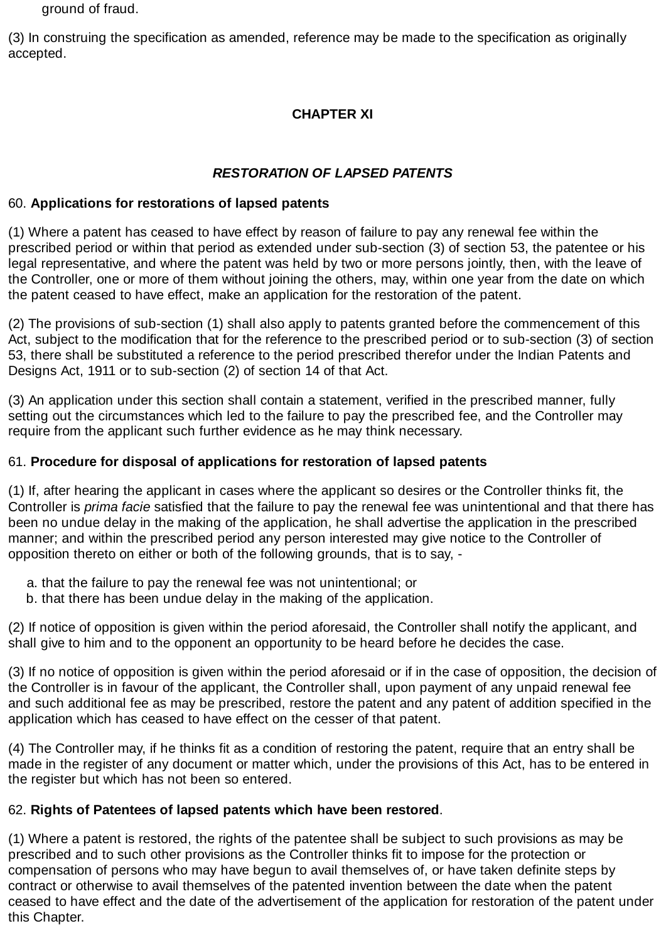ground of fraud.

(3) In construing the specification as amended, reference may be made to the specification as originally accepted.

## **CHAPTER XI**

## *RESTORATION OF LAPSED PATENTS*

### 60. **Applications for restorations of lapsed patents**

(1) Where a patent has ceased to have effect by reason of failure to pay any renewal fee within the prescribed period or within that period as extended under sub-section (3) of section 53, the patentee or his legal representative, and where the patent was held by two or more persons jointly, then, with the leave of the Controller, one or more of them without joining the others, may, within one year from the date on which the patent ceased to have effect, make an application for the restoration of the patent.

(2) The provisions of sub-section (1) shall also apply to patents granted before the commencement of this Act, subject to the modification that for the reference to the prescribed period or to sub-section (3) of section 53, there shall be substituted a reference to the period prescribed therefor under the Indian Patents and Designs Act, 1911 or to sub-section (2) of section 14 of that Act.

(3) An application under this section shall contain a statement, verified in the prescribed manner, fully setting out the circumstances which led to the failure to pay the prescribed fee, and the Controller may require from the applicant such further evidence as he may think necessary.

### 61. **Procedure for disposal of applications for restoration of lapsed patents**

(1) If, after hearing the applicant in cases where the applicant so desires or the Controller thinks fit, the Controller is *prima facie* satisfied that the failure to pay the renewal fee was unintentional and that there has been no undue delay in the making of the application, he shall advertise the application in the prescribed manner; and within the prescribed period any person interested may give notice to the Controller of opposition thereto on either or both of the following grounds, that is to say, -

- a. that the failure to pay the renewal fee was not unintentional; or
- b. that there has been undue delay in the making of the application.

(2) If notice of opposition is given within the period aforesaid, the Controller shall notify the applicant, and shall give to him and to the opponent an opportunity to be heard before he decides the case.

(3) If no notice of opposition is given within the period aforesaid or if in the case of opposition, the decision of the Controller is in favour of the applicant, the Controller shall, upon payment of any unpaid renewal fee and such additional fee as may be prescribed, restore the patent and any patent of addition specified in the application which has ceased to have effect on the cesser of that patent.

(4) The Controller may, if he thinks fit as a condition of restoring the patent, require that an entry shall be made in the register of any document or matter which, under the provisions of this Act, has to be entered in the register but which has not been so entered.

#### 62. **Rights of Patentees of lapsed patents which have been restored**.

(1) Where a patent is restored, the rights of the patentee shall be subject to such provisions as may be prescribed and to such other provisions as the Controller thinks fit to impose for the protection or compensation of persons who may have begun to avail themselves of, or have taken definite steps by contract or otherwise to avail themselves of the patented invention between the date when the patent ceased to have effect and the date of the advertisement of the application for restoration of the patent under this Chapter.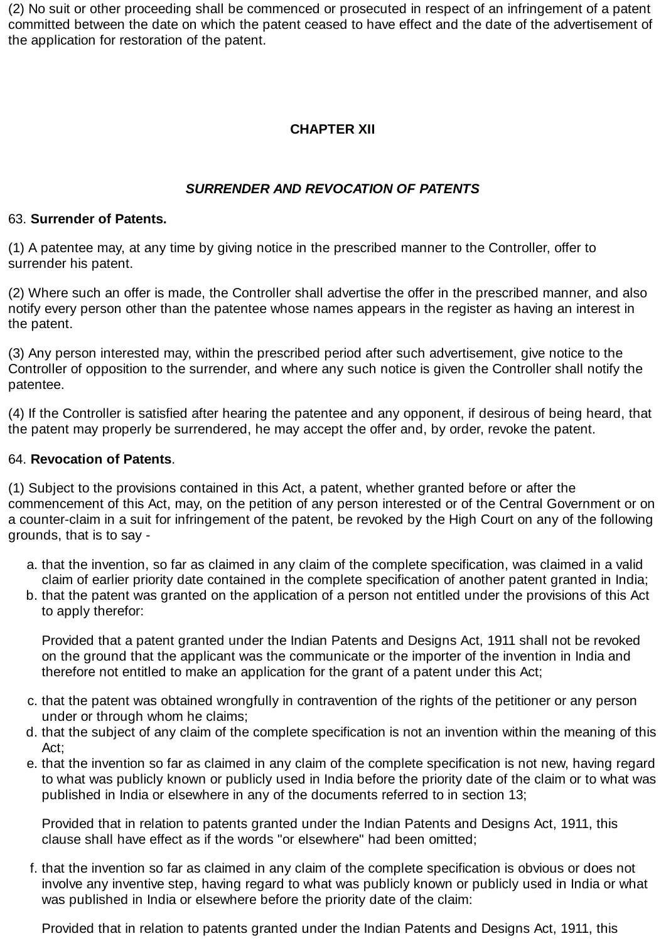(2) No suit or other proceeding shall be commenced or prosecuted in respect of an infringement of a patent committed between the date on which the patent ceased to have effect and the date of the advertisement of the application for restoration of the patent.

### **CHAPTER XII**

### *SURRENDER AND REVOCATION OF PATENTS*

#### 63. **Surrender of Patents.**

(1) A patentee may, at any time by giving notice in the prescribed manner to the Controller, offer to surrender his patent.

(2) Where such an offer is made, the Controller shall advertise the offer in the prescribed manner, and also notify every person other than the patentee whose names appears in the register as having an interest in the patent.

(3) Any person interested may, within the prescribed period after such advertisement, give notice to the Controller of opposition to the surrender, and where any such notice is given the Controller shall notify the patentee.

(4) If the Controller is satisfied after hearing the patentee and any opponent, if desirous of being heard, that the patent may properly be surrendered, he may accept the offer and, by order, revoke the patent.

#### 64. **Revocation of Patents**.

(1) Subject to the provisions contained in this Act, a patent, whether granted before or after the commencement of this Act, may, on the petition of any person interested or of the Central Government or on a counter-claim in a suit for infringement of the patent, be revoked by the High Court on any of the following grounds, that is to say -

- a. that the invention, so far as claimed in any claim of the complete specification, was claimed in a valid claim of earlier priority date contained in the complete specification of another patent granted in India;
- b. that the patent was granted on the application of a person not entitled under the provisions of this Act to apply therefor:

Provided that a patent granted under the Indian Patents and Designs Act, 1911 shall not be revoked on the ground that the applicant was the communicate or the importer of the invention in India and therefore not entitled to make an application for the grant of a patent under this Act;

- c. that the patent was obtained wrongfully in contravention of the rights of the petitioner or any person under or through whom he claims;
- d. that the subject of any claim of the complete specification is not an invention within the meaning of this Act;
- e. that the invention so far as claimed in any claim of the complete specification is not new, having regard to what was publicly known or publicly used in India before the priority date of the claim or to what was published in India or elsewhere in any of the documents referred to in section 13;

Provided that in relation to patents granted under the Indian Patents and Designs Act, 1911, this clause shall have effect as if the words "or elsewhere" had been omitted;

f. that the invention so far as claimed in any claim of the complete specification is obvious or does not involve any inventive step, having regard to what was publicly known or publicly used in India or what was published in India or elsewhere before the priority date of the claim:

Provided that in relation to patents granted under the Indian Patents and Designs Act, 1911, this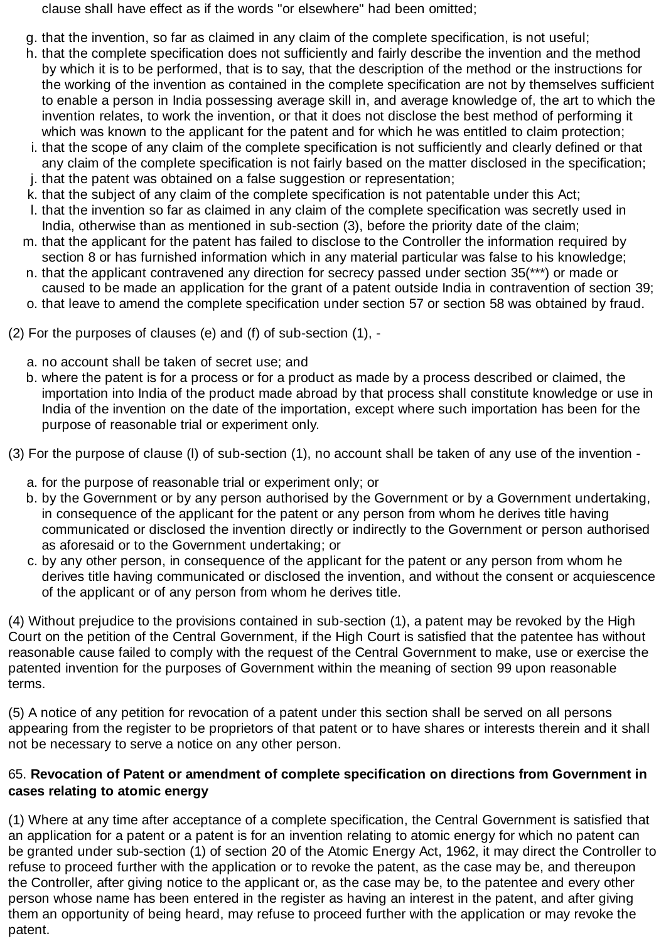clause shall have effect as if the words "or elsewhere" had been omitted;

- g. that the invention, so far as claimed in any claim of the complete specification, is not useful;
- h. that the complete specification does not sufficiently and fairly describe the invention and the method by which it is to be performed, that is to say, that the description of the method or the instructions for the working of the invention as contained in the complete specification are not by themselves sufficient to enable a person in India possessing average skill in, and average knowledge of, the art to which the invention relates, to work the invention, or that it does not disclose the best method of performing it which was known to the applicant for the patent and for which he was entitled to claim protection;
- i. that the scope of any claim of the complete specification is not sufficiently and clearly defined or that any claim of the complete specification is not fairly based on the matter disclosed in the specification;
- j. that the patent was obtained on a false suggestion or representation;
- k. that the subject of any claim of the complete specification is not patentable under this Act;
- I. that the invention so far as claimed in any claim of the complete specification was secretly used in India, otherwise than as mentioned in sub-section (3), before the priority date of the claim;
- m. that the applicant for the patent has failed to disclose to the Controller the information required by section 8 or has furnished information which in any material particular was false to his knowledge;
- n. that the applicant contravened any direction for secrecy passed under section 35(\*\*\*) or made or caused to be made an application for the grant of a patent outside India in contravention of section 39;
- o. that leave to amend the complete specification under section 57 or section 58 was obtained by fraud.
- (2) For the purposes of clauses (e) and (f) of sub-section (1),
	- a. no account shall be taken of secret use; and
	- b. where the patent is for a process or for a product as made by a process described or claimed, the importation into India of the product made abroad by that process shall constitute knowledge or use in India of the invention on the date of the importation, except where such importation has been for the purpose of reasonable trial or experiment only.
- (3) For the purpose of clause (l) of sub-section (1), no account shall be taken of any use of the invention
	- a. for the purpose of reasonable trial or experiment only; or
	- b. by the Government or by any person authorised by the Government or by a Government undertaking, in consequence of the applicant for the patent or any person from whom he derives title having communicated or disclosed the invention directly or indirectly to the Government or person authorised as aforesaid or to the Government undertaking; or
	- c. by any other person, in consequence of the applicant for the patent or any person from whom he derives title having communicated or disclosed the invention, and without the consent or acquiescence of the applicant or of any person from whom he derives title.

(4) Without prejudice to the provisions contained in sub-section (1), a patent may be revoked by the High Court on the petition of the Central Government, if the High Court is satisfied that the patentee has without reasonable cause failed to comply with the request of the Central Government to make, use or exercise the patented invention for the purposes of Government within the meaning of section 99 upon reasonable terms.

(5) A notice of any petition for revocation of a patent under this section shall be served on all persons appearing from the register to be proprietors of that patent or to have shares or interests therein and it shall not be necessary to serve a notice on any other person.

## 65. **Revocation of Patent or amendment of complete specification on directions from Government in cases relating to atomic energy**

(1) Where at any time after acceptance of a complete specification, the Central Government is satisfied that an application for a patent or a patent is for an invention relating to atomic energy for which no patent can be granted under sub-section (1) of section 20 of the Atomic Energy Act, 1962, it may direct the Controller to refuse to proceed further with the application or to revoke the patent, as the case may be, and thereupon the Controller, after giving notice to the applicant or, as the case may be, to the patentee and every other person whose name has been entered in the register as having an interest in the patent, and after giving them an opportunity of being heard, may refuse to proceed further with the application or may revoke the patent.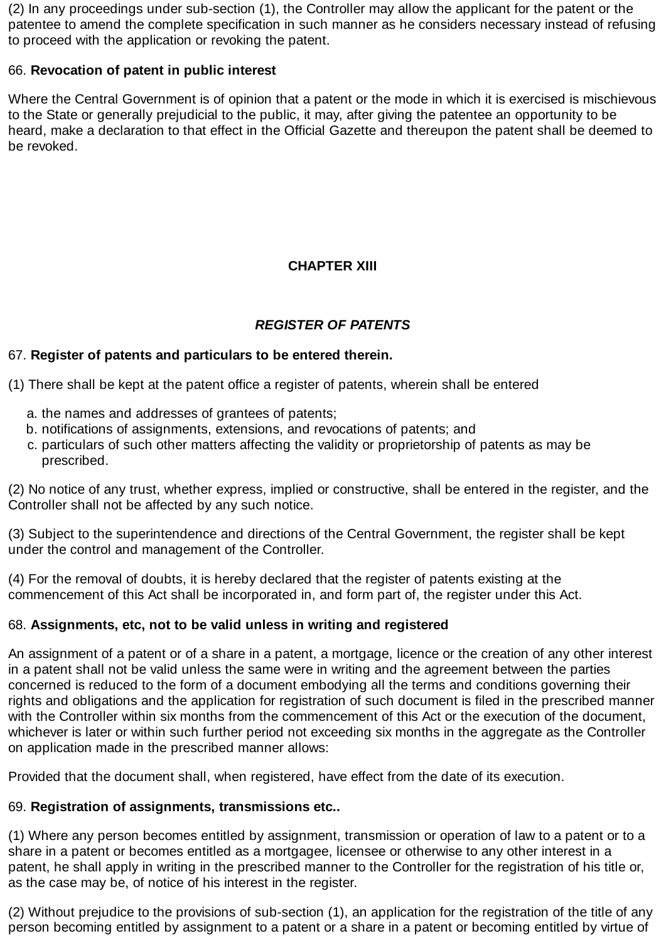(2) In any proceedings under sub-section (1), the Controller may allow the applicant for the patent or the patentee to amend the complete specification in such manner as he considers necessary instead of refusing to proceed with the application or revoking the patent.

### 66. **Revocation of patent in public interest**

Where the Central Government is of opinion that a patent or the mode in which it is exercised is mischievous to the State or generally prejudicial to the public, it may, after giving the patentee an opportunity to be heard, make a declaration to that effect in the Official Gazette and thereupon the patent shall be deemed to be revoked.

## **CHAPTER XIII**

### *REGISTER OF PATENTS*

#### 67. **Register of patents and particulars to be entered therein.**

(1) There shall be kept at the patent office a register of patents, wherein shall be entered

- a. the names and addresses of grantees of patents;
- b. notifications of assignments, extensions, and revocations of patents; and
- c. particulars of such other matters affecting the validity or proprietorship of patents as may be prescribed.

(2) No notice of any trust, whether express, implied or constructive, shall be entered in the register, and the Controller shall not be affected by any such notice.

(3) Subject to the superintendence and directions of the Central Government, the register shall be kept under the control and management of the Controller.

(4) For the removal of doubts, it is hereby declared that the register of patents existing at the commencement of this Act shall be incorporated in, and form part of, the register under this Act.

#### 68. **Assignments, etc, not to be valid unless in writing and registered**

An assignment of a patent or of a share in a patent, a mortgage, licence or the creation of any other interest in a patent shall not be valid unless the same were in writing and the agreement between the parties concerned is reduced to the form of a document embodying all the terms and conditions governing their rights and obligations and the application for registration of such document is filed in the prescribed manner with the Controller within six months from the commencement of this Act or the execution of the document, whichever is later or within such further period not exceeding six months in the aggregate as the Controller on application made in the prescribed manner allows:

Provided that the document shall, when registered, have effect from the date of its execution.

#### 69. **Registration of assignments, transmissions etc..**

(1) Where any person becomes entitled by assignment, transmission or operation of law to a patent or to a share in a patent or becomes entitled as a mortgagee, licensee or otherwise to any other interest in a patent, he shall apply in writing in the prescribed manner to the Controller for the registration of his title or, as the case may be, of notice of his interest in the register.

(2) Without prejudice to the provisions of sub-section (1), an application for the registration of the title of any person becoming entitled by assignment to a patent or a share in a patent or becoming entitled by virtue of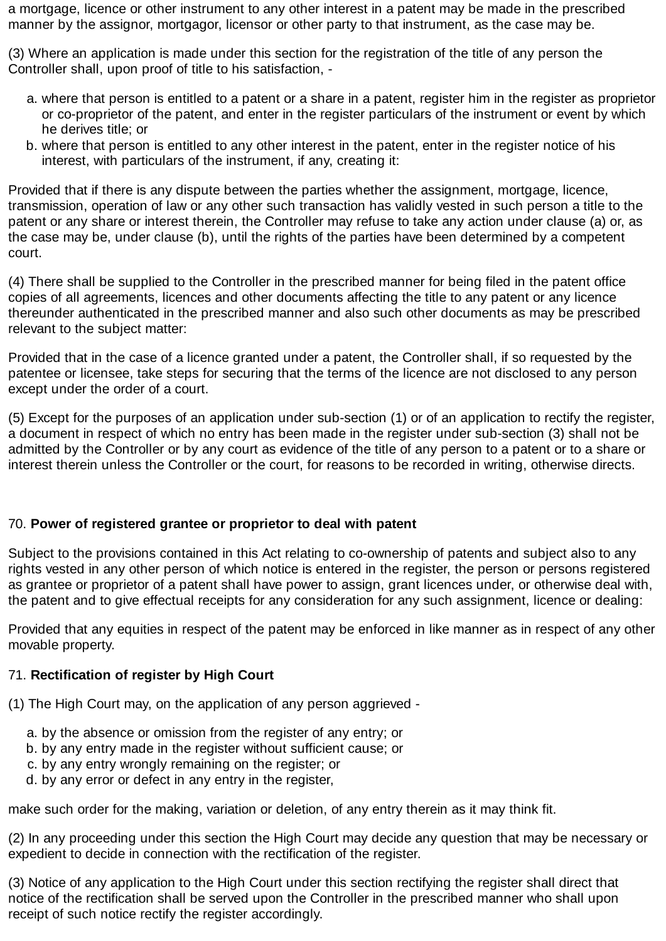a mortgage, licence or other instrument to any other interest in a patent may be made in the prescribed manner by the assignor, mortgagor, licensor or other party to that instrument, as the case may be.

(3) Where an application is made under this section for the registration of the title of any person the Controller shall, upon proof of title to his satisfaction, -

- where that person is entitled to a patent or a share in a patent, register him in the register as proprietor a. or co-proprietor of the patent, and enter in the register particulars of the instrument or event by which he derives title; or
- b. where that person is entitled to any other interest in the patent, enter in the register notice of his interest, with particulars of the instrument, if any, creating it:

Provided that if there is any dispute between the parties whether the assignment, mortgage, licence, transmission, operation of law or any other such transaction has validly vested in such person a title to the patent or any share or interest therein, the Controller may refuse to take any action under clause (a) or, as the case may be, under clause (b), until the rights of the parties have been determined by a competent court.

(4) There shall be supplied to the Controller in the prescribed manner for being filed in the patent office copies of all agreements, licences and other documents affecting the title to any patent or any licence thereunder authenticated in the prescribed manner and also such other documents as may be prescribed relevant to the subject matter:

Provided that in the case of a licence granted under a patent, the Controller shall, if so requested by the patentee or licensee, take steps for securing that the terms of the licence are not disclosed to any person except under the order of a court.

(5) Except for the purposes of an application under sub-section (1) or of an application to rectify the register, a document in respect of which no entry has been made in the register under sub-section (3) shall not be admitted by the Controller or by any court as evidence of the title of any person to a patent or to a share or interest therein unless the Controller or the court, for reasons to be recorded in writing, otherwise directs.

#### 70. **Power of registered grantee or proprietor to deal with patent**

Subject to the provisions contained in this Act relating to co-ownership of patents and subject also to any rights vested in any other person of which notice is entered in the register, the person or persons registered as grantee or proprietor of a patent shall have power to assign, grant licences under, or otherwise deal with, the patent and to give effectual receipts for any consideration for any such assignment, licence or dealing:

Provided that any equities in respect of the patent may be enforced in like manner as in respect of any other movable property.

#### 71. **Rectification of register by High Court**

- (1) The High Court may, on the application of any person aggrieved
	- a. by the absence or omission from the register of any entry; or
	- b. by any entry made in the register without sufficient cause; or
	- c. by any entry wrongly remaining on the register; or
	- d. by any error or defect in any entry in the register,

make such order for the making, variation or deletion, of any entry therein as it may think fit.

(2) In any proceeding under this section the High Court may decide any question that may be necessary or expedient to decide in connection with the rectification of the register.

(3) Notice of any application to the High Court under this section rectifying the register shall direct that notice of the rectification shall be served upon the Controller in the prescribed manner who shall upon receipt of such notice rectify the register accordingly.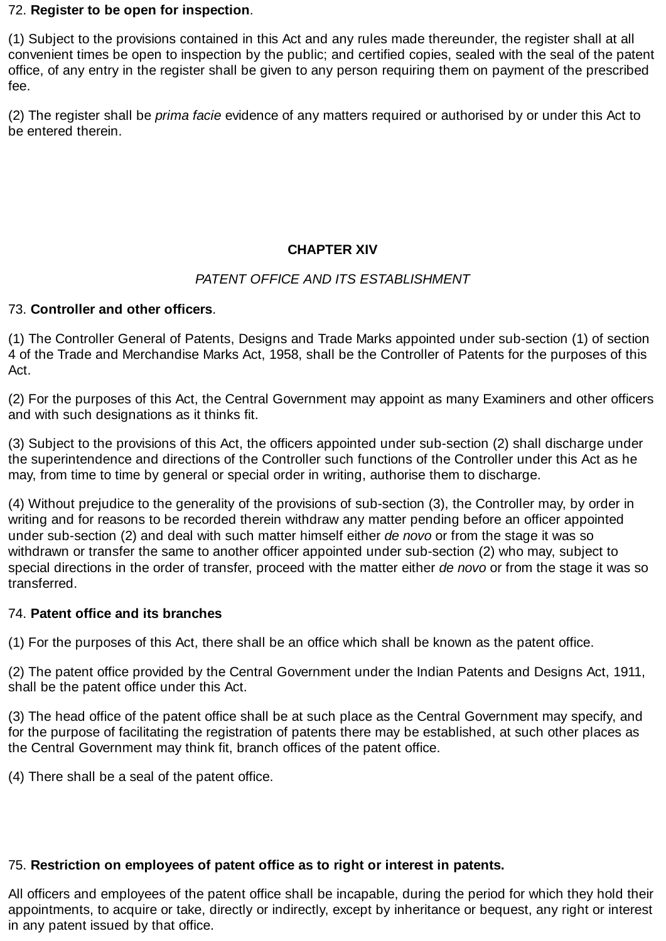### 72. **Register to be open for inspection**.

(1) Subject to the provisions contained in this Act and any rules made thereunder, the register shall at all convenient times be open to inspection by the public; and certified copies, sealed with the seal of the patent office, of any entry in the register shall be given to any person requiring them on payment of the prescribed fee.

(2) The register shall be *prima facie* evidence of any matters required or authorised by or under this Act to be entered therein.

## **CHAPTER XIV**

## *PATENT OFFICE AND ITS ESTABLISHMENT*

## 73. **Controller and other officers**.

(1) The Controller General of Patents, Designs and Trade Marks appointed under sub-section (1) of section 4 of the Trade and Merchandise Marks Act, 1958, shall be the Controller of Patents for the purposes of this Act.

(2) For the purposes of this Act, the Central Government may appoint as many Examiners and other officers and with such designations as it thinks fit.

(3) Subject to the provisions of this Act, the officers appointed under sub-section (2) shall discharge under the superintendence and directions of the Controller such functions of the Controller under this Act as he may, from time to time by general or special order in writing, authorise them to discharge.

(4) Without prejudice to the generality of the provisions of sub-section (3), the Controller may, by order in writing and for reasons to be recorded therein withdraw any matter pending before an officer appointed under sub-section (2) and deal with such matter himself either *de novo* or from the stage it was so withdrawn or transfer the same to another officer appointed under sub-section (2) who may, subject to special directions in the order of transfer, proceed with the matter either *de novo* or from the stage it was so transferred.

## 74. **Patent office and its branches**

(1) For the purposes of this Act, there shall be an office which shall be known as the patent office.

(2) The patent office provided by the Central Government under the Indian Patents and Designs Act, 1911, shall be the patent office under this Act.

(3) The head office of the patent office shall be at such place as the Central Government may specify, and for the purpose of facilitating the registration of patents there may be established, at such other places as the Central Government may think fit, branch offices of the patent office.

(4) There shall be a seal of the patent office.

## 75. **Restriction on employees of patent office as to right or interest in patents.**

All officers and employees of the patent office shall be incapable, during the period for which they hold their appointments, to acquire or take, directly or indirectly, except by inheritance or bequest, any right or interest in any patent issued by that office.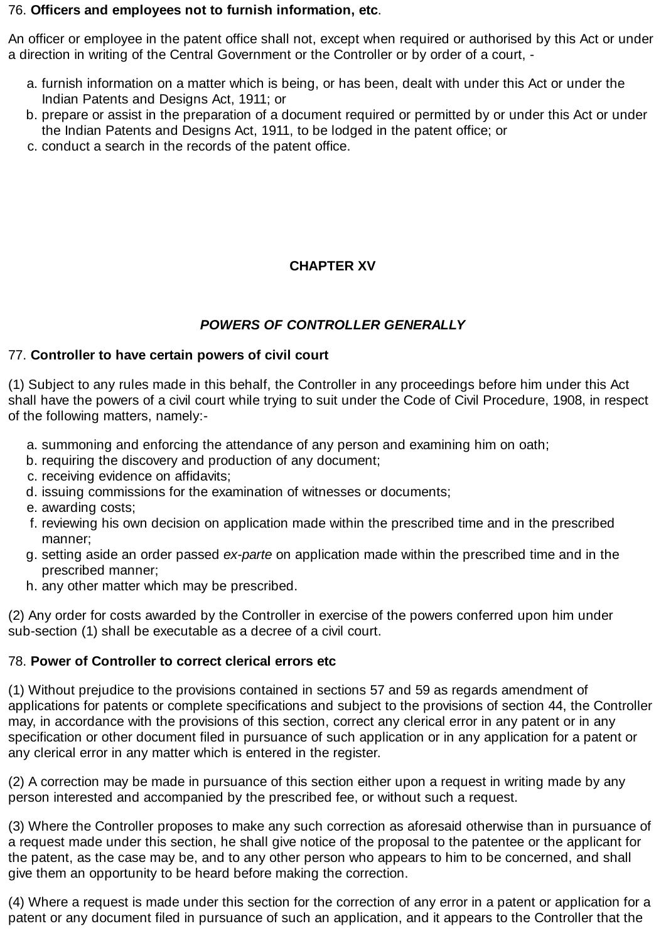#### 76. **Officers and employees not to furnish information, etc**.

An officer or employee in the patent office shall not, except when required or authorised by this Act or under a direction in writing of the Central Government or the Controller or by order of a court, -

- a. furnish information on a matter which is being, or has been, dealt with under this Act or under the Indian Patents and Designs Act, 1911; or
- b. prepare or assist in the preparation of a document required or permitted by or under this Act or under the Indian Patents and Designs Act, 1911, to be lodged in the patent office; or
- c. conduct a search in the records of the patent office.

## **CHAPTER XV**

## *POWERS OF CONTROLLER GENERALLY*

## 77. **Controller to have certain powers of civil court**

(1) Subject to any rules made in this behalf, the Controller in any proceedings before him under this Act shall have the powers of a civil court while trying to suit under the Code of Civil Procedure, 1908, in respect of the following matters, namely:-

- a. summoning and enforcing the attendance of any person and examining him on oath;
- b. requiring the discovery and production of any document;
- c. receiving evidence on affidavits;
- d. issuing commissions for the examination of witnesses or documents;
- e. awarding costs;
- f. reviewing his own decision on application made within the prescribed time and in the prescribed manner;
- g. setting aside an order passed *ex-parte* on application made within the prescribed time and in the prescribed manner;
- h. any other matter which may be prescribed.

(2) Any order for costs awarded by the Controller in exercise of the powers conferred upon him under sub-section (1) shall be executable as a decree of a civil court.

## 78. **Power of Controller to correct clerical errors etc**

(1) Without prejudice to the provisions contained in sections 57 and 59 as regards amendment of applications for patents or complete specifications and subject to the provisions of section 44, the Controller may, in accordance with the provisions of this section, correct any clerical error in any patent or in any specification or other document filed in pursuance of such application or in any application for a patent or any clerical error in any matter which is entered in the register.

(2) A correction may be made in pursuance of this section either upon a request in writing made by any person interested and accompanied by the prescribed fee, or without such a request.

(3) Where the Controller proposes to make any such correction as aforesaid otherwise than in pursuance of a request made under this section, he shall give notice of the proposal to the patentee or the applicant for the patent, as the case may be, and to any other person who appears to him to be concerned, and shall give them an opportunity to be heard before making the correction.

(4) Where a request is made under this section for the correction of any error in a patent or application for a patent or any document filed in pursuance of such an application, and it appears to the Controller that the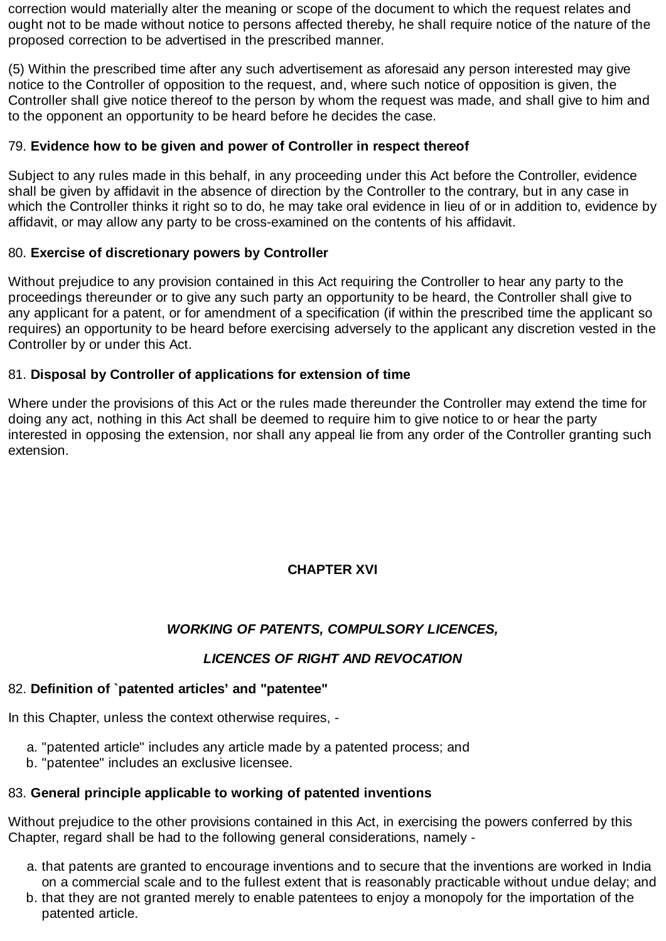correction would materially alter the meaning or scope of the document to which the request relates and ought not to be made without notice to persons affected thereby, he shall require notice of the nature of the proposed correction to be advertised in the prescribed manner.

(5) Within the prescribed time after any such advertisement as aforesaid any person interested may give notice to the Controller of opposition to the request, and, where such notice of opposition is given, the Controller shall give notice thereof to the person by whom the request was made, and shall give to him and to the opponent an opportunity to be heard before he decides the case.

### 79. **Evidence how to be given and power of Controller in respect thereof**

Subject to any rules made in this behalf, in any proceeding under this Act before the Controller, evidence shall be given by affidavit in the absence of direction by the Controller to the contrary, but in any case in which the Controller thinks it right so to do, he may take oral evidence in lieu of or in addition to, evidence by affidavit, or may allow any party to be cross-examined on the contents of his affidavit.

### 80. **Exercise of discretionary powers by Controller**

Without prejudice to any provision contained in this Act requiring the Controller to hear any party to the proceedings thereunder or to give any such party an opportunity to be heard, the Controller shall give to any applicant for a patent, or for amendment of a specification (if within the prescribed time the applicant so requires) an opportunity to be heard before exercising adversely to the applicant any discretion vested in the Controller by or under this Act.

### 81. **Disposal by Controller of applications for extension of time**

Where under the provisions of this Act or the rules made thereunder the Controller may extend the time for doing any act, nothing in this Act shall be deemed to require him to give notice to or hear the party interested in opposing the extension, nor shall any appeal lie from any order of the Controller granting such extension.

## **CHAPTER XVI**

## *WORKING OF PATENTS, COMPULSORY LICENCES,*

## *LICENCES OF RIGHT AND REVOCATION*

## 82. **Definition of `patented articles' and "patentee"**

In this Chapter, unless the context otherwise requires, -

- a. "patented article" includes any article made by a patented process; and
- b. "patentee" includes an exclusive licensee.

## 83. **General principle applicable to working of patented inventions**

Without prejudice to the other provisions contained in this Act, in exercising the powers conferred by this Chapter, regard shall be had to the following general considerations, namely -

- a. that patents are granted to encourage inventions and to secure that the inventions are worked in India on a commercial scale and to the fullest extent that is reasonably practicable without undue delay; and
- b. that they are not granted merely to enable patentees to enjoy a monopoly for the importation of the patented article.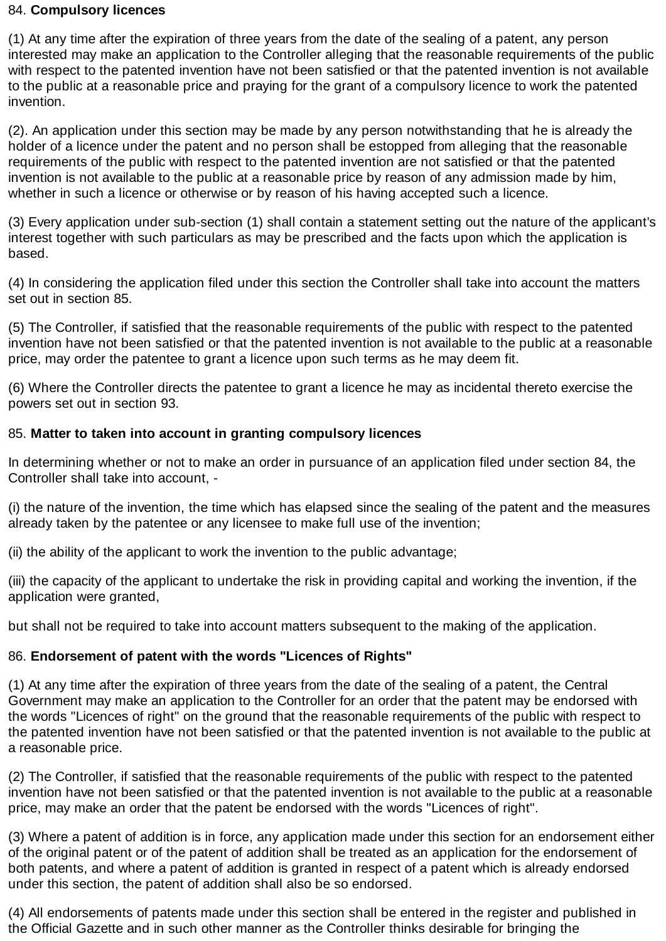#### 84. **Compulsory licences**

(1) At any time after the expiration of three years from the date of the sealing of a patent, any person interested may make an application to the Controller alleging that the reasonable requirements of the public with respect to the patented invention have not been satisfied or that the patented invention is not available to the public at a reasonable price and praying for the grant of a compulsory licence to work the patented invention.

(2). An application under this section may be made by any person notwithstanding that he is already the holder of a licence under the patent and no person shall be estopped from alleging that the reasonable requirements of the public with respect to the patented invention are not satisfied or that the patented invention is not available to the public at a reasonable price by reason of any admission made by him, whether in such a licence or otherwise or by reason of his having accepted such a licence.

(3) Every application under sub-section (1) shall contain a statement setting out the nature of the applicant's interest together with such particulars as may be prescribed and the facts upon which the application is based.

(4) In considering the application filed under this section the Controller shall take into account the matters set out in section 85.

(5) The Controller, if satisfied that the reasonable requirements of the public with respect to the patented invention have not been satisfied or that the patented invention is not available to the public at a reasonable price, may order the patentee to grant a licence upon such terms as he may deem fit.

(6) Where the Controller directs the patentee to grant a licence he may as incidental thereto exercise the powers set out in section 93.

## 85. **Matter to taken into account in granting compulsory licences**

In determining whether or not to make an order in pursuance of an application filed under section 84, the Controller shall take into account, -

(i) the nature of the invention, the time which has elapsed since the sealing of the patent and the measures already taken by the patentee or any licensee to make full use of the invention;

(ii) the ability of the applicant to work the invention to the public advantage;

(iii) the capacity of the applicant to undertake the risk in providing capital and working the invention, if the application were granted,

but shall not be required to take into account matters subsequent to the making of the application.

## 86. **Endorsement of patent with the words "Licences of Rights"**

(1) At any time after the expiration of three years from the date of the sealing of a patent, the Central Government may make an application to the Controller for an order that the patent may be endorsed with the words "Licences of right" on the ground that the reasonable requirements of the public with respect to the patented invention have not been satisfied or that the patented invention is not available to the public at a reasonable price.

(2) The Controller, if satisfied that the reasonable requirements of the public with respect to the patented invention have not been satisfied or that the patented invention is not available to the public at a reasonable price, may make an order that the patent be endorsed with the words "Licences of right".

(3) Where a patent of addition is in force, any application made under this section for an endorsement either of the original patent or of the patent of addition shall be treated as an application for the endorsement of both patents, and where a patent of addition is granted in respect of a patent which is already endorsed under this section, the patent of addition shall also be so endorsed.

(4) All endorsements of patents made under this section shall be entered in the register and published in the Official Gazette and in such other manner as the Controller thinks desirable for bringing the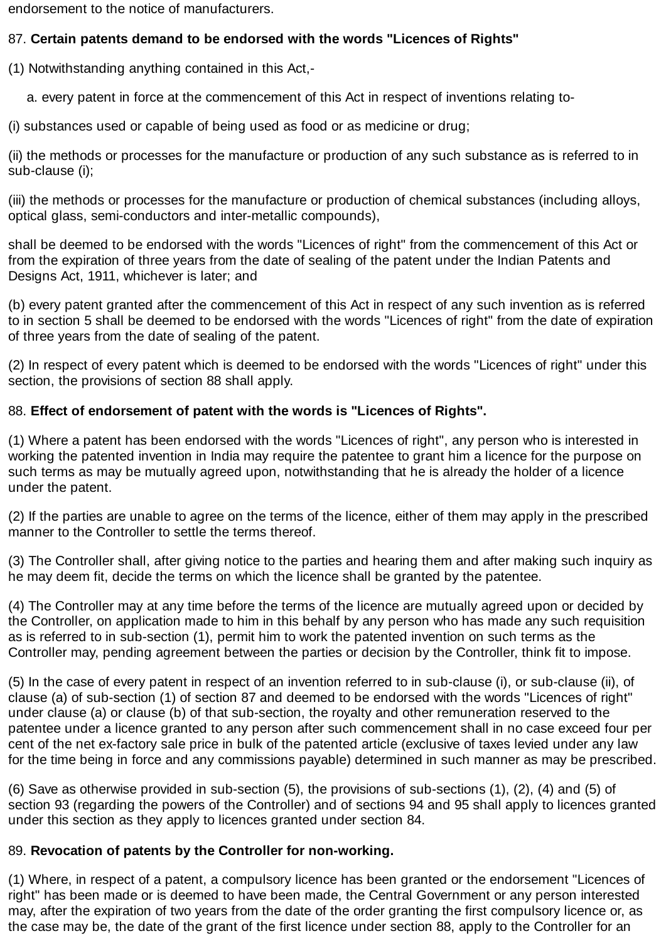endorsement to the notice of manufacturers.

## 87. **Certain patents demand to be endorsed with the words "Licences of Rights"**

(1) Notwithstanding anything contained in this Act,-

a. every patent in force at the commencement of this Act in respect of inventions relating to-

(i) substances used or capable of being used as food or as medicine or drug;

(ii) the methods or processes for the manufacture or production of any such substance as is referred to in sub-clause (i);

(iii) the methods or processes for the manufacture or production of chemical substances (including alloys, optical glass, semi-conductors and inter-metallic compounds),

shall be deemed to be endorsed with the words "Licences of right" from the commencement of this Act or from the expiration of three years from the date of sealing of the patent under the Indian Patents and Designs Act, 1911, whichever is later; and

(b) every patent granted after the commencement of this Act in respect of any such invention as is referred to in section 5 shall be deemed to be endorsed with the words "Licences of right" from the date of expiration of three years from the date of sealing of the patent.

(2) In respect of every patent which is deemed to be endorsed with the words "Licences of right" under this section, the provisions of section 88 shall apply.

## 88. **Effect of endorsement of patent with the words is "Licences of Rights".**

(1) Where a patent has been endorsed with the words "Licences of right", any person who is interested in working the patented invention in India may require the patentee to grant him a licence for the purpose on such terms as may be mutually agreed upon, notwithstanding that he is already the holder of a licence under the patent.

(2) If the parties are unable to agree on the terms of the licence, either of them may apply in the prescribed manner to the Controller to settle the terms thereof.

(3) The Controller shall, after giving notice to the parties and hearing them and after making such inquiry as he may deem fit, decide the terms on which the licence shall be granted by the patentee.

(4) The Controller may at any time before the terms of the licence are mutually agreed upon or decided by the Controller, on application made to him in this behalf by any person who has made any such requisition as is referred to in sub-section (1), permit him to work the patented invention on such terms as the Controller may, pending agreement between the parties or decision by the Controller, think fit to impose.

(5) In the case of every patent in respect of an invention referred to in sub-clause (i), or sub-clause (ii), of clause (a) of sub-section (1) of section 87 and deemed to be endorsed with the words "Licences of right" under clause (a) or clause (b) of that sub-section, the royalty and other remuneration reserved to the patentee under a licence granted to any person after such commencement shall in no case exceed four per cent of the net ex-factory sale price in bulk of the patented article (exclusive of taxes levied under any law for the time being in force and any commissions payable) determined in such manner as may be prescribed.

(6) Save as otherwise provided in sub-section (5), the provisions of sub-sections (1), (2), (4) and (5) of section 93 (regarding the powers of the Controller) and of sections 94 and 95 shall apply to licences granted under this section as they apply to licences granted under section 84.

## 89. **Revocation of patents by the Controller for non-working.**

(1) Where, in respect of a patent, a compulsory licence has been granted or the endorsement "Licences of right" has been made or is deemed to have been made, the Central Government or any person interested may, after the expiration of two years from the date of the order granting the first compulsory licence or, as the case may be, the date of the grant of the first licence under section 88, apply to the Controller for an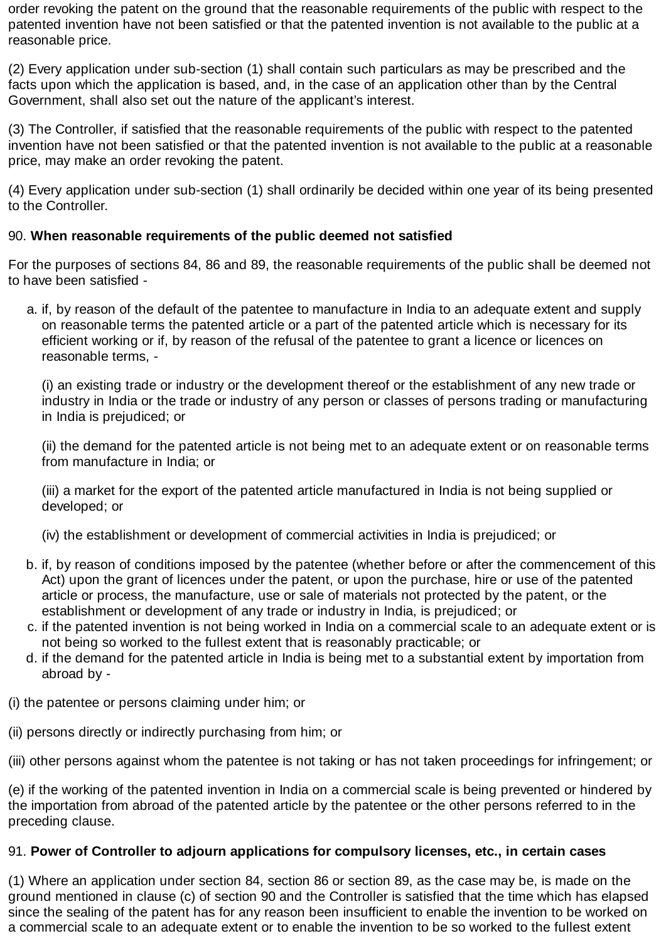order revoking the patent on the ground that the reasonable requirements of the public with respect to the patented invention have not been satisfied or that the patented invention is not available to the public at a reasonable price.

(2) Every application under sub-section (1) shall contain such particulars as may be prescribed and the facts upon which the application is based, and, in the case of an application other than by the Central Government, shall also set out the nature of the applicant's interest.

(3) The Controller, if satisfied that the reasonable requirements of the public with respect to the patented invention have not been satisfied or that the patented invention is not available to the public at a reasonable price, may make an order revoking the patent.

(4) Every application under sub-section (1) shall ordinarily be decided within one year of its being presented to the Controller.

## 90. **When reasonable requirements of the public deemed not satisfied**

For the purposes of sections 84, 86 and 89, the reasonable requirements of the public shall be deemed not to have been satisfied -

a. if, by reason of the default of the patentee to manufacture in India to an adequate extent and supply on reasonable terms the patented article or a part of the patented article which is necessary for its efficient working or if, by reason of the refusal of the patentee to grant a licence or licences on reasonable terms, -

(i) an existing trade or industry or the development thereof or the establishment of any new trade or industry in India or the trade or industry of any person or classes of persons trading or manufacturing in India is prejudiced; or

(ii) the demand for the patented article is not being met to an adequate extent or on reasonable terms from manufacture in India; or

(iii) a market for the export of the patented article manufactured in India is not being supplied or developed; or

(iv) the establishment or development of commercial activities in India is prejudiced; or

- b. if, by reason of conditions imposed by the patentee (whether before or after the commencement of this Act) upon the grant of licences under the patent, or upon the purchase, hire or use of the patented article or process, the manufacture, use or sale of materials not protected by the patent, or the establishment or development of any trade or industry in India, is prejudiced; or
- c. if the patented invention is not being worked in India on a commercial scale to an adequate extent or is not being so worked to the fullest extent that is reasonably practicable; or
- d. if the demand for the patented article in India is being met to a substantial extent by importation from abroad by -
- (i) the patentee or persons claiming under him; or
- (ii) persons directly or indirectly purchasing from him; or
- (iii) other persons against whom the patentee is not taking or has not taken proceedings for infringement; or

(e) if the working of the patented invention in India on a commercial scale is being prevented or hindered by the importation from abroad of the patented article by the patentee or the other persons referred to in the preceding clause.

#### 91. **Power of Controller to adjourn applications for compulsory licenses, etc., in certain cases**

(1) Where an application under section 84, section 86 or section 89, as the case may be, is made on the ground mentioned in clause (c) of section 90 and the Controller is satisfied that the time which has elapsed since the sealing of the patent has for any reason been insufficient to enable the invention to be worked on a commercial scale to an adequate extent or to enable the invention to be so worked to the fullest extent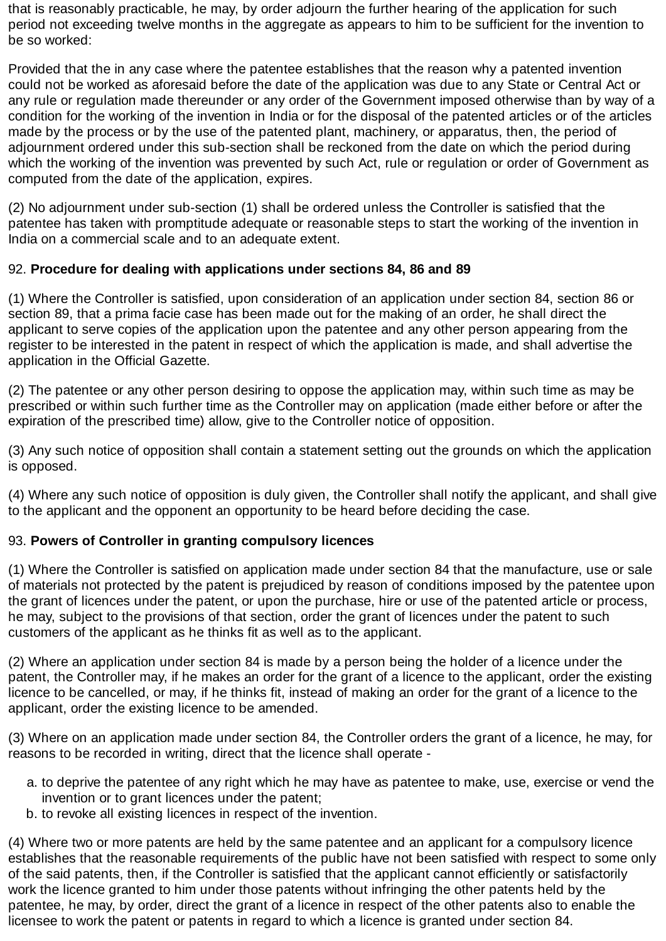that is reasonably practicable, he may, by order adjourn the further hearing of the application for such period not exceeding twelve months in the aggregate as appears to him to be sufficient for the invention to be so worked:

Provided that the in any case where the patentee establishes that the reason why a patented invention could not be worked as aforesaid before the date of the application was due to any State or Central Act or any rule or regulation made thereunder or any order of the Government imposed otherwise than by way of a condition for the working of the invention in India or for the disposal of the patented articles or of the articles made by the process or by the use of the patented plant, machinery, or apparatus, then, the period of adjournment ordered under this sub-section shall be reckoned from the date on which the period during which the working of the invention was prevented by such Act, rule or regulation or order of Government as computed from the date of the application, expires.

(2) No adjournment under sub-section (1) shall be ordered unless the Controller is satisfied that the patentee has taken with promptitude adequate or reasonable steps to start the working of the invention in India on a commercial scale and to an adequate extent.

## 92. **Procedure for dealing with applications under sections 84, 86 and 89**

(1) Where the Controller is satisfied, upon consideration of an application under section 84, section 86 or section 89, that a prima facie case has been made out for the making of an order, he shall direct the applicant to serve copies of the application upon the patentee and any other person appearing from the register to be interested in the patent in respect of which the application is made, and shall advertise the application in the Official Gazette.

(2) The patentee or any other person desiring to oppose the application may, within such time as may be prescribed or within such further time as the Controller may on application (made either before or after the expiration of the prescribed time) allow, give to the Controller notice of opposition.

(3) Any such notice of opposition shall contain a statement setting out the grounds on which the application is opposed.

(4) Where any such notice of opposition is duly given, the Controller shall notify the applicant, and shall give to the applicant and the opponent an opportunity to be heard before deciding the case.

## 93. **Powers of Controller in granting compulsory licences**

(1) Where the Controller is satisfied on application made under section 84 that the manufacture, use or sale of materials not protected by the patent is prejudiced by reason of conditions imposed by the patentee upon the grant of licences under the patent, or upon the purchase, hire or use of the patented article or process, he may, subject to the provisions of that section, order the grant of licences under the patent to such customers of the applicant as he thinks fit as well as to the applicant.

(2) Where an application under section 84 is made by a person being the holder of a licence under the patent, the Controller may, if he makes an order for the grant of a licence to the applicant, order the existing licence to be cancelled, or may, if he thinks fit, instead of making an order for the grant of a licence to the applicant, order the existing licence to be amended.

(3) Where on an application made under section 84, the Controller orders the grant of a licence, he may, for reasons to be recorded in writing, direct that the licence shall operate -

- a. to deprive the patentee of any right which he may have as patentee to make, use, exercise or vend the invention or to grant licences under the patent;
- b. to revoke all existing licences in respect of the invention.

(4) Where two or more patents are held by the same patentee and an applicant for a compulsory licence establishes that the reasonable requirements of the public have not been satisfied with respect to some only of the said patents, then, if the Controller is satisfied that the applicant cannot efficiently or satisfactorily work the licence granted to him under those patents without infringing the other patents held by the patentee, he may, by order, direct the grant of a licence in respect of the other patents also to enable the licensee to work the patent or patents in regard to which a licence is granted under section 84.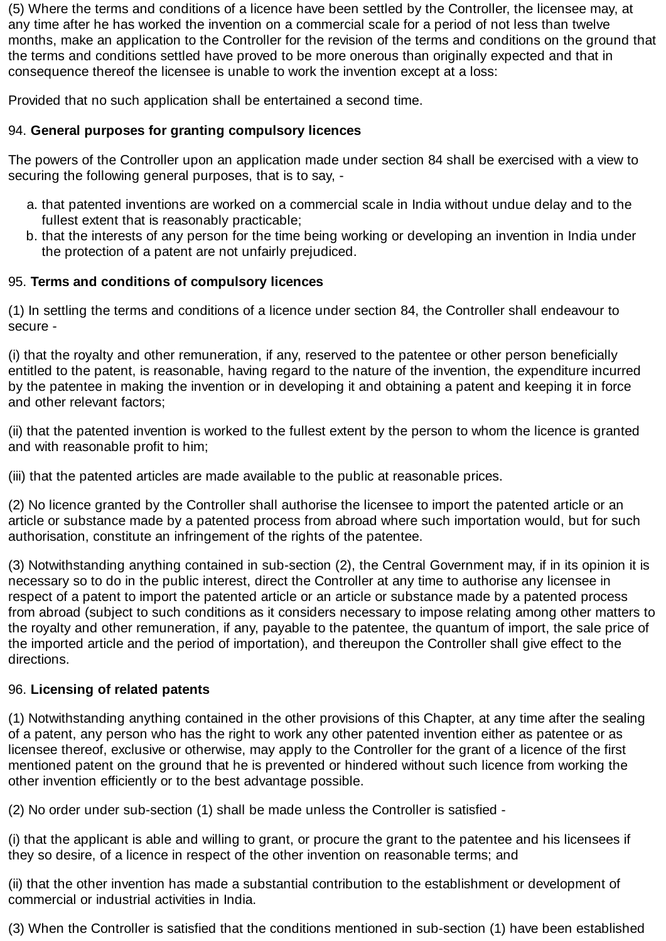(5) Where the terms and conditions of a licence have been settled by the Controller, the licensee may, at any time after he has worked the invention on a commercial scale for a period of not less than twelve months, make an application to the Controller for the revision of the terms and conditions on the ground that the terms and conditions settled have proved to be more onerous than originally expected and that in consequence thereof the licensee is unable to work the invention except at a loss:

Provided that no such application shall be entertained a second time.

## 94. **General purposes for granting compulsory licences**

The powers of the Controller upon an application made under section 84 shall be exercised with a view to securing the following general purposes, that is to say, -

- a. that patented inventions are worked on a commercial scale in India without undue delay and to the fullest extent that is reasonably practicable;
- b. that the interests of any person for the time being working or developing an invention in India under the protection of a patent are not unfairly prejudiced.

## 95. **Terms and conditions of compulsory licences**

(1) In settling the terms and conditions of a licence under section 84, the Controller shall endeavour to secure -

(i) that the royalty and other remuneration, if any, reserved to the patentee or other person beneficially entitled to the patent, is reasonable, having regard to the nature of the invention, the expenditure incurred by the patentee in making the invention or in developing it and obtaining a patent and keeping it in force and other relevant factors;

(ii) that the patented invention is worked to the fullest extent by the person to whom the licence is granted and with reasonable profit to him;

(iii) that the patented articles are made available to the public at reasonable prices.

(2) No licence granted by the Controller shall authorise the licensee to import the patented article or an article or substance made by a patented process from abroad where such importation would, but for such authorisation, constitute an infringement of the rights of the patentee.

(3) Notwithstanding anything contained in sub-section (2), the Central Government may, if in its opinion it is necessary so to do in the public interest, direct the Controller at any time to authorise any licensee in respect of a patent to import the patented article or an article or substance made by a patented process from abroad (subject to such conditions as it considers necessary to impose relating among other matters to the royalty and other remuneration, if any, payable to the patentee, the quantum of import, the sale price of the imported article and the period of importation), and thereupon the Controller shall give effect to the directions.

## 96. **Licensing of related patents**

(1) Notwithstanding anything contained in the other provisions of this Chapter, at any time after the sealing of a patent, any person who has the right to work any other patented invention either as patentee or as licensee thereof, exclusive or otherwise, may apply to the Controller for the grant of a licence of the first mentioned patent on the ground that he is prevented or hindered without such licence from working the other invention efficiently or to the best advantage possible.

(2) No order under sub-section (1) shall be made unless the Controller is satisfied -

(i) that the applicant is able and willing to grant, or procure the grant to the patentee and his licensees if they so desire, of a licence in respect of the other invention on reasonable terms; and

(ii) that the other invention has made a substantial contribution to the establishment or development of commercial or industrial activities in India.

(3) When the Controller is satisfied that the conditions mentioned in sub-section (1) have been established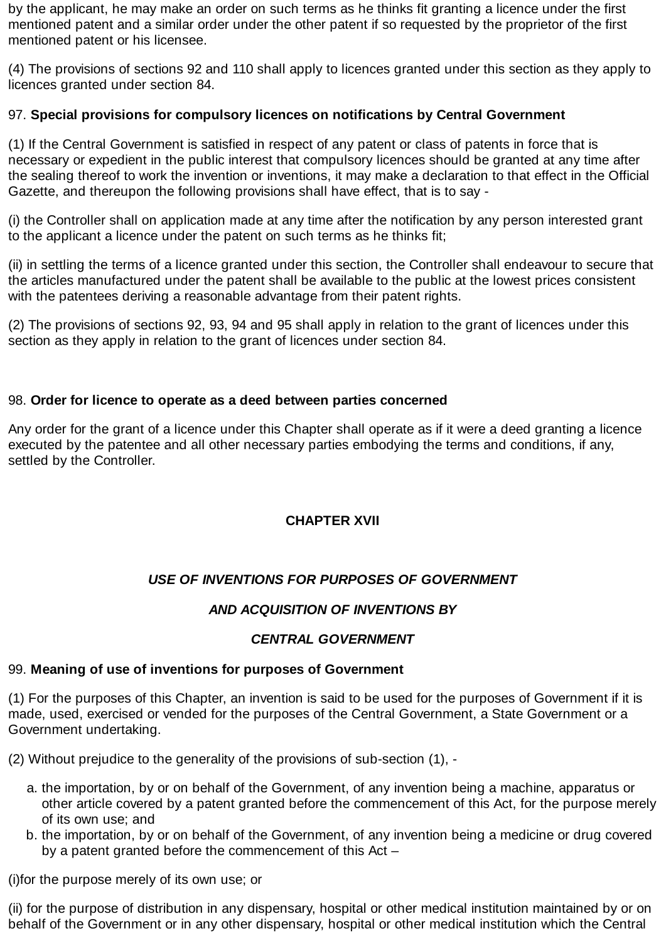by the applicant, he may make an order on such terms as he thinks fit granting a licence under the first mentioned patent and a similar order under the other patent if so requested by the proprietor of the first mentioned patent or his licensee.

(4) The provisions of sections 92 and 110 shall apply to licences granted under this section as they apply to licences granted under section 84.

## 97. **Special provisions for compulsory licences on notifications by Central Government**

(1) If the Central Government is satisfied in respect of any patent or class of patents in force that is necessary or expedient in the public interest that compulsory licences should be granted at any time after the sealing thereof to work the invention or inventions, it may make a declaration to that effect in the Official Gazette, and thereupon the following provisions shall have effect, that is to say -

(i) the Controller shall on application made at any time after the notification by any person interested grant to the applicant a licence under the patent on such terms as he thinks fit;

(ii) in settling the terms of a licence granted under this section, the Controller shall endeavour to secure that the articles manufactured under the patent shall be available to the public at the lowest prices consistent with the patentees deriving a reasonable advantage from their patent rights.

(2) The provisions of sections 92, 93, 94 and 95 shall apply in relation to the grant of licences under this section as they apply in relation to the grant of licences under section 84.

### 98. **Order for licence to operate as a deed between parties concerned**

Any order for the grant of a licence under this Chapter shall operate as if it were a deed granting a licence executed by the patentee and all other necessary parties embodying the terms and conditions, if any, settled by the Controller.

## **CHAPTER XVII**

## *USE OF INVENTIONS FOR PURPOSES OF GOVERNMENT*

## *AND ACQUISITION OF INVENTIONS BY*

## *CENTRAL GOVERNMENT*

#### 99. **Meaning of use of inventions for purposes of Government**

(1) For the purposes of this Chapter, an invention is said to be used for the purposes of Government if it is made, used, exercised or vended for the purposes of the Central Government, a State Government or a Government undertaking.

(2) Without prejudice to the generality of the provisions of sub-section (1), -

- a. the importation, by or on behalf of the Government, of any invention being a machine, apparatus or other article covered by a patent granted before the commencement of this Act, for the purpose merely of its own use; and
- b. the importation, by or on behalf of the Government, of any invention being a medicine or drug covered by a patent granted before the commencement of this Act –

(i)for the purpose merely of its own use; or

(ii) for the purpose of distribution in any dispensary, hospital or other medical institution maintained by or on behalf of the Government or in any other dispensary, hospital or other medical institution which the Central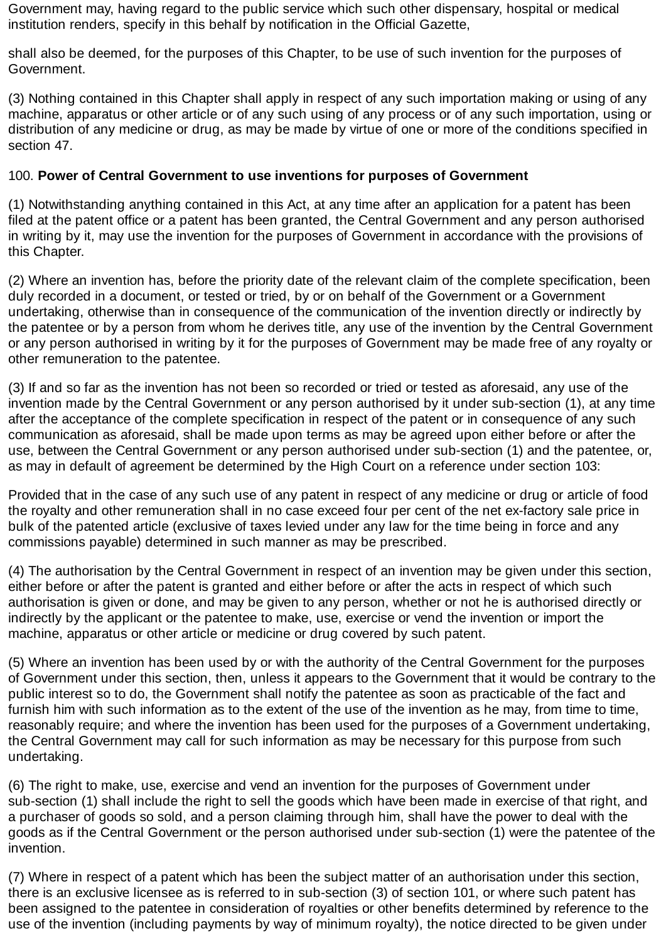Government may, having regard to the public service which such other dispensary, hospital or medical institution renders, specify in this behalf by notification in the Official Gazette,

shall also be deemed, for the purposes of this Chapter, to be use of such invention for the purposes of Government.

(3) Nothing contained in this Chapter shall apply in respect of any such importation making or using of any machine, apparatus or other article or of any such using of any process or of any such importation, using or distribution of any medicine or drug, as may be made by virtue of one or more of the conditions specified in section 47.

### 100. **Power of Central Government to use inventions for purposes of Government**

(1) Notwithstanding anything contained in this Act, at any time after an application for a patent has been filed at the patent office or a patent has been granted, the Central Government and any person authorised in writing by it, may use the invention for the purposes of Government in accordance with the provisions of this Chapter.

(2) Where an invention has, before the priority date of the relevant claim of the complete specification, been duly recorded in a document, or tested or tried, by or on behalf of the Government or a Government undertaking, otherwise than in consequence of the communication of the invention directly or indirectly by the patentee or by a person from whom he derives title, any use of the invention by the Central Government or any person authorised in writing by it for the purposes of Government may be made free of any royalty or other remuneration to the patentee.

(3) If and so far as the invention has not been so recorded or tried or tested as aforesaid, any use of the invention made by the Central Government or any person authorised by it under sub-section (1), at any time after the acceptance of the complete specification in respect of the patent or in consequence of any such communication as aforesaid, shall be made upon terms as may be agreed upon either before or after the use, between the Central Government or any person authorised under sub-section (1) and the patentee, or, as may in default of agreement be determined by the High Court on a reference under section 103:

Provided that in the case of any such use of any patent in respect of any medicine or drug or article of food the royalty and other remuneration shall in no case exceed four per cent of the net ex-factory sale price in bulk of the patented article (exclusive of taxes levied under any law for the time being in force and any commissions payable) determined in such manner as may be prescribed.

(4) The authorisation by the Central Government in respect of an invention may be given under this section, either before or after the patent is granted and either before or after the acts in respect of which such authorisation is given or done, and may be given to any person, whether or not he is authorised directly or indirectly by the applicant or the patentee to make, use, exercise or vend the invention or import the machine, apparatus or other article or medicine or drug covered by such patent.

(5) Where an invention has been used by or with the authority of the Central Government for the purposes of Government under this section, then, unless it appears to the Government that it would be contrary to the public interest so to do, the Government shall notify the patentee as soon as practicable of the fact and furnish him with such information as to the extent of the use of the invention as he may, from time to time, reasonably require; and where the invention has been used for the purposes of a Government undertaking, the Central Government may call for such information as may be necessary for this purpose from such undertaking.

(6) The right to make, use, exercise and vend an invention for the purposes of Government under sub-section (1) shall include the right to sell the goods which have been made in exercise of that right, and a purchaser of goods so sold, and a person claiming through him, shall have the power to deal with the goods as if the Central Government or the person authorised under sub-section (1) were the patentee of the invention.

(7) Where in respect of a patent which has been the subject matter of an authorisation under this section, there is an exclusive licensee as is referred to in sub-section (3) of section 101, or where such patent has been assigned to the patentee in consideration of royalties or other benefits determined by reference to the use of the invention (including payments by way of minimum royalty), the notice directed to be given under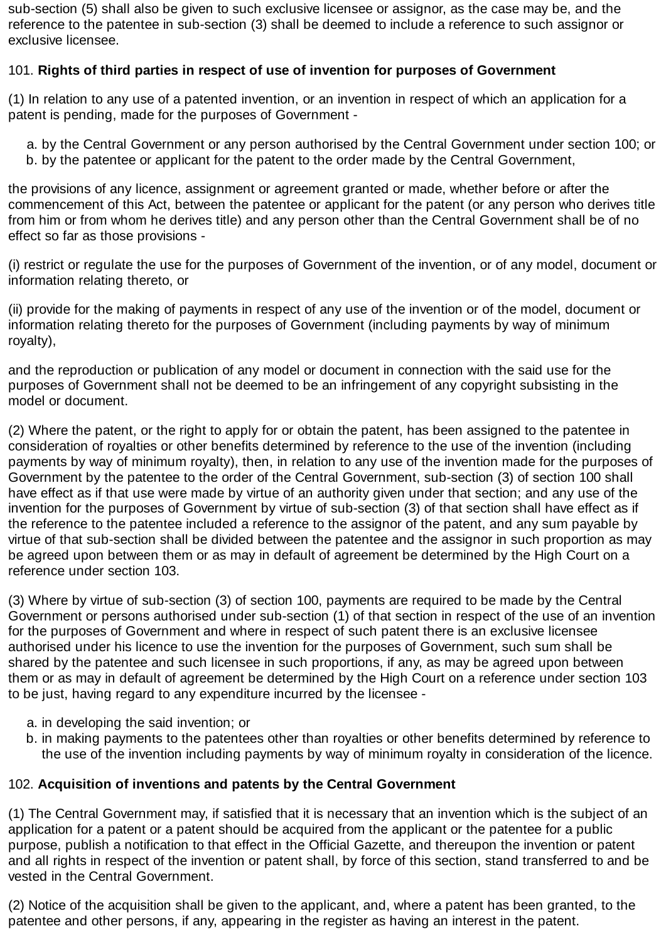sub-section (5) shall also be given to such exclusive licensee or assignor, as the case may be, and the reference to the patentee in sub-section (3) shall be deemed to include a reference to such assignor or exclusive licensee.

## 101. **Rights of third parties in respect of use of invention for purposes of Government**

(1) In relation to any use of a patented invention, or an invention in respect of which an application for a patent is pending, made for the purposes of Government -

- a. by the Central Government or any person authorised by the Central Government under section 100; or
- b. by the patentee or applicant for the patent to the order made by the Central Government,

the provisions of any licence, assignment or agreement granted or made, whether before or after the commencement of this Act, between the patentee or applicant for the patent (or any person who derives title from him or from whom he derives title) and any person other than the Central Government shall be of no effect so far as those provisions -

(i) restrict or regulate the use for the purposes of Government of the invention, or of any model, document or information relating thereto, or

(ii) provide for the making of payments in respect of any use of the invention or of the model, document or information relating thereto for the purposes of Government (including payments by way of minimum royalty),

and the reproduction or publication of any model or document in connection with the said use for the purposes of Government shall not be deemed to be an infringement of any copyright subsisting in the model or document.

(2) Where the patent, or the right to apply for or obtain the patent, has been assigned to the patentee in consideration of royalties or other benefits determined by reference to the use of the invention (including payments by way of minimum royalty), then, in relation to any use of the invention made for the purposes of Government by the patentee to the order of the Central Government, sub-section (3) of section 100 shall have effect as if that use were made by virtue of an authority given under that section; and any use of the invention for the purposes of Government by virtue of sub-section (3) of that section shall have effect as if the reference to the patentee included a reference to the assignor of the patent, and any sum payable by virtue of that sub-section shall be divided between the patentee and the assignor in such proportion as may be agreed upon between them or as may in default of agreement be determined by the High Court on a reference under section 103.

(3) Where by virtue of sub-section (3) of section 100, payments are required to be made by the Central Government or persons authorised under sub-section (1) of that section in respect of the use of an invention for the purposes of Government and where in respect of such patent there is an exclusive licensee authorised under his licence to use the invention for the purposes of Government, such sum shall be shared by the patentee and such licensee in such proportions, if any, as may be agreed upon between them or as may in default of agreement be determined by the High Court on a reference under section 103 to be just, having regard to any expenditure incurred by the licensee -

- a. in developing the said invention; or
- b. in making payments to the patentees other than royalties or other benefits determined by reference to the use of the invention including payments by way of minimum royalty in consideration of the licence.

## 102. **Acquisition of inventions and patents by the Central Government**

(1) The Central Government may, if satisfied that it is necessary that an invention which is the subject of an application for a patent or a patent should be acquired from the applicant or the patentee for a public purpose, publish a notification to that effect in the Official Gazette, and thereupon the invention or patent and all rights in respect of the invention or patent shall, by force of this section, stand transferred to and be vested in the Central Government.

(2) Notice of the acquisition shall be given to the applicant, and, where a patent has been granted, to the patentee and other persons, if any, appearing in the register as having an interest in the patent.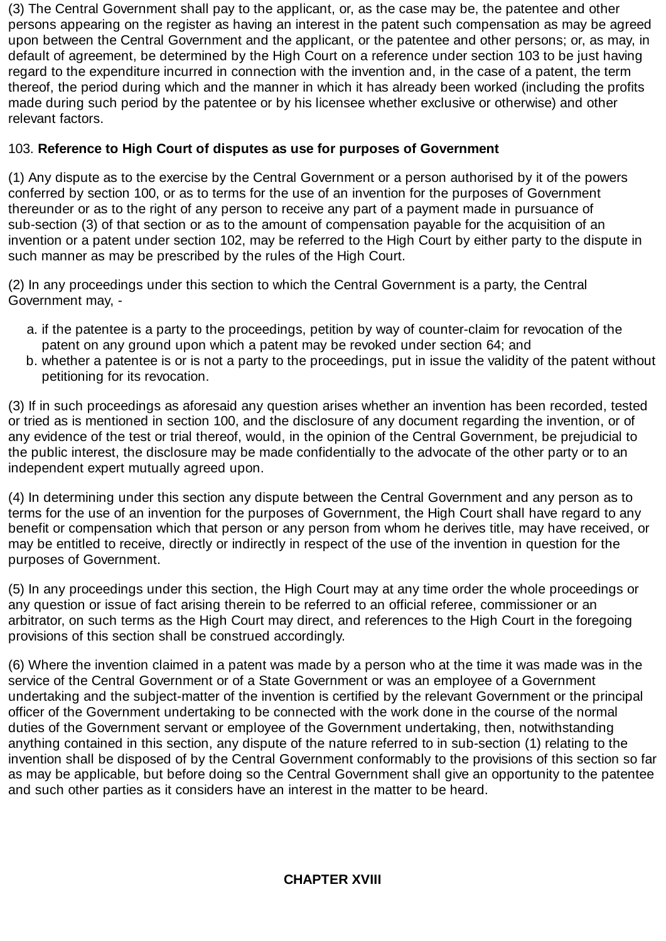(3) The Central Government shall pay to the applicant, or, as the case may be, the patentee and other persons appearing on the register as having an interest in the patent such compensation as may be agreed upon between the Central Government and the applicant, or the patentee and other persons; or, as may, in default of agreement, be determined by the High Court on a reference under section 103 to be just having regard to the expenditure incurred in connection with the invention and, in the case of a patent, the term thereof, the period during which and the manner in which it has already been worked (including the profits made during such period by the patentee or by his licensee whether exclusive or otherwise) and other relevant factors.

### 103. **Reference to High Court of disputes as use for purposes of Government**

(1) Any dispute as to the exercise by the Central Government or a person authorised by it of the powers conferred by section 100, or as to terms for the use of an invention for the purposes of Government thereunder or as to the right of any person to receive any part of a payment made in pursuance of sub-section (3) of that section or as to the amount of compensation payable for the acquisition of an invention or a patent under section 102, may be referred to the High Court by either party to the dispute in such manner as may be prescribed by the rules of the High Court.

(2) In any proceedings under this section to which the Central Government is a party, the Central Government may, -

- a. if the patentee is a party to the proceedings, petition by way of counter-claim for revocation of the patent on any ground upon which a patent may be revoked under section 64; and
- b. whether a patentee is or is not a party to the proceedings, put in issue the validity of the patent without petitioning for its revocation.

(3) If in such proceedings as aforesaid any question arises whether an invention has been recorded, tested or tried as is mentioned in section 100, and the disclosure of any document regarding the invention, or of any evidence of the test or trial thereof, would, in the opinion of the Central Government, be prejudicial to the public interest, the disclosure may be made confidentially to the advocate of the other party or to an independent expert mutually agreed upon.

(4) In determining under this section any dispute between the Central Government and any person as to terms for the use of an invention for the purposes of Government, the High Court shall have regard to any benefit or compensation which that person or any person from whom he derives title, may have received, or may be entitled to receive, directly or indirectly in respect of the use of the invention in question for the purposes of Government.

(5) In any proceedings under this section, the High Court may at any time order the whole proceedings or any question or issue of fact arising therein to be referred to an official referee, commissioner or an arbitrator, on such terms as the High Court may direct, and references to the High Court in the foregoing provisions of this section shall be construed accordingly.

(6) Where the invention claimed in a patent was made by a person who at the time it was made was in the service of the Central Government or of a State Government or was an employee of a Government undertaking and the subject-matter of the invention is certified by the relevant Government or the principal officer of the Government undertaking to be connected with the work done in the course of the normal duties of the Government servant or employee of the Government undertaking, then, notwithstanding anything contained in this section, any dispute of the nature referred to in sub-section (1) relating to the invention shall be disposed of by the Central Government conformably to the provisions of this section so far as may be applicable, but before doing so the Central Government shall give an opportunity to the patentee and such other parties as it considers have an interest in the matter to be heard.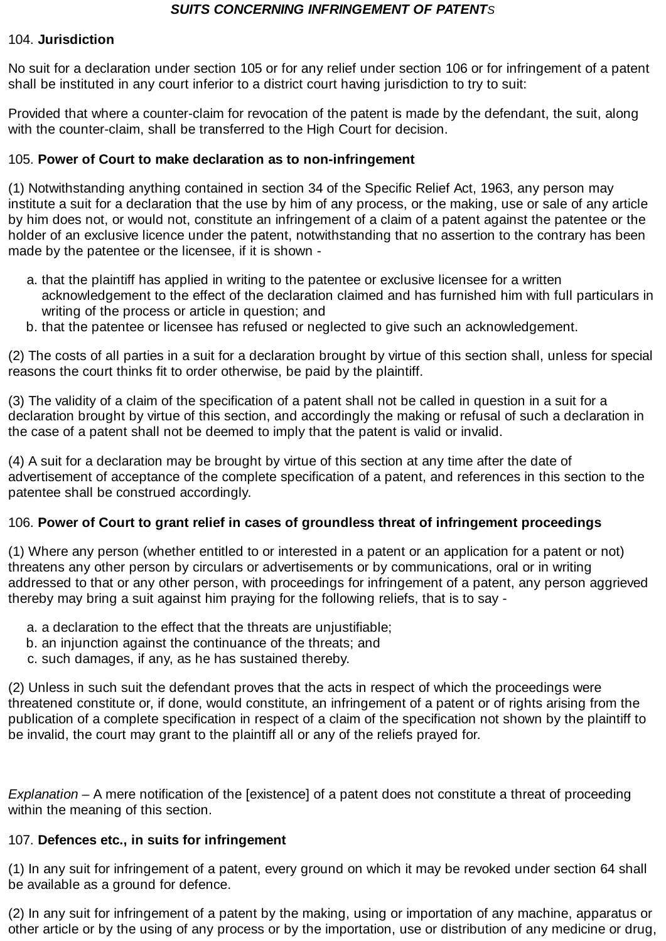#### *SUITS CONCERNING INFRINGEMENT OF PATENTS*

#### 104. **Jurisdiction**

No suit for a declaration under section 105 or for any relief under section 106 or for infringement of a patent shall be instituted in any court inferior to a district court having jurisdiction to try to suit:

Provided that where a counter-claim for revocation of the patent is made by the defendant, the suit, along with the counter-claim, shall be transferred to the High Court for decision.

## 105. **Power of Court to make declaration as to non-infringement**

(1) Notwithstanding anything contained in section 34 of the Specific Relief Act, 1963, any person may institute a suit for a declaration that the use by him of any process, or the making, use or sale of any article by him does not, or would not, constitute an infringement of a claim of a patent against the patentee or the holder of an exclusive licence under the patent, notwithstanding that no assertion to the contrary has been made by the patentee or the licensee, if it is shown -

- a. that the plaintiff has applied in writing to the patentee or exclusive licensee for a written acknowledgement to the effect of the declaration claimed and has furnished him with full particulars in writing of the process or article in question; and
- b. that the patentee or licensee has refused or neglected to give such an acknowledgement.

(2) The costs of all parties in a suit for a declaration brought by virtue of this section shall, unless for special reasons the court thinks fit to order otherwise, be paid by the plaintiff.

(3) The validity of a claim of the specification of a patent shall not be called in question in a suit for a declaration brought by virtue of this section, and accordingly the making or refusal of such a declaration in the case of a patent shall not be deemed to imply that the patent is valid or invalid.

(4) A suit for a declaration may be brought by virtue of this section at any time after the date of advertisement of acceptance of the complete specification of a patent, and references in this section to the patentee shall be construed accordingly.

## 106. **Power of Court to grant relief in cases of groundless threat of infringement proceedings**

(1) Where any person (whether entitled to or interested in a patent or an application for a patent or not) threatens any other person by circulars or advertisements or by communications, oral or in writing addressed to that or any other person, with proceedings for infringement of a patent, any person aggrieved thereby may bring a suit against him praying for the following reliefs, that is to say -

- a. a declaration to the effect that the threats are unjustifiable;
- b. an injunction against the continuance of the threats; and
- c. such damages, if any, as he has sustained thereby.

(2) Unless in such suit the defendant proves that the acts in respect of which the proceedings were threatened constitute or, if done, would constitute, an infringement of a patent or of rights arising from the publication of a complete specification in respect of a claim of the specification not shown by the plaintiff to be invalid, the court may grant to the plaintiff all or any of the reliefs prayed for.

*Explanation* – A mere notification of the [existence] of a patent does not constitute a threat of proceeding within the meaning of this section.

## 107. **Defences etc., in suits for infringement**

(1) In any suit for infringement of a patent, every ground on which it may be revoked under section 64 shall be available as a ground for defence.

(2) In any suit for infringement of a patent by the making, using or importation of any machine, apparatus or other article or by the using of any process or by the importation, use or distribution of any medicine or drug,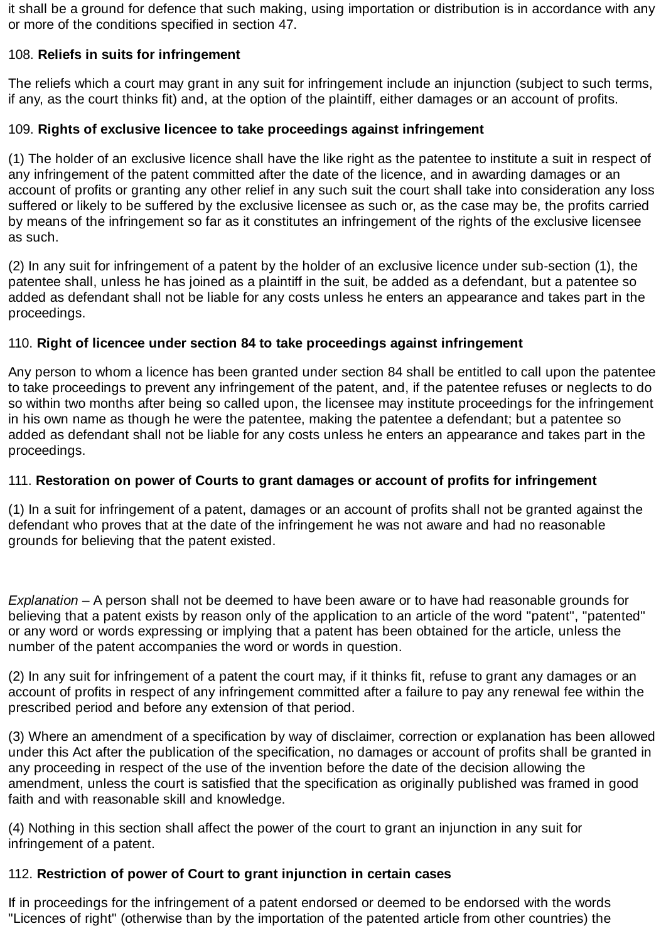it shall be a ground for defence that such making, using importation or distribution is in accordance with any or more of the conditions specified in section 47.

## 108. **Reliefs in suits for infringement**

The reliefs which a court may grant in any suit for infringement include an injunction (subject to such terms, if any, as the court thinks fit) and, at the option of the plaintiff, either damages or an account of profits.

## 109. **Rights of exclusive licencee to take proceedings against infringement**

(1) The holder of an exclusive licence shall have the like right as the patentee to institute a suit in respect of any infringement of the patent committed after the date of the licence, and in awarding damages or an account of profits or granting any other relief in any such suit the court shall take into consideration any loss suffered or likely to be suffered by the exclusive licensee as such or, as the case may be, the profits carried by means of the infringement so far as it constitutes an infringement of the rights of the exclusive licensee as such.

(2) In any suit for infringement of a patent by the holder of an exclusive licence under sub-section (1), the patentee shall, unless he has joined as a plaintiff in the suit, be added as a defendant, but a patentee so added as defendant shall not be liable for any costs unless he enters an appearance and takes part in the proceedings.

### 110. **Right of licencee under section 84 to take proceedings against infringement**

Any person to whom a licence has been granted under section 84 shall be entitled to call upon the patentee to take proceedings to prevent any infringement of the patent, and, if the patentee refuses or neglects to do so within two months after being so called upon, the licensee may institute proceedings for the infringement in his own name as though he were the patentee, making the patentee a defendant; but a patentee so added as defendant shall not be liable for any costs unless he enters an appearance and takes part in the proceedings.

## 111. **Restoration on power of Courts to grant damages or account of profits for infringement**

(1) In a suit for infringement of a patent, damages or an account of profits shall not be granted against the defendant who proves that at the date of the infringement he was not aware and had no reasonable grounds for believing that the patent existed.

*Explanation* – A person shall not be deemed to have been aware or to have had reasonable grounds for believing that a patent exists by reason only of the application to an article of the word "patent", "patented" or any word or words expressing or implying that a patent has been obtained for the article, unless the number of the patent accompanies the word or words in question.

(2) In any suit for infringement of a patent the court may, if it thinks fit, refuse to grant any damages or an account of profits in respect of any infringement committed after a failure to pay any renewal fee within the prescribed period and before any extension of that period.

(3) Where an amendment of a specification by way of disclaimer, correction or explanation has been allowed under this Act after the publication of the specification, no damages or account of profits shall be granted in any proceeding in respect of the use of the invention before the date of the decision allowing the amendment, unless the court is satisfied that the specification as originally published was framed in good faith and with reasonable skill and knowledge.

(4) Nothing in this section shall affect the power of the court to grant an injunction in any suit for infringement of a patent.

#### 112. **Restriction of power of Court to grant injunction in certain cases**

If in proceedings for the infringement of a patent endorsed or deemed to be endorsed with the words "Licences of right" (otherwise than by the importation of the patented article from other countries) the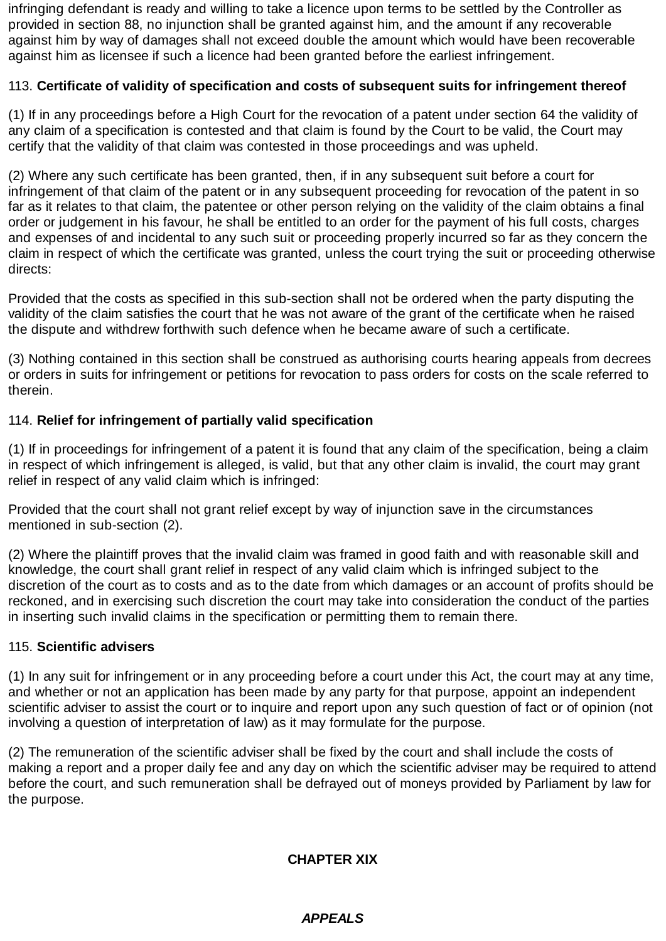infringing defendant is ready and willing to take a licence upon terms to be settled by the Controller as provided in section 88, no injunction shall be granted against him, and the amount if any recoverable against him by way of damages shall not exceed double the amount which would have been recoverable against him as licensee if such a licence had been granted before the earliest infringement.

### 113. **Certificate of validity of specification and costs of subsequent suits for infringement thereof**

(1) If in any proceedings before a High Court for the revocation of a patent under section 64 the validity of any claim of a specification is contested and that claim is found by the Court to be valid, the Court may certify that the validity of that claim was contested in those proceedings and was upheld.

(2) Where any such certificate has been granted, then, if in any subsequent suit before a court for infringement of that claim of the patent or in any subsequent proceeding for revocation of the patent in so far as it relates to that claim, the patentee or other person relying on the validity of the claim obtains a final order or judgement in his favour, he shall be entitled to an order for the payment of his full costs, charges and expenses of and incidental to any such suit or proceeding properly incurred so far as they concern the claim in respect of which the certificate was granted, unless the court trying the suit or proceeding otherwise directs:

Provided that the costs as specified in this sub-section shall not be ordered when the party disputing the validity of the claim satisfies the court that he was not aware of the grant of the certificate when he raised the dispute and withdrew forthwith such defence when he became aware of such a certificate.

(3) Nothing contained in this section shall be construed as authorising courts hearing appeals from decrees or orders in suits for infringement or petitions for revocation to pass orders for costs on the scale referred to therein.

### 114. **Relief for infringement of partially valid specification**

(1) If in proceedings for infringement of a patent it is found that any claim of the specification, being a claim in respect of which infringement is alleged, is valid, but that any other claim is invalid, the court may grant relief in respect of any valid claim which is infringed:

Provided that the court shall not grant relief except by way of injunction save in the circumstances mentioned in sub-section (2).

(2) Where the plaintiff proves that the invalid claim was framed in good faith and with reasonable skill and knowledge, the court shall grant relief in respect of any valid claim which is infringed subject to the discretion of the court as to costs and as to the date from which damages or an account of profits should be reckoned, and in exercising such discretion the court may take into consideration the conduct of the parties in inserting such invalid claims in the specification or permitting them to remain there.

#### 115. **Scientific advisers**

(1) In any suit for infringement or in any proceeding before a court under this Act, the court may at any time, and whether or not an application has been made by any party for that purpose, appoint an independent scientific adviser to assist the court or to inquire and report upon any such question of fact or of opinion (not involving a question of interpretation of law) as it may formulate for the purpose.

(2) The remuneration of the scientific adviser shall be fixed by the court and shall include the costs of making a report and a proper daily fee and any day on which the scientific adviser may be required to attend before the court, and such remuneration shall be defrayed out of moneys provided by Parliament by law for the purpose.

#### **CHAPTER XIX**

## *APPEALS*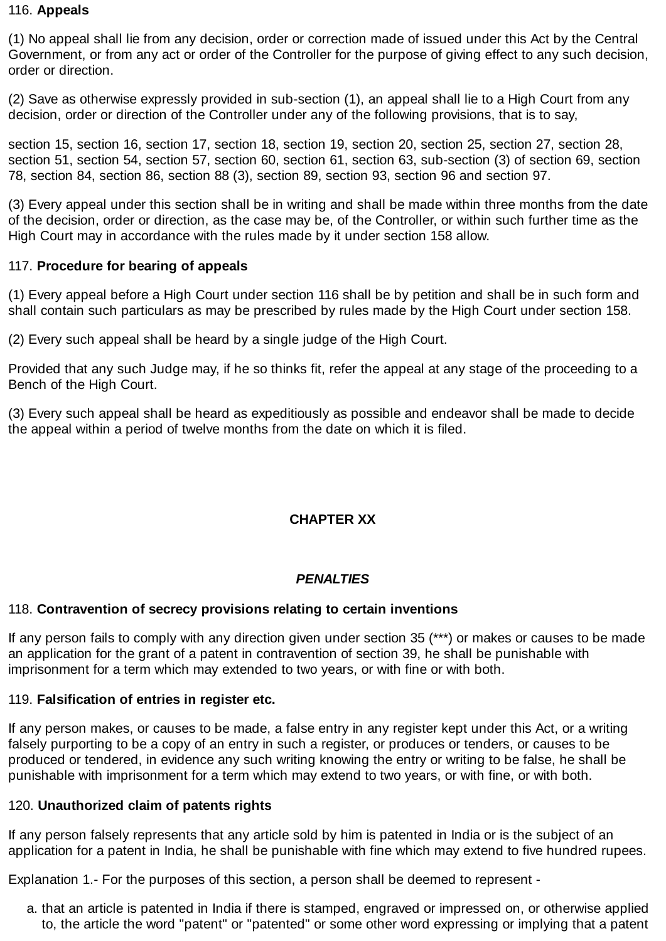#### 116. **Appeals**

(1) No appeal shall lie from any decision, order or correction made of issued under this Act by the Central Government, or from any act or order of the Controller for the purpose of giving effect to any such decision, order or direction.

(2) Save as otherwise expressly provided in sub-section (1), an appeal shall lie to a High Court from any decision, order or direction of the Controller under any of the following provisions, that is to say,

section 15, section 16, section 17, section 18, section 19, section 20, section 25, section 27, section 28, section 51, section 54, section 57, section 60, section 61, section 63, sub-section (3) of section 69, section 78, section 84, section 86, section 88 (3), section 89, section 93, section 96 and section 97.

(3) Every appeal under this section shall be in writing and shall be made within three months from the date of the decision, order or direction, as the case may be, of the Controller, or within such further time as the High Court may in accordance with the rules made by it under section 158 allow.

#### 117. **Procedure for bearing of appeals**

(1) Every appeal before a High Court under section 116 shall be by petition and shall be in such form and shall contain such particulars as may be prescribed by rules made by the High Court under section 158.

(2) Every such appeal shall be heard by a single judge of the High Court.

Provided that any such Judge may, if he so thinks fit, refer the appeal at any stage of the proceeding to a Bench of the High Court.

(3) Every such appeal shall be heard as expeditiously as possible and endeavor shall be made to decide the appeal within a period of twelve months from the date on which it is filed.

#### **CHAPTER XX**

#### *PENALTIES*

#### 118. **Contravention of secrecy provisions relating to certain inventions**

If any person fails to comply with any direction given under section 35 (\*\*\*) or makes or causes to be made an application for the grant of a patent in contravention of section 39, he shall be punishable with imprisonment for a term which may extended to two years, or with fine or with both.

#### 119. **Falsification of entries in register etc.**

If any person makes, or causes to be made, a false entry in any register kept under this Act, or a writing falsely purporting to be a copy of an entry in such a register, or produces or tenders, or causes to be produced or tendered, in evidence any such writing knowing the entry or writing to be false, he shall be punishable with imprisonment for a term which may extend to two years, or with fine, or with both.

#### 120. **Unauthorized claim of patents rights**

If any person falsely represents that any article sold by him is patented in India or is the subject of an application for a patent in India, he shall be punishable with fine which may extend to five hundred rupees.

Explanation 1.- For the purposes of this section, a person shall be deemed to represent -

a. that an article is patented in India if there is stamped, engraved or impressed on, or otherwise applied to, the article the word "patent" or "patented" or some other word expressing or implying that a patent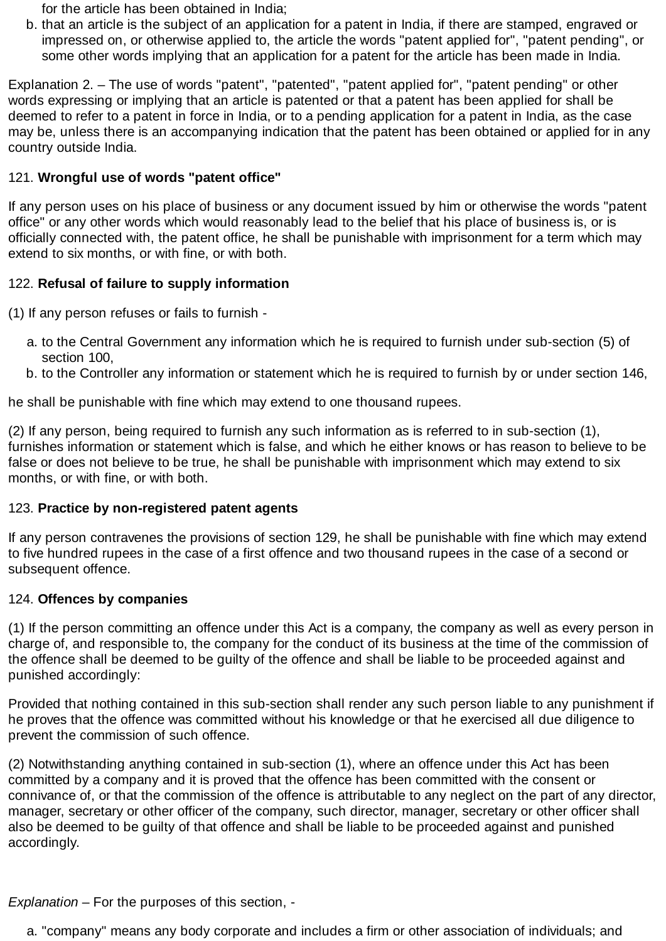for the article has been obtained in India;

b. that an article is the subject of an application for a patent in India, if there are stamped, engraved or impressed on, or otherwise applied to, the article the words "patent applied for", "patent pending", or some other words implying that an application for a patent for the article has been made in India.

Explanation 2. – The use of words "patent", "patented", "patent applied for", "patent pending" or other words expressing or implying that an article is patented or that a patent has been applied for shall be deemed to refer to a patent in force in India, or to a pending application for a patent in India, as the case may be, unless there is an accompanying indication that the patent has been obtained or applied for in any country outside India.

## 121. **Wrongful use of words "patent office"**

If any person uses on his place of business or any document issued by him or otherwise the words "patent office" or any other words which would reasonably lead to the belief that his place of business is, or is officially connected with, the patent office, he shall be punishable with imprisonment for a term which may extend to six months, or with fine, or with both.

## 122. **Refusal of failure to supply information**

(1) If any person refuses or fails to furnish -

- a. to the Central Government any information which he is required to furnish under sub-section (5) of section 100,
- b. to the Controller any information or statement which he is required to furnish by or under section 146,

he shall be punishable with fine which may extend to one thousand rupees.

(2) If any person, being required to furnish any such information as is referred to in sub-section (1), furnishes information or statement which is false, and which he either knows or has reason to believe to be false or does not believe to be true, he shall be punishable with imprisonment which may extend to six months, or with fine, or with both.

## 123. **Practice by non-registered patent agents**

If any person contravenes the provisions of section 129, he shall be punishable with fine which may extend to five hundred rupees in the case of a first offence and two thousand rupees in the case of a second or subsequent offence.

## 124. **Offences by companies**

(1) If the person committing an offence under this Act is a company, the company as well as every person in charge of, and responsible to, the company for the conduct of its business at the time of the commission of the offence shall be deemed to be guilty of the offence and shall be liable to be proceeded against and punished accordingly:

Provided that nothing contained in this sub-section shall render any such person liable to any punishment if he proves that the offence was committed without his knowledge or that he exercised all due diligence to prevent the commission of such offence.

(2) Notwithstanding anything contained in sub-section (1), where an offence under this Act has been committed by a company and it is proved that the offence has been committed with the consent or connivance of, or that the commission of the offence is attributable to any neglect on the part of any director, manager, secretary or other officer of the company, such director, manager, secretary or other officer shall also be deemed to be guilty of that offence and shall be liable to be proceeded against and punished accordingly.

## *Explanation* – For the purposes of this section, -

a. "company" means any body corporate and includes a firm or other association of individuals; and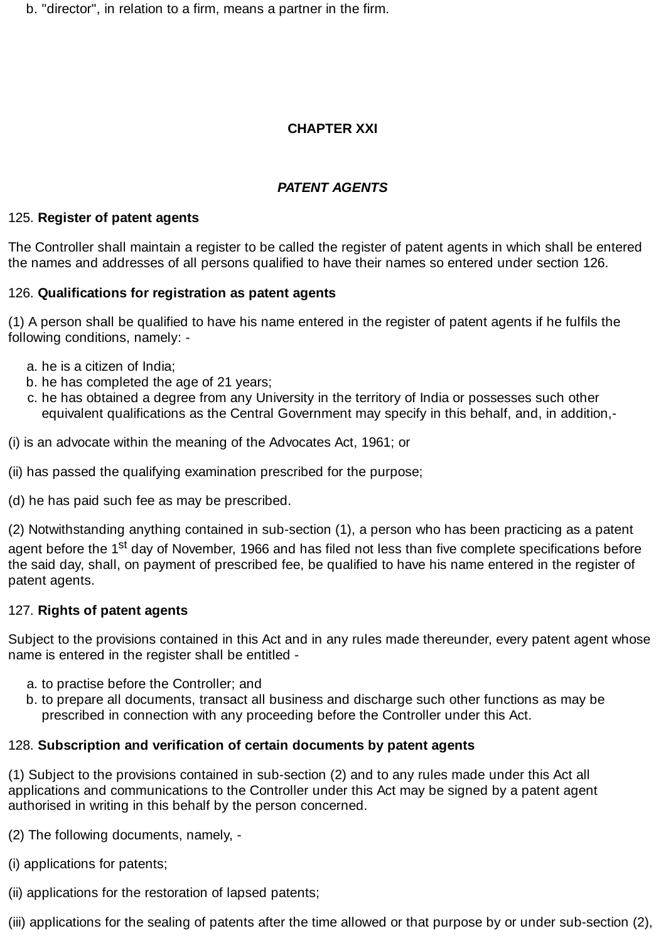b. "director", in relation to a firm, means a partner in the firm.

## **CHAPTER XXI**

## *PATENT AGENTS*

### 125. **Register of patent agents**

The Controller shall maintain a register to be called the register of patent agents in which shall be entered the names and addresses of all persons qualified to have their names so entered under section 126.

### 126. **Qualifications for registration as patent agents**

(1) A person shall be qualified to have his name entered in the register of patent agents if he fulfils the following conditions, namely: -

- a. he is a citizen of India;
- b. he has completed the age of 21 years;
- c. he has obtained a degree from any University in the territory of India or possesses such other equivalent qualifications as the Central Government may specify in this behalf, and, in addition,-
- (i) is an advocate within the meaning of the Advocates Act, 1961; or
- (ii) has passed the qualifying examination prescribed for the purpose;
- (d) he has paid such fee as may be prescribed.

(2) Notwithstanding anything contained in sub-section (1), a person who has been practicing as a patent agent before the 1<sup>st</sup> day of November, 1966 and has filed not less than five complete specifications before the said day, shall, on payment of prescribed fee, be qualified to have his name entered in the register of patent agents.

#### 127. **Rights of patent agents**

Subject to the provisions contained in this Act and in any rules made thereunder, every patent agent whose name is entered in the register shall be entitled -

- a. to practise before the Controller; and
- b. to prepare all documents, transact all business and discharge such other functions as may be prescribed in connection with any proceeding before the Controller under this Act.

## 128. **Subscription and verification of certain documents by patent agents**

(1) Subject to the provisions contained in sub-section (2) and to any rules made under this Act all applications and communications to the Controller under this Act may be signed by a patent agent authorised in writing in this behalf by the person concerned.

- (2) The following documents, namely, -
- (i) applications for patents;
- (ii) applications for the restoration of lapsed patents;
- (iii) applications for the sealing of patents after the time allowed or that purpose by or under sub-section (2),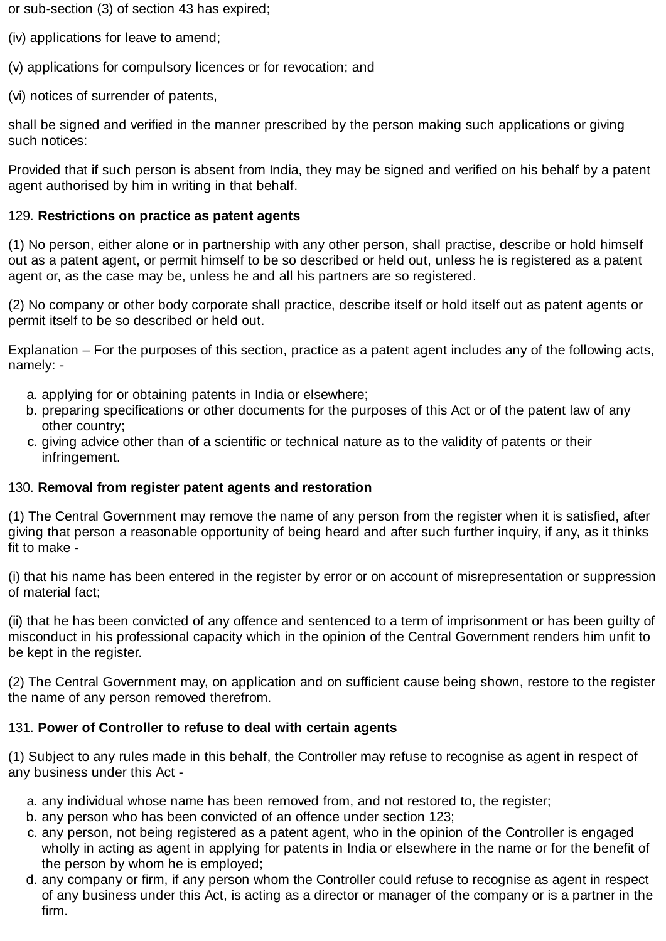or sub-section (3) of section 43 has expired;

- (iv) applications for leave to amend;
- (v) applications for compulsory licences or for revocation; and
- (vi) notices of surrender of patents,

shall be signed and verified in the manner prescribed by the person making such applications or giving such notices:

Provided that if such person is absent from India, they may be signed and verified on his behalf by a patent agent authorised by him in writing in that behalf.

### 129. **Restrictions on practice as patent agents**

(1) No person, either alone or in partnership with any other person, shall practise, describe or hold himself out as a patent agent, or permit himself to be so described or held out, unless he is registered as a patent agent or, as the case may be, unless he and all his partners are so registered.

(2) No company or other body corporate shall practice, describe itself or hold itself out as patent agents or permit itself to be so described or held out.

Explanation – For the purposes of this section, practice as a patent agent includes any of the following acts, namely: -

- a. applying for or obtaining patents in India or elsewhere;
- b. preparing specifications or other documents for the purposes of this Act or of the patent law of any other country;
- c. giving advice other than of a scientific or technical nature as to the validity of patents or their infringement.

#### 130. **Removal from register patent agents and restoration**

(1) The Central Government may remove the name of any person from the register when it is satisfied, after giving that person a reasonable opportunity of being heard and after such further inquiry, if any, as it thinks fit to make -

(i) that his name has been entered in the register by error or on account of misrepresentation or suppression of material fact;

(ii) that he has been convicted of any offence and sentenced to a term of imprisonment or has been guilty of misconduct in his professional capacity which in the opinion of the Central Government renders him unfit to be kept in the register.

(2) The Central Government may, on application and on sufficient cause being shown, restore to the register the name of any person removed therefrom.

## 131. **Power of Controller to refuse to deal with certain agents**

(1) Subject to any rules made in this behalf, the Controller may refuse to recognise as agent in respect of any business under this Act -

- a. any individual whose name has been removed from, and not restored to, the register;
- b. any person who has been convicted of an offence under section 123;
- c. any person, not being registered as a patent agent, who in the opinion of the Controller is engaged wholly in acting as agent in applying for patents in India or elsewhere in the name or for the benefit of the person by whom he is employed;
- d. any company or firm, if any person whom the Controller could refuse to recognise as agent in respect of any business under this Act, is acting as a director or manager of the company or is a partner in the firm.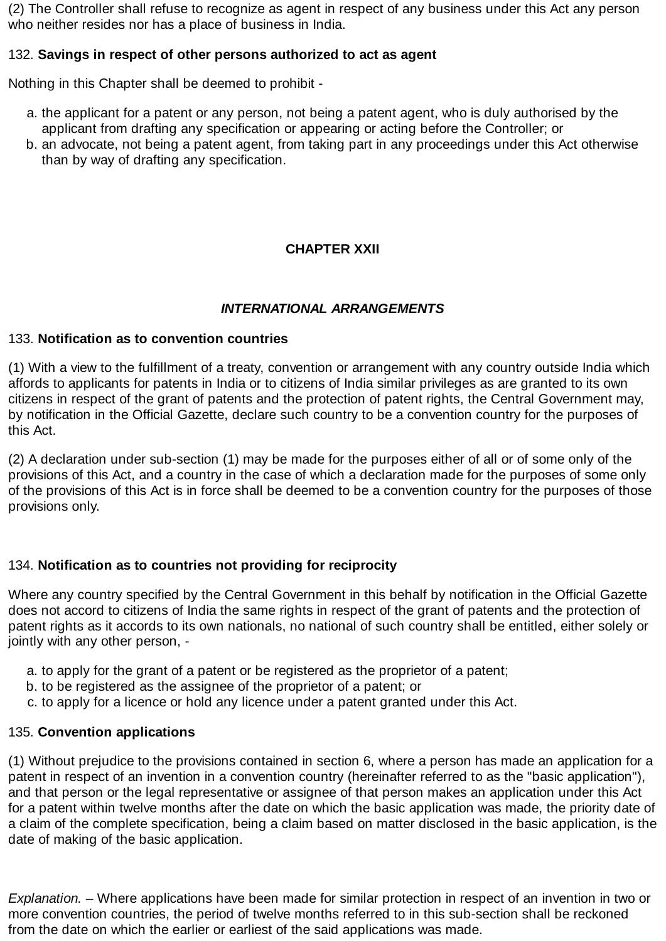(2) The Controller shall refuse to recognize as agent in respect of any business under this Act any person who neither resides nor has a place of business in India.

## 132. **Savings in respect of other persons authorized to act as agent**

Nothing in this Chapter shall be deemed to prohibit -

- a. the applicant for a patent or any person, not being a patent agent, who is duly authorised by the applicant from drafting any specification or appearing or acting before the Controller; or
- b. an advocate, not being a patent agent, from taking part in any proceedings under this Act otherwise than by way of drafting any specification.

## **CHAPTER XXII**

## *INTERNATIONAL ARRANGEMENTS*

## 133. **Notification as to convention countries**

(1) With a view to the fulfillment of a treaty, convention or arrangement with any country outside India which affords to applicants for patents in India or to citizens of India similar privileges as are granted to its own citizens in respect of the grant of patents and the protection of patent rights, the Central Government may, by notification in the Official Gazette, declare such country to be a convention country for the purposes of this Act.

(2) A declaration under sub-section (1) may be made for the purposes either of all or of some only of the provisions of this Act, and a country in the case of which a declaration made for the purposes of some only of the provisions of this Act is in force shall be deemed to be a convention country for the purposes of those provisions only.

## 134. **Notification as to countries not providing for reciprocity**

Where any country specified by the Central Government in this behalf by notification in the Official Gazette does not accord to citizens of India the same rights in respect of the grant of patents and the protection of patent rights as it accords to its own nationals, no national of such country shall be entitled, either solely or jointly with any other person, -

- a. to apply for the grant of a patent or be registered as the proprietor of a patent;
- b. to be registered as the assignee of the proprietor of a patent; or
- c. to apply for a licence or hold any licence under a patent granted under this Act.

## 135. **Convention applications**

(1) Without prejudice to the provisions contained in section 6, where a person has made an application for a patent in respect of an invention in a convention country (hereinafter referred to as the "basic application"), and that person or the legal representative or assignee of that person makes an application under this Act for a patent within twelve months after the date on which the basic application was made, the priority date of a claim of the complete specification, being a claim based on matter disclosed in the basic application, is the date of making of the basic application.

*Explanation.* – Where applications have been made for similar protection in respect of an invention in two or more convention countries, the period of twelve months referred to in this sub-section shall be reckoned from the date on which the earlier or earliest of the said applications was made.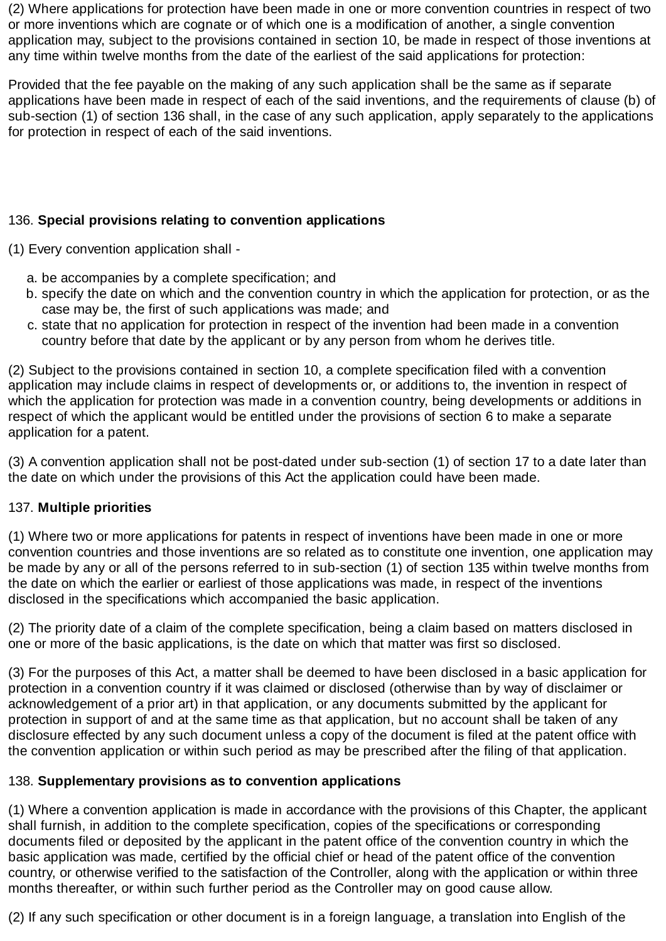(2) Where applications for protection have been made in one or more convention countries in respect of two or more inventions which are cognate or of which one is a modification of another, a single convention application may, subject to the provisions contained in section 10, be made in respect of those inventions at any time within twelve months from the date of the earliest of the said applications for protection:

Provided that the fee payable on the making of any such application shall be the same as if separate applications have been made in respect of each of the said inventions, and the requirements of clause (b) of sub-section (1) of section 136 shall, in the case of any such application, apply separately to the applications for protection in respect of each of the said inventions.

## 136. **Special provisions relating to convention applications**

(1) Every convention application shall -

- a. be accompanies by a complete specification; and
- b. specify the date on which and the convention country in which the application for protection, or as the case may be, the first of such applications was made; and
- c. state that no application for protection in respect of the invention had been made in a convention country before that date by the applicant or by any person from whom he derives title.

(2) Subject to the provisions contained in section 10, a complete specification filed with a convention application may include claims in respect of developments or, or additions to, the invention in respect of which the application for protection was made in a convention country, being developments or additions in respect of which the applicant would be entitled under the provisions of section 6 to make a separate application for a patent.

(3) A convention application shall not be post-dated under sub-section (1) of section 17 to a date later than the date on which under the provisions of this Act the application could have been made.

## 137. **Multiple priorities**

(1) Where two or more applications for patents in respect of inventions have been made in one or more convention countries and those inventions are so related as to constitute one invention, one application may be made by any or all of the persons referred to in sub-section (1) of section 135 within twelve months from the date on which the earlier or earliest of those applications was made, in respect of the inventions disclosed in the specifications which accompanied the basic application.

(2) The priority date of a claim of the complete specification, being a claim based on matters disclosed in one or more of the basic applications, is the date on which that matter was first so disclosed.

(3) For the purposes of this Act, a matter shall be deemed to have been disclosed in a basic application for protection in a convention country if it was claimed or disclosed (otherwise than by way of disclaimer or acknowledgement of a prior art) in that application, or any documents submitted by the applicant for protection in support of and at the same time as that application, but no account shall be taken of any disclosure effected by any such document unless a copy of the document is filed at the patent office with the convention application or within such period as may be prescribed after the filing of that application.

## 138. **Supplementary provisions as to convention applications**

(1) Where a convention application is made in accordance with the provisions of this Chapter, the applicant shall furnish, in addition to the complete specification, copies of the specifications or corresponding documents filed or deposited by the applicant in the patent office of the convention country in which the basic application was made, certified by the official chief or head of the patent office of the convention country, or otherwise verified to the satisfaction of the Controller, along with the application or within three months thereafter, or within such further period as the Controller may on good cause allow.

(2) If any such specification or other document is in a foreign language, a translation into English of the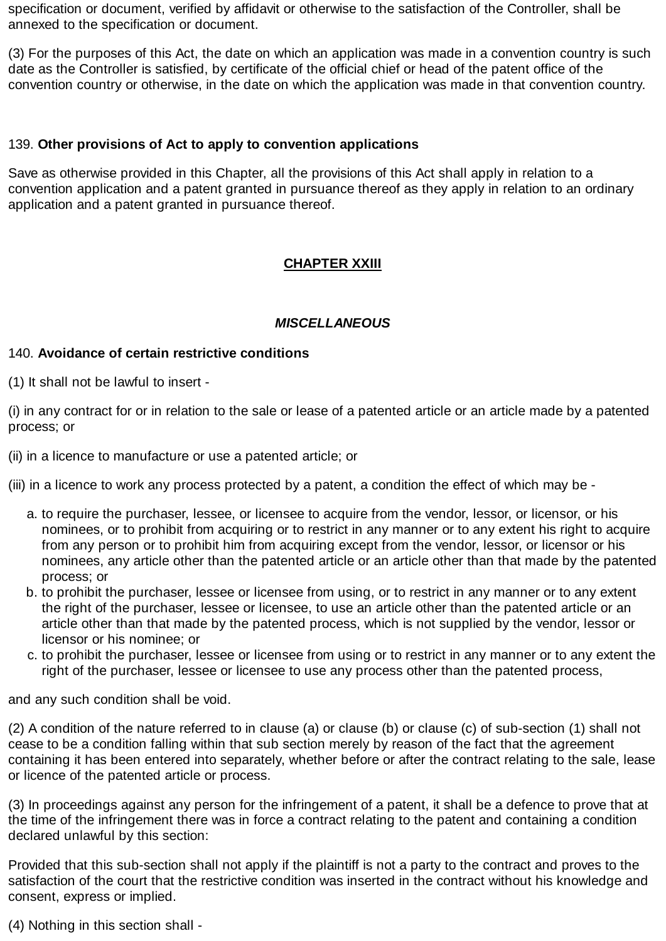specification or document, verified by affidavit or otherwise to the satisfaction of the Controller, shall be annexed to the specification or document.

(3) For the purposes of this Act, the date on which an application was made in a convention country is such date as the Controller is satisfied, by certificate of the official chief or head of the patent office of the convention country or otherwise, in the date on which the application was made in that convention country.

#### 139. **Other provisions of Act to apply to convention applications**

Save as otherwise provided in this Chapter, all the provisions of this Act shall apply in relation to a convention application and a patent granted in pursuance thereof as they apply in relation to an ordinary application and a patent granted in pursuance thereof.

## **CHAPTER XXIII**

#### *MISCELLANEOUS*

#### 140. **Avoidance of certain restrictive conditions**

(1) It shall not be lawful to insert -

(i) in any contract for or in relation to the sale or lease of a patented article or an article made by a patented process; or

- (ii) in a licence to manufacture or use a patented article; or
- (iii) in a licence to work any process protected by a patent, a condition the effect of which may be
	- a. to require the purchaser, lessee, or licensee to acquire from the vendor, lessor, or licensor, or his nominees, or to prohibit from acquiring or to restrict in any manner or to any extent his right to acquire from any person or to prohibit him from acquiring except from the vendor, lessor, or licensor or his nominees, any article other than the patented article or an article other than that made by the patented process; or
	- b. to prohibit the purchaser, lessee or licensee from using, or to restrict in any manner or to any extent the right of the purchaser, lessee or licensee, to use an article other than the patented article or an article other than that made by the patented process, which is not supplied by the vendor, lessor or licensor or his nominee; or
	- c. to prohibit the purchaser, lessee or licensee from using or to restrict in any manner or to any extent the right of the purchaser, lessee or licensee to use any process other than the patented process,

and any such condition shall be void.

(2) A condition of the nature referred to in clause (a) or clause (b) or clause (c) of sub-section (1) shall not cease to be a condition falling within that sub section merely by reason of the fact that the agreement containing it has been entered into separately, whether before or after the contract relating to the sale, lease or licence of the patented article or process.

(3) In proceedings against any person for the infringement of a patent, it shall be a defence to prove that at the time of the infringement there was in force a contract relating to the patent and containing a condition declared unlawful by this section:

Provided that this sub-section shall not apply if the plaintiff is not a party to the contract and proves to the satisfaction of the court that the restrictive condition was inserted in the contract without his knowledge and consent, express or implied.

(4) Nothing in this section shall -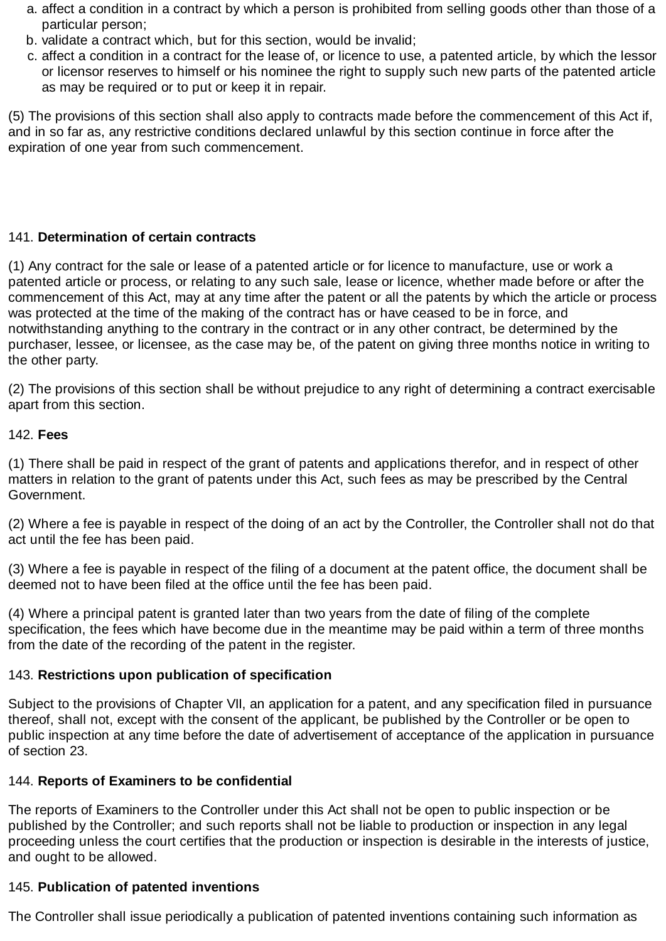- a. affect a condition in a contract by which a person is prohibited from selling goods other than those of a particular person;
- b. validate a contract which, but for this section, would be invalid;
- c. affect a condition in a contract for the lease of, or licence to use, a patented article, by which the lessor or licensor reserves to himself or his nominee the right to supply such new parts of the patented article as may be required or to put or keep it in repair.

(5) The provisions of this section shall also apply to contracts made before the commencement of this Act if, and in so far as, any restrictive conditions declared unlawful by this section continue in force after the expiration of one year from such commencement.

### 141. **Determination of certain contracts**

(1) Any contract for the sale or lease of a patented article or for licence to manufacture, use or work a patented article or process, or relating to any such sale, lease or licence, whether made before or after the commencement of this Act, may at any time after the patent or all the patents by which the article or process was protected at the time of the making of the contract has or have ceased to be in force, and notwithstanding anything to the contrary in the contract or in any other contract, be determined by the purchaser, lessee, or licensee, as the case may be, of the patent on giving three months notice in writing to the other party.

(2) The provisions of this section shall be without prejudice to any right of determining a contract exercisable apart from this section.

#### 142. **Fees**

(1) There shall be paid in respect of the grant of patents and applications therefor, and in respect of other matters in relation to the grant of patents under this Act, such fees as may be prescribed by the Central Government.

(2) Where a fee is payable in respect of the doing of an act by the Controller, the Controller shall not do that act until the fee has been paid.

(3) Where a fee is payable in respect of the filing of a document at the patent office, the document shall be deemed not to have been filed at the office until the fee has been paid.

(4) Where a principal patent is granted later than two years from the date of filing of the complete specification, the fees which have become due in the meantime may be paid within a term of three months from the date of the recording of the patent in the register.

## 143. **Restrictions upon publication of specification**

Subject to the provisions of Chapter VII, an application for a patent, and any specification filed in pursuance thereof, shall not, except with the consent of the applicant, be published by the Controller or be open to public inspection at any time before the date of advertisement of acceptance of the application in pursuance of section 23.

## 144. **Reports of Examiners to be confidential**

The reports of Examiners to the Controller under this Act shall not be open to public inspection or be published by the Controller; and such reports shall not be liable to production or inspection in any legal proceeding unless the court certifies that the production or inspection is desirable in the interests of justice, and ought to be allowed.

## 145. **Publication of patented inventions**

The Controller shall issue periodically a publication of patented inventions containing such information as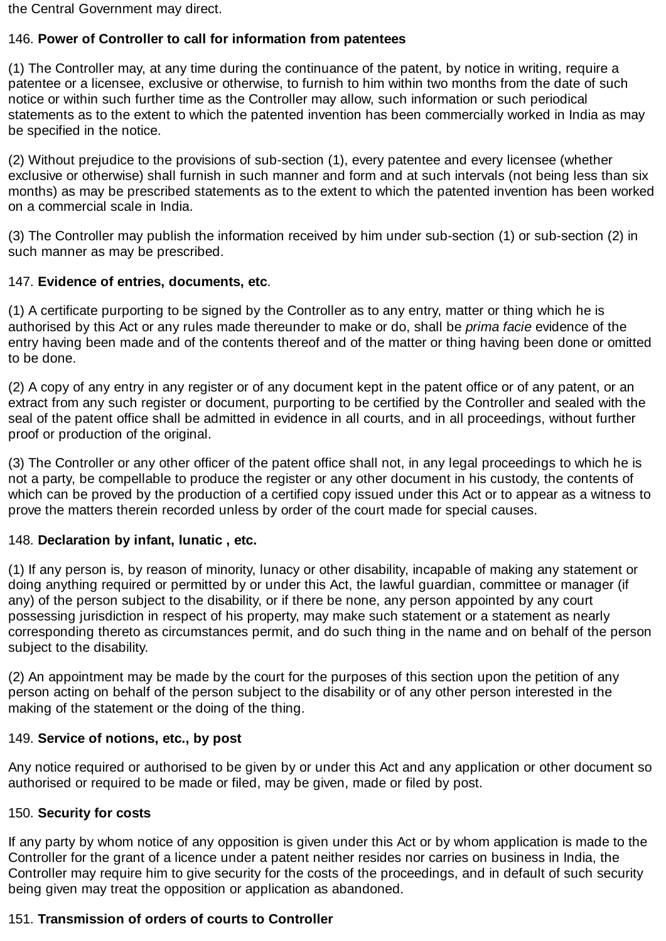the Central Government may direct.

### 146. **Power of Controller to call for information from patentees**

(1) The Controller may, at any time during the continuance of the patent, by notice in writing, require a patentee or a licensee, exclusive or otherwise, to furnish to him within two months from the date of such notice or within such further time as the Controller may allow, such information or such periodical statements as to the extent to which the patented invention has been commercially worked in India as may be specified in the notice.

(2) Without prejudice to the provisions of sub-section (1), every patentee and every licensee (whether exclusive or otherwise) shall furnish in such manner and form and at such intervals (not being less than six months) as may be prescribed statements as to the extent to which the patented invention has been worked on a commercial scale in India.

(3) The Controller may publish the information received by him under sub-section (1) or sub-section (2) in such manner as may be prescribed.

#### 147. **Evidence of entries, documents, etc**.

(1) A certificate purporting to be signed by the Controller as to any entry, matter or thing which he is authorised by this Act or any rules made thereunder to make or do, shall be *prima facie* evidence of the entry having been made and of the contents thereof and of the matter or thing having been done or omitted to be done.

(2) A copy of any entry in any register or of any document kept in the patent office or of any patent, or an extract from any such register or document, purporting to be certified by the Controller and sealed with the seal of the patent office shall be admitted in evidence in all courts, and in all proceedings, without further proof or production of the original.

(3) The Controller or any other officer of the patent office shall not, in any legal proceedings to which he is not a party, be compellable to produce the register or any other document in his custody, the contents of which can be proved by the production of a certified copy issued under this Act or to appear as a witness to prove the matters therein recorded unless by order of the court made for special causes.

#### 148. **Declaration by infant, lunatic , etc.**

(1) If any person is, by reason of minority, lunacy or other disability, incapable of making any statement or doing anything required or permitted by or under this Act, the lawful guardian, committee or manager (if any) of the person subject to the disability, or if there be none, any person appointed by any court possessing jurisdiction in respect of his property, may make such statement or a statement as nearly corresponding thereto as circumstances permit, and do such thing in the name and on behalf of the person subject to the disability.

(2) An appointment may be made by the court for the purposes of this section upon the petition of any person acting on behalf of the person subject to the disability or of any other person interested in the making of the statement or the doing of the thing.

#### 149. **Service of notions, etc., by post**

Any notice required or authorised to be given by or under this Act and any application or other document so authorised or required to be made or filed, may be given, made or filed by post.

#### 150. **Security for costs**

If any party by whom notice of any opposition is given under this Act or by whom application is made to the Controller for the grant of a licence under a patent neither resides nor carries on business in India, the Controller may require him to give security for the costs of the proceedings, and in default of such security being given may treat the opposition or application as abandoned.

## 151. **Transmission of orders of courts to Controller**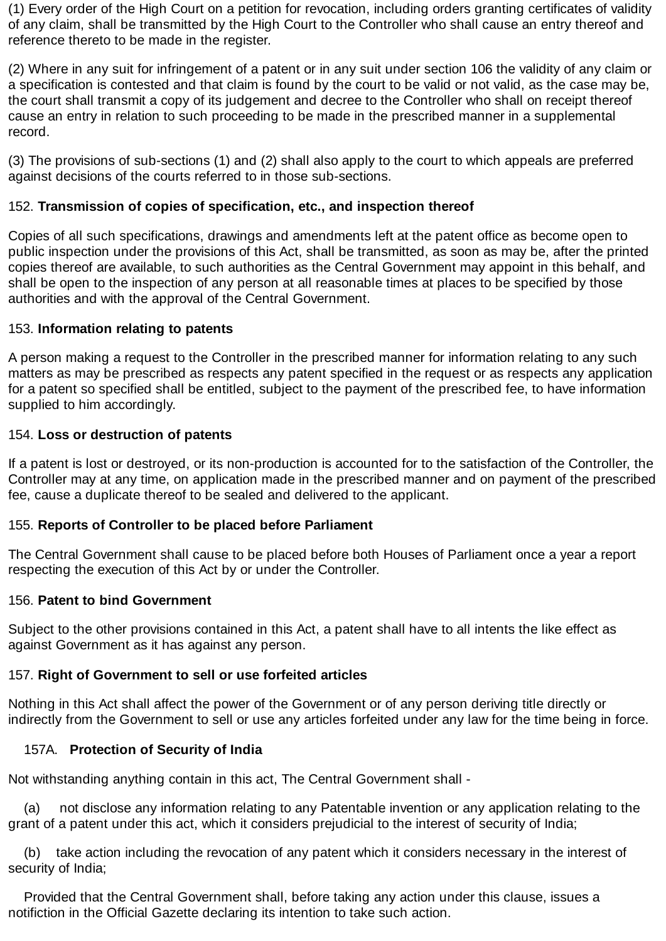(1) Every order of the High Court on a petition for revocation, including orders granting certificates of validity of any claim, shall be transmitted by the High Court to the Controller who shall cause an entry thereof and reference thereto to be made in the register.

(2) Where in any suit for infringement of a patent or in any suit under section 106 the validity of any claim or a specification is contested and that claim is found by the court to be valid or not valid, as the case may be, the court shall transmit a copy of its judgement and decree to the Controller who shall on receipt thereof cause an entry in relation to such proceeding to be made in the prescribed manner in a supplemental record.

(3) The provisions of sub-sections (1) and (2) shall also apply to the court to which appeals are preferred against decisions of the courts referred to in those sub-sections.

### 152. **Transmission of copies of specification, etc., and inspection thereof**

Copies of all such specifications, drawings and amendments left at the patent office as become open to public inspection under the provisions of this Act, shall be transmitted, as soon as may be, after the printed copies thereof are available, to such authorities as the Central Government may appoint in this behalf, and shall be open to the inspection of any person at all reasonable times at places to be specified by those authorities and with the approval of the Central Government.

#### 153. **Information relating to patents**

A person making a request to the Controller in the prescribed manner for information relating to any such matters as may be prescribed as respects any patent specified in the request or as respects any application for a patent so specified shall be entitled, subject to the payment of the prescribed fee, to have information supplied to him accordingly.

#### 154. **Loss or destruction of patents**

If a patent is lost or destroyed, or its non-production is accounted for to the satisfaction of the Controller, the Controller may at any time, on application made in the prescribed manner and on payment of the prescribed fee, cause a duplicate thereof to be sealed and delivered to the applicant.

## 155. **Reports of Controller to be placed before Parliament**

The Central Government shall cause to be placed before both Houses of Parliament once a year a report respecting the execution of this Act by or under the Controller.

#### 156. **Patent to bind Government**

Subject to the other provisions contained in this Act, a patent shall have to all intents the like effect as against Government as it has against any person.

## 157. **Right of Government to sell or use forfeited articles**

Nothing in this Act shall affect the power of the Government or of any person deriving title directly or indirectly from the Government to sell or use any articles forfeited under any law for the time being in force.

## 157A. **Protection of Security of India**

Not withstanding anything contain in this act, The Central Government shall -

 (a) not disclose any information relating to any Patentable invention or any application relating to the grant of a patent under this act, which it considers prejudicial to the interest of security of India;

 (b) take action including the revocation of any patent which it considers necessary in the interest of security of India;

 Provided that the Central Government shall, before taking any action under this clause, issues a notifiction in the Official Gazette declaring its intention to take such action.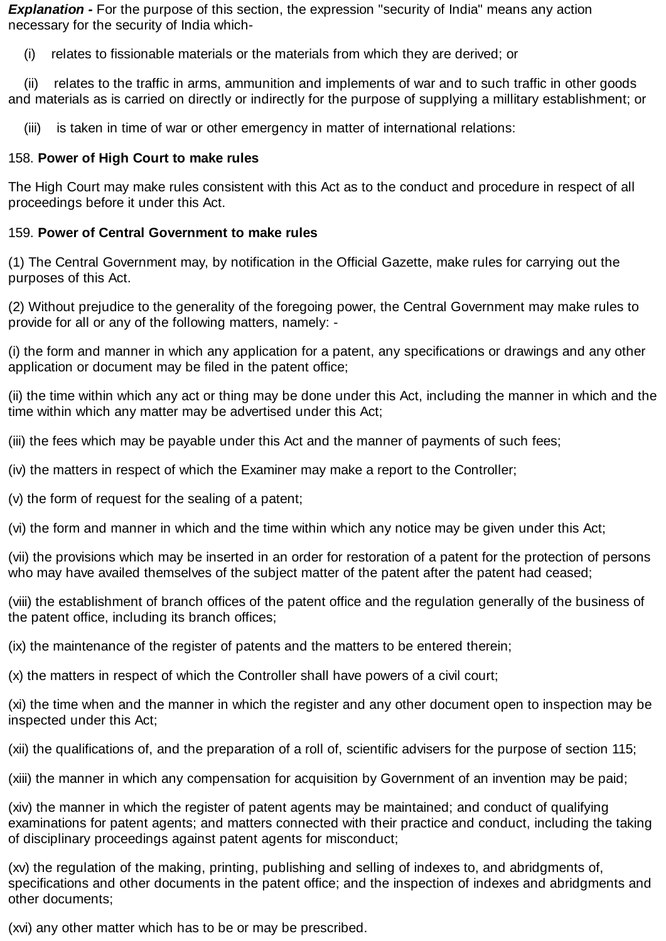**Explanation -** For the purpose of this section, the expression "security of India" means any action necessary for the security of India which-

(i) relates to fissionable materials or the materials from which they are derived; or

 (ii) relates to the traffic in arms, ammunition and implements of war and to such traffic in other goods and materials as is carried on directly or indirectly for the purpose of supplying a millitary establishment; or

(iii) is taken in time of war or other emergency in matter of international relations:

#### 158. **Power of High Court to make rules**

The High Court may make rules consistent with this Act as to the conduct and procedure in respect of all proceedings before it under this Act.

#### 159. **Power of Central Government to make rules**

(1) The Central Government may, by notification in the Official Gazette, make rules for carrying out the purposes of this Act.

(2) Without prejudice to the generality of the foregoing power, the Central Government may make rules to provide for all or any of the following matters, namely: -

(i) the form and manner in which any application for a patent, any specifications or drawings and any other application or document may be filed in the patent office;

(ii) the time within which any act or thing may be done under this Act, including the manner in which and the time within which any matter may be advertised under this Act;

(iii) the fees which may be payable under this Act and the manner of payments of such fees;

(iv) the matters in respect of which the Examiner may make a report to the Controller;

(v) the form of request for the sealing of a patent;

(vi) the form and manner in which and the time within which any notice may be given under this Act;

(vii) the provisions which may be inserted in an order for restoration of a patent for the protection of persons who may have availed themselves of the subject matter of the patent after the patent had ceased;

(viii) the establishment of branch offices of the patent office and the regulation generally of the business of the patent office, including its branch offices;

(ix) the maintenance of the register of patents and the matters to be entered therein;

(x) the matters in respect of which the Controller shall have powers of a civil court;

(xi) the time when and the manner in which the register and any other document open to inspection may be inspected under this Act;

(xii) the qualifications of, and the preparation of a roll of, scientific advisers for the purpose of section 115;

(xiii) the manner in which any compensation for acquisition by Government of an invention may be paid;

(xiv) the manner in which the register of patent agents may be maintained; and conduct of qualifying examinations for patent agents; and matters connected with their practice and conduct, including the taking of disciplinary proceedings against patent agents for misconduct;

(xv) the regulation of the making, printing, publishing and selling of indexes to, and abridgments of, specifications and other documents in the patent office; and the inspection of indexes and abridgments and other documents;

(xvi) any other matter which has to be or may be prescribed.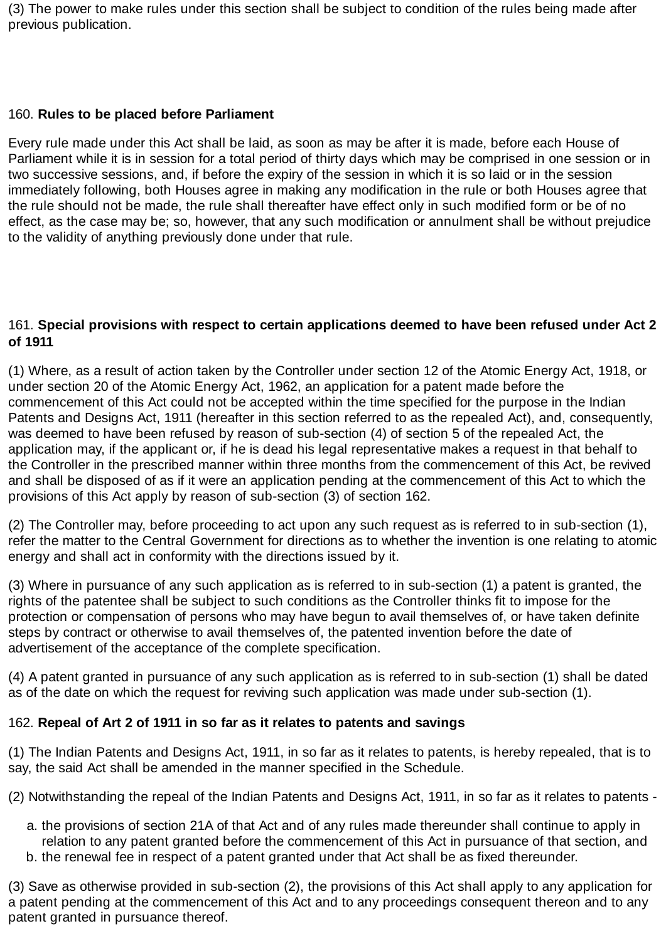(3) The power to make rules under this section shall be subject to condition of the rules being made after previous publication.

## 160. **Rules to be placed before Parliament**

Every rule made under this Act shall be laid, as soon as may be after it is made, before each House of Parliament while it is in session for a total period of thirty days which may be comprised in one session or in two successive sessions, and, if before the expiry of the session in which it is so laid or in the session immediately following, both Houses agree in making any modification in the rule or both Houses agree that the rule should not be made, the rule shall thereafter have effect only in such modified form or be of no effect, as the case may be; so, however, that any such modification or annulment shall be without prejudice to the validity of anything previously done under that rule.

## 161. **Special provisions with respect to certain applications deemed to have been refused under Act 2 of 1911**

(1) Where, as a result of action taken by the Controller under section 12 of the Atomic Energy Act, 1918, or under section 20 of the Atomic Energy Act, 1962, an application for a patent made before the commencement of this Act could not be accepted within the time specified for the purpose in the Indian Patents and Designs Act, 1911 (hereafter in this section referred to as the repealed Act), and, consequently, was deemed to have been refused by reason of sub-section (4) of section 5 of the repealed Act, the application may, if the applicant or, if he is dead his legal representative makes a request in that behalf to the Controller in the prescribed manner within three months from the commencement of this Act, be revived and shall be disposed of as if it were an application pending at the commencement of this Act to which the provisions of this Act apply by reason of sub-section (3) of section 162.

(2) The Controller may, before proceeding to act upon any such request as is referred to in sub-section (1), refer the matter to the Central Government for directions as to whether the invention is one relating to atomic energy and shall act in conformity with the directions issued by it.

(3) Where in pursuance of any such application as is referred to in sub-section (1) a patent is granted, the rights of the patentee shall be subject to such conditions as the Controller thinks fit to impose for the protection or compensation of persons who may have begun to avail themselves of, or have taken definite steps by contract or otherwise to avail themselves of, the patented invention before the date of advertisement of the acceptance of the complete specification.

(4) A patent granted in pursuance of any such application as is referred to in sub-section (1) shall be dated as of the date on which the request for reviving such application was made under sub-section (1).

## 162. **Repeal of Art 2 of 1911 in so far as it relates to patents and savings**

(1) The Indian Patents and Designs Act, 1911, in so far as it relates to patents, is hereby repealed, that is to say, the said Act shall be amended in the manner specified in the Schedule.

- (2) Notwithstanding the repeal of the Indian Patents and Designs Act, 1911, in so far as it relates to patents
	- a. the provisions of section 21A of that Act and of any rules made thereunder shall continue to apply in relation to any patent granted before the commencement of this Act in pursuance of that section, and b. the renewal fee in respect of a patent granted under that Act shall be as fixed thereunder.

(3) Save as otherwise provided in sub-section (2), the provisions of this Act shall apply to any application for a patent pending at the commencement of this Act and to any proceedings consequent thereon and to any patent granted in pursuance thereof.